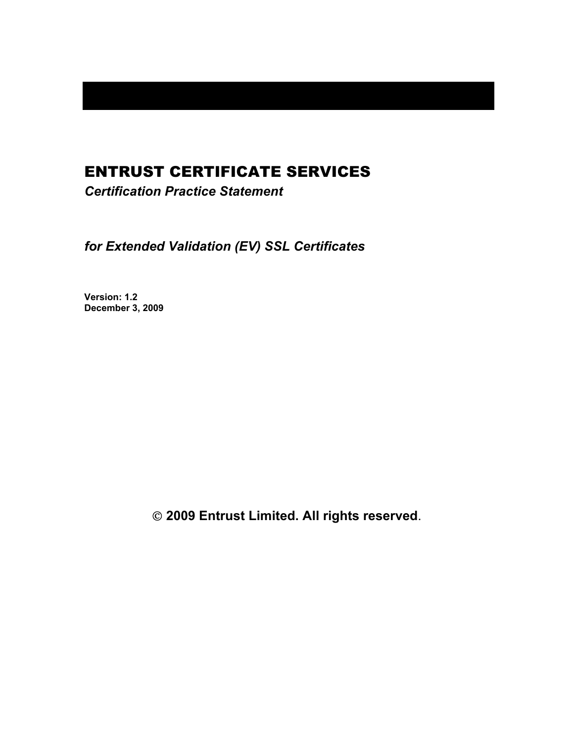# ENTRUST CERTIFICATE SERVICES

*Certification Practice Statement* 

*for Extended Validation (EV) SSL Certificates* 

**Version: 1.2 December 3, 2009** 

 **2009 Entrust Limited. All rights reserved**.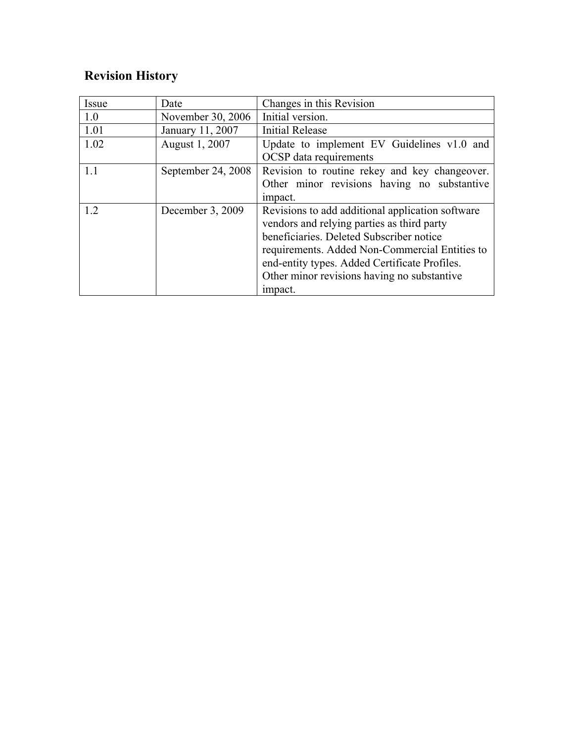# **Revision History**

| Issue | Date               | Changes in this Revision                                                                                                                                                                                                                                                                                |
|-------|--------------------|---------------------------------------------------------------------------------------------------------------------------------------------------------------------------------------------------------------------------------------------------------------------------------------------------------|
| 1.0   | November 30, 2006  | Initial version.                                                                                                                                                                                                                                                                                        |
| 1.01  | January 11, 2007   | <b>Initial Release</b>                                                                                                                                                                                                                                                                                  |
| 1.02  | August 1, 2007     | Update to implement EV Guidelines v1.0 and<br>OCSP data requirements                                                                                                                                                                                                                                    |
| 1.1   | September 24, 2008 | Revision to routine rekey and key changeover.<br>Other minor revisions having no substantive<br>impact.                                                                                                                                                                                                 |
| 1.2   | December 3, 2009   | Revisions to add additional application software<br>vendors and relying parties as third party<br>beneficiaries. Deleted Subscriber notice<br>requirements. Added Non-Commercial Entities to<br>end-entity types. Added Certificate Profiles.<br>Other minor revisions having no substantive<br>impact. |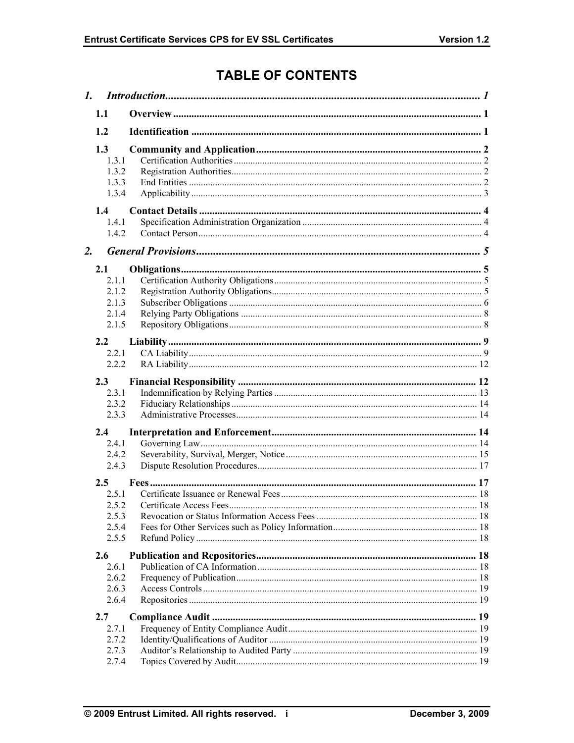# **TABLE OF CONTENTS**

|                  | 1.1                                              |  |
|------------------|--------------------------------------------------|--|
|                  | 1.2                                              |  |
|                  | 1.3<br>1.3.1<br>1.3.2<br>1.3.3<br>1.3.4          |  |
|                  | 1.4<br>1.4.1<br>1.4.2                            |  |
| $\overline{2}$ . |                                                  |  |
|                  | 2.1<br>2.1.1<br>2.1.2<br>2.1.3<br>2.1.4<br>2.1.5 |  |
|                  | 2.2                                              |  |
|                  | 2.2.1<br>2.2.2                                   |  |
|                  |                                                  |  |
|                  | 2.3<br>2.3.1                                     |  |
|                  | 2.3.2                                            |  |
|                  | 2.3.3                                            |  |
|                  | 2.4                                              |  |
|                  | 2.4.1                                            |  |
|                  | 2.4.2<br>2.4.3                                   |  |
|                  |                                                  |  |
|                  | $2.5^{\circ}$                                    |  |
|                  | 2.5.1<br>2.5.2                                   |  |
|                  | 2.5.3                                            |  |
|                  | 2.5.4                                            |  |
|                  | 2.5.5                                            |  |
|                  | 2.6                                              |  |
|                  | 2.6.1                                            |  |
|                  | 2.6.2                                            |  |
|                  | 2.6.3                                            |  |
|                  | 2.6.4                                            |  |
|                  | 2.7                                              |  |
|                  | 2.7.1                                            |  |
|                  | 2.7.2<br>2.7.3                                   |  |
|                  | 2.7.4                                            |  |
|                  |                                                  |  |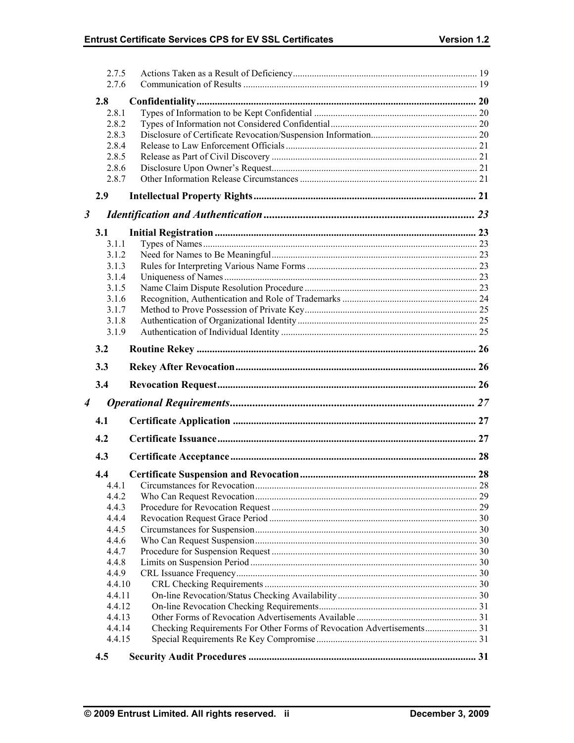|                      | 2.7.5<br>2.7.6 |  |
|----------------------|----------------|--|
|                      | 2.8            |  |
|                      | 2.8.1          |  |
|                      | 2.8.2          |  |
|                      | 2.8.3          |  |
|                      | 2.8.4          |  |
|                      | 2.8.5          |  |
|                      | 2.8.6          |  |
|                      | 2.8.7          |  |
|                      | 2.9            |  |
| $\boldsymbol{\beta}$ |                |  |
|                      | 3.1            |  |
|                      | 3.1.1          |  |
|                      | 3.1.2          |  |
|                      | 3.1.3          |  |
|                      | 3.1.4          |  |
|                      | 3.1.5          |  |
|                      | 3.1.6          |  |
|                      | 3.1.7          |  |
|                      | 3.1.8          |  |
|                      | 3.1.9          |  |
|                      | 3.2            |  |
|                      | 3.3            |  |
|                      | 3.4            |  |
| 4                    |                |  |
|                      | 4.1            |  |
|                      | 4.2            |  |
|                      | 4.3            |  |
|                      |                |  |
|                      | 4.4            |  |
|                      | 4.4.1          |  |
|                      | 4.4.2<br>4.4.3 |  |
|                      | 4.4.4          |  |
|                      | 4.4.5          |  |
|                      | 4.4.6          |  |
|                      | 4.4.7          |  |
|                      | 4.4.8          |  |
|                      | 4.4.9          |  |
|                      | 4.4.10         |  |
|                      | 4.4.11         |  |
|                      | 4.4.12         |  |
|                      | 4.4.13         |  |
|                      | 4.4.14         |  |
|                      | 4.4.15         |  |
|                      | 4.5            |  |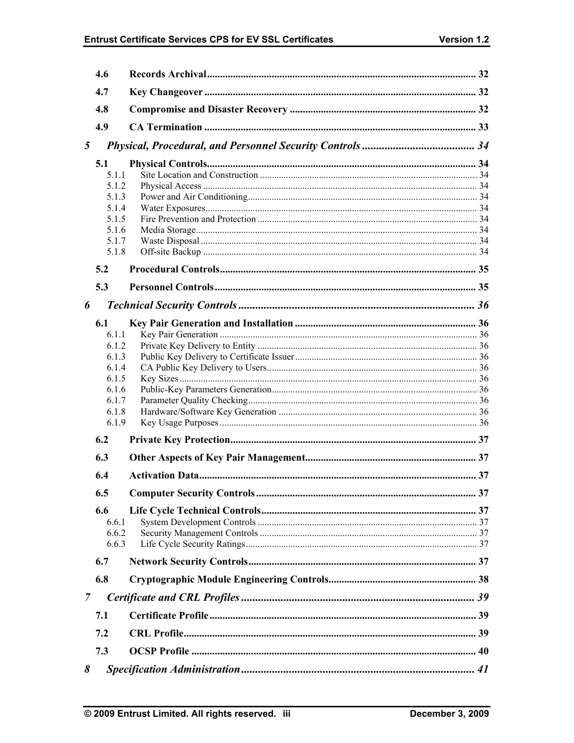# Entrust Certificate Services CPS for EV SSL Certificates

|   | 4.6            |  |
|---|----------------|--|
|   | 4.7            |  |
|   | 4.8            |  |
|   | 4.9            |  |
| 5 |                |  |
|   | 5.1            |  |
|   | 5.1.1          |  |
|   | 5.1.2          |  |
|   | 5.1.3          |  |
|   | 5.1.4          |  |
|   | 5.1.5          |  |
|   | 5.1.6<br>5.1.7 |  |
|   | 5.1.8          |  |
|   | 5.2            |  |
|   | 5.3            |  |
| 6 |                |  |
|   |                |  |
|   | 6.1<br>6 1 1   |  |
|   | 6.1.2          |  |
|   | 6.1.3          |  |
|   | 6.1.4          |  |
|   | 6.1.5          |  |
|   | 6.1.6          |  |
|   | 6.1.7<br>6.1.8 |  |
|   | 6.1.9          |  |
|   | 6.2            |  |
|   | 6.3            |  |
|   |                |  |
|   | 6.4            |  |
|   | 6.5            |  |
|   | 6.6            |  |
|   | 6.6.1          |  |
|   | 6.6.2<br>6.6.3 |  |
|   | 6.7            |  |
|   |                |  |
|   | 6.8            |  |
| 7 |                |  |
|   | 7.1            |  |
|   | 7.2            |  |
|   | 7.3            |  |
| 8 |                |  |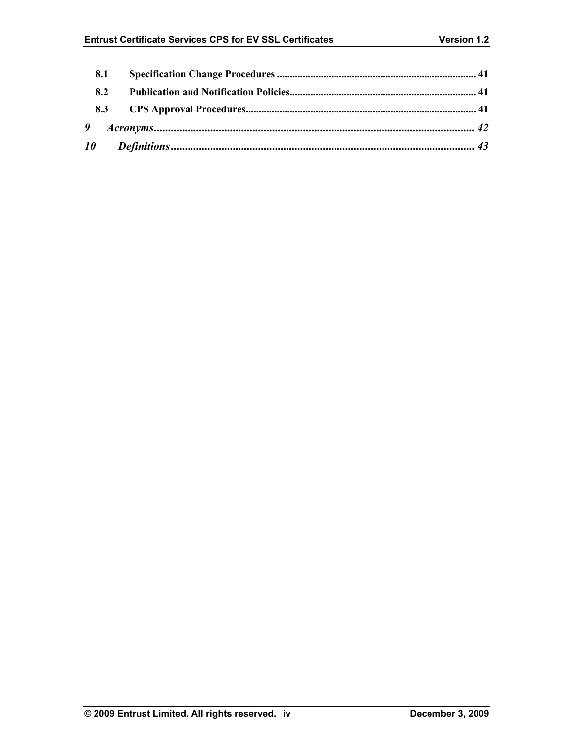| 8.1 |  |  |  |
|-----|--|--|--|
| 8.2 |  |  |  |
|     |  |  |  |
|     |  |  |  |
|     |  |  |  |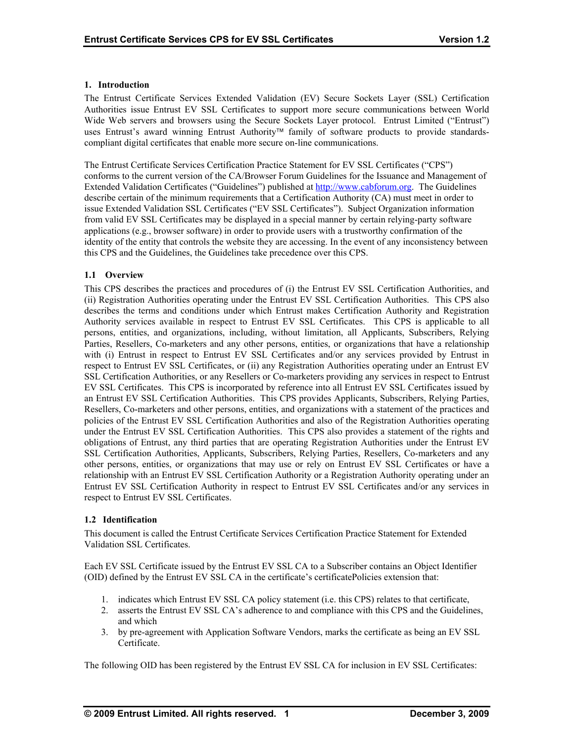#### **1. Introduction**

The Entrust Certificate Services Extended Validation (EV) Secure Sockets Layer (SSL) Certification Authorities issue Entrust EV SSL Certificates to support more secure communications between World Wide Web servers and browsers using the Secure Sockets Layer protocol. Entrust Limited ("Entrust") uses Entrust's award winning Entrust Authority<sup>™</sup> family of software products to provide standardscompliant digital certificates that enable more secure on-line communications.

The Entrust Certificate Services Certification Practice Statement for EV SSL Certificates ("CPS") conforms to the current version of the CA/Browser Forum Guidelines for the Issuance and Management of Extended Validation Certificates ("Guidelines") published at http://www.cabforum.org. The Guidelines describe certain of the minimum requirements that a Certification Authority (CA) must meet in order to issue Extended Validation SSL Certificates ("EV SSL Certificates"). Subject Organization information from valid EV SSL Certificates may be displayed in a special manner by certain relying-party software applications (e.g., browser software) in order to provide users with a trustworthy confirmation of the identity of the entity that controls the website they are accessing. In the event of any inconsistency between this CPS and the Guidelines, the Guidelines take precedence over this CPS.

## **1.1 Overview**

This CPS describes the practices and procedures of (i) the Entrust EV SSL Certification Authorities, and (ii) Registration Authorities operating under the Entrust EV SSL Certification Authorities. This CPS also describes the terms and conditions under which Entrust makes Certification Authority and Registration Authority services available in respect to Entrust EV SSL Certificates. This CPS is applicable to all persons, entities, and organizations, including, without limitation, all Applicants, Subscribers, Relying Parties, Resellers, Co-marketers and any other persons, entities, or organizations that have a relationship with (i) Entrust in respect to Entrust EV SSL Certificates and/or any services provided by Entrust in respect to Entrust EV SSL Certificates, or (ii) any Registration Authorities operating under an Entrust EV SSL Certification Authorities, or any Resellers or Co-marketers providing any services in respect to Entrust EV SSL Certificates. This CPS is incorporated by reference into all Entrust EV SSL Certificates issued by an Entrust EV SSL Certification Authorities. This CPS provides Applicants, Subscribers, Relying Parties, Resellers, Co-marketers and other persons, entities, and organizations with a statement of the practices and policies of the Entrust EV SSL Certification Authorities and also of the Registration Authorities operating under the Entrust EV SSL Certification Authorities. This CPS also provides a statement of the rights and obligations of Entrust, any third parties that are operating Registration Authorities under the Entrust EV SSL Certification Authorities, Applicants, Subscribers, Relying Parties, Resellers, Co-marketers and any other persons, entities, or organizations that may use or rely on Entrust EV SSL Certificates or have a relationship with an Entrust EV SSL Certification Authority or a Registration Authority operating under an Entrust EV SSL Certification Authority in respect to Entrust EV SSL Certificates and/or any services in respect to Entrust EV SSL Certificates.

#### **1.2 Identification**

This document is called the Entrust Certificate Services Certification Practice Statement for Extended Validation SSL Certificates.

Each EV SSL Certificate issued by the Entrust EV SSL CA to a Subscriber contains an Object Identifier (OID) defined by the Entrust EV SSL CA in the certificate's certificatePolicies extension that:

- 1. indicates which Entrust EV SSL CA policy statement (i.e. this CPS) relates to that certificate,
- 2. asserts the Entrust EV SSL CA's adherence to and compliance with this CPS and the Guidelines, and which
- 3. by pre-agreement with Application Software Vendors, marks the certificate as being an EV SSL Certificate.

The following OID has been registered by the Entrust EV SSL CA for inclusion in EV SSL Certificates: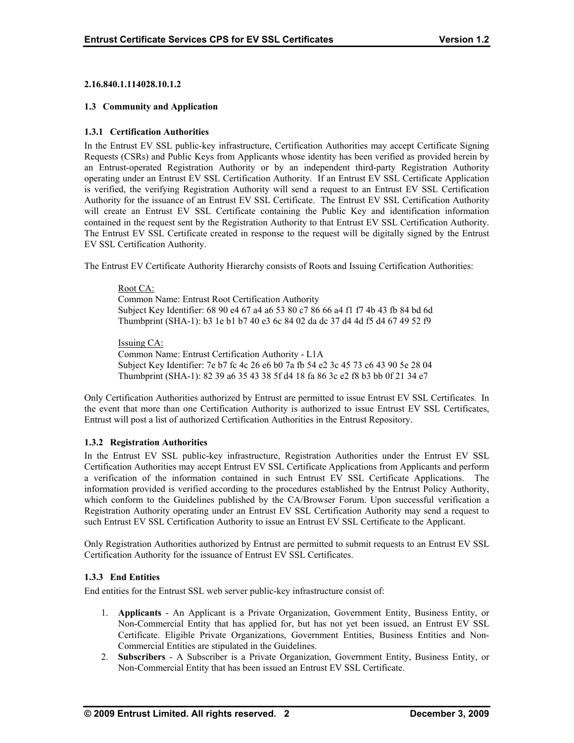#### **2.16.840.1.114028.10.1.2**

#### **1.3 Community and Application**

## **1.3.1 Certification Authorities**

In the Entrust EV SSL public-key infrastructure, Certification Authorities may accept Certificate Signing Requests (CSRs) and Public Keys from Applicants whose identity has been verified as provided herein by an Entrust-operated Registration Authority or by an independent third-party Registration Authority operating under an Entrust EV SSL Certification Authority. If an Entrust EV SSL Certificate Application is verified, the verifying Registration Authority will send a request to an Entrust EV SSL Certification Authority for the issuance of an Entrust EV SSL Certificate. The Entrust EV SSL Certification Authority will create an Entrust EV SSL Certificate containing the Public Key and identification information contained in the request sent by the Registration Authority to that Entrust EV SSL Certification Authority. The Entrust EV SSL Certificate created in response to the request will be digitally signed by the Entrust EV SSL Certification Authority.

The Entrust EV Certificate Authority Hierarchy consists of Roots and Issuing Certification Authorities:

## Root CA: Common Name: Entrust Root Certification Authority Subject Key Identifier: 68 90 e4 67 a4 a6 53 80 c7 86 66 a4 f1 f7 4b 43 fb 84 bd 6d Thumbprint (SHA-1): b3 1e b1 b7 40 e3 6c 84 02 da dc 37 d4 4d f5 d4 67 49 52 f9

#### Issuing CA:

Common Name: Entrust Certification Authority - L1A Subject Key Identifier: 7e b7 fc 4c 26 e6 b0 7a fb 54 e2 3c 45 73 c6 43 90 5e 28 04 Thumbprint (SHA-1): 82 39 a6 35 43 38 5f d4 18 fa 86 3c e2 f8 b3 bb 0f 21 34 e7

Only Certification Authorities authorized by Entrust are permitted to issue Entrust EV SSL Certificates. In the event that more than one Certification Authority is authorized to issue Entrust EV SSL Certificates, Entrust will post a list of authorized Certification Authorities in the Entrust Repository.

#### **1.3.2 Registration Authorities**

In the Entrust EV SSL public-key infrastructure, Registration Authorities under the Entrust EV SSL Certification Authorities may accept Entrust EV SSL Certificate Applications from Applicants and perform a verification of the information contained in such Entrust EV SSL Certificate Applications. information provided is verified according to the procedures established by the Entrust Policy Authority, which conform to the Guidelines published by the CA/Browser Forum. Upon successful verification a Registration Authority operating under an Entrust EV SSL Certification Authority may send a request to such Entrust EV SSL Certification Authority to issue an Entrust EV SSL Certificate to the Applicant.

Only Registration Authorities authorized by Entrust are permitted to submit requests to an Entrust EV SSL Certification Authority for the issuance of Entrust EV SSL Certificates.

## **1.3.3 End Entities**

End entities for the Entrust SSL web server public-key infrastructure consist of:

- 1. **Applicants** An Applicant is a Private Organization, Government Entity, Business Entity, or Non-Commercial Entity that has applied for, but has not yet been issued, an Entrust EV SSL Certificate. Eligible Private Organizations, Government Entities, Business Entities and Non-Commercial Entities are stipulated in the Guidelines.
- 2. **Subscribers**  A Subscriber is a Private Organization, Government Entity, Business Entity, or Non-Commercial Entity that has been issued an Entrust EV SSL Certificate.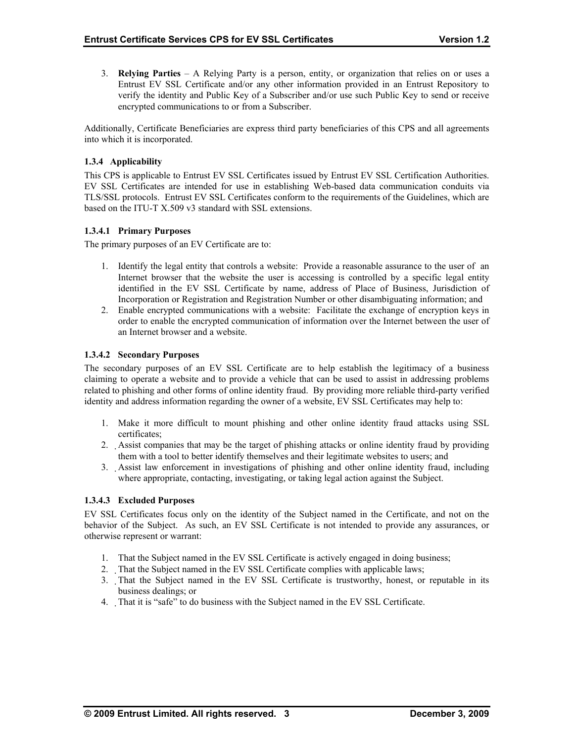3. **Relying Parties** – A Relying Party is a person, entity, or organization that relies on or uses a Entrust EV SSL Certificate and/or any other information provided in an Entrust Repository to verify the identity and Public Key of a Subscriber and/or use such Public Key to send or receive encrypted communications to or from a Subscriber.

Additionally, Certificate Beneficiaries are express third party beneficiaries of this CPS and all agreements into which it is incorporated.

## **1.3.4 Applicability**

This CPS is applicable to Entrust EV SSL Certificates issued by Entrust EV SSL Certification Authorities. EV SSL Certificates are intended for use in establishing Web-based data communication conduits via TLS/SSL protocols. Entrust EV SSL Certificates conform to the requirements of the Guidelines, which are based on the ITU-T X.509 v3 standard with SSL extensions.

## **1.3.4.1 Primary Purposes**

The primary purposes of an EV Certificate are to:

- 1. Identify the legal entity that controls a website: Provide a reasonable assurance to the user of an Internet browser that the website the user is accessing is controlled by a specific legal entity identified in the EV SSL Certificate by name, address of Place of Business, Jurisdiction of Incorporation or Registration and Registration Number or other disambiguating information; and
- 2. Enable encrypted communications with a website: Facilitate the exchange of encryption keys in order to enable the encrypted communication of information over the Internet between the user of an Internet browser and a website.

## **1.3.4.2 Secondary Purposes**

The secondary purposes of an EV SSL Certificate are to help establish the legitimacy of a business claiming to operate a website and to provide a vehicle that can be used to assist in addressing problems related to phishing and other forms of online identity fraud. By providing more reliable third-party verified identity and address information regarding the owner of a website, EV SSL Certificates may help to:

- 1. Make it more difficult to mount phishing and other online identity fraud attacks using SSL certificates;
- 2. Assist companies that may be the target of phishing attacks or online identity fraud by providing them with a tool to better identify themselves and their legitimate websites to users; and
- 3. Assist law enforcement in investigations of phishing and other online identity fraud, including where appropriate, contacting, investigating, or taking legal action against the Subject.

## **1.3.4.3 Excluded Purposes**

EV SSL Certificates focus only on the identity of the Subject named in the Certificate, and not on the behavior of the Subject. As such, an EV SSL Certificate is not intended to provide any assurances, or otherwise represent or warrant:

- 1. That the Subject named in the EV SSL Certificate is actively engaged in doing business;
- 2. That the Subject named in the EV SSL Certificate complies with applicable laws;
- 3. That the Subject named in the EV SSL Certificate is trustworthy, honest, or reputable in its business dealings; or
- 4. That it is "safe" to do business with the Subject named in the EV SSL Certificate.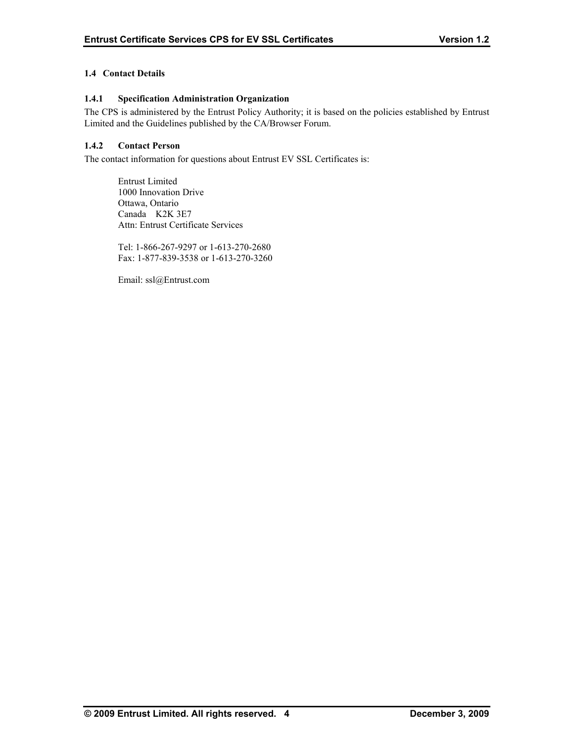## **1.4 Contact Details**

## **1.4.1 Specification Administration Organization**

The CPS is administered by the Entrust Policy Authority; it is based on the policies established by Entrust Limited and the Guidelines published by the CA/Browser Forum.

## **1.4.2 Contact Person**

The contact information for questions about Entrust EV SSL Certificates is:

 Entrust Limited 1000 Innovation Drive Ottawa, Ontario Canada K2K 3E7 Attn: Entrust Certificate Services

Tel: 1-866-267-9297 or 1-613-270-2680 Fax: 1-877-839-3538 or 1-613-270-3260

Email: ssl@Entrust.com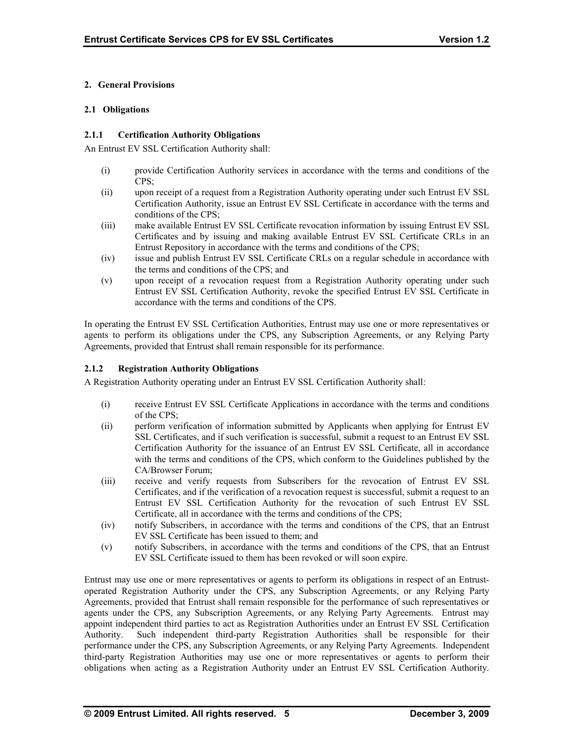## **2. General Provisions**

#### **2.1 Obligations**

## **2.1.1 Certification Authority Obligations**

An Entrust EV SSL Certification Authority shall:

- (i) provide Certification Authority services in accordance with the terms and conditions of the CPS;
- (ii) upon receipt of a request from a Registration Authority operating under such Entrust EV SSL Certification Authority, issue an Entrust EV SSL Certificate in accordance with the terms and conditions of the CPS;
- (iii) make available Entrust EV SSL Certificate revocation information by issuing Entrust EV SSL Certificates and by issuing and making available Entrust EV SSL Certificate CRLs in an Entrust Repository in accordance with the terms and conditions of the CPS;
- (iv) issue and publish Entrust EV SSL Certificate CRLs on a regular schedule in accordance with the terms and conditions of the CPS; and
- (v) upon receipt of a revocation request from a Registration Authority operating under such Entrust EV SSL Certification Authority, revoke the specified Entrust EV SSL Certificate in accordance with the terms and conditions of the CPS.

In operating the Entrust EV SSL Certification Authorities, Entrust may use one or more representatives or agents to perform its obligations under the CPS, any Subscription Agreements, or any Relying Party Agreements, provided that Entrust shall remain responsible for its performance.

## **2.1.2 Registration Authority Obligations**

A Registration Authority operating under an Entrust EV SSL Certification Authority shall:

- (i) receive Entrust EV SSL Certificate Applications in accordance with the terms and conditions of the CPS;
- (ii) perform verification of information submitted by Applicants when applying for Entrust EV SSL Certificates, and if such verification is successful, submit a request to an Entrust EV SSL Certification Authority for the issuance of an Entrust EV SSL Certificate, all in accordance with the terms and conditions of the CPS, which conform to the Guidelines published by the CA/Browser Forum;
- (iii) receive and verify requests from Subscribers for the revocation of Entrust EV SSL Certificates, and if the verification of a revocation request is successful, submit a request to an Entrust EV SSL Certification Authority for the revocation of such Entrust EV SSL Certificate, all in accordance with the terms and conditions of the CPS;
- (iv) notify Subscribers, in accordance with the terms and conditions of the CPS, that an Entrust EV SSL Certificate has been issued to them; and
- (v) notify Subscribers, in accordance with the terms and conditions of the CPS, that an Entrust EV SSL Certificate issued to them has been revoked or will soon expire.

Entrust may use one or more representatives or agents to perform its obligations in respect of an Entrustoperated Registration Authority under the CPS, any Subscription Agreements, or any Relying Party Agreements, provided that Entrust shall remain responsible for the performance of such representatives or agents under the CPS, any Subscription Agreements, or any Relying Party Agreements. Entrust may appoint independent third parties to act as Registration Authorities under an Entrust EV SSL Certification Authority. Such independent third-party Registration Authorities shall be responsible for their performance under the CPS, any Subscription Agreements, or any Relying Party Agreements. Independent third-party Registration Authorities may use one or more representatives or agents to perform their obligations when acting as a Registration Authority under an Entrust EV SSL Certification Authority.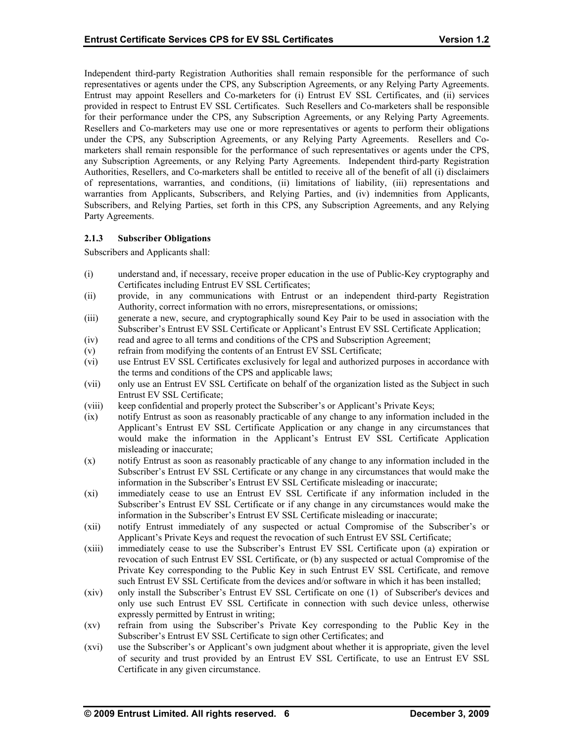Independent third-party Registration Authorities shall remain responsible for the performance of such representatives or agents under the CPS, any Subscription Agreements, or any Relying Party Agreements. Entrust may appoint Resellers and Co-marketers for (i) Entrust EV SSL Certificates, and (ii) services provided in respect to Entrust EV SSL Certificates. Such Resellers and Co-marketers shall be responsible for their performance under the CPS, any Subscription Agreements, or any Relying Party Agreements. Resellers and Co-marketers may use one or more representatives or agents to perform their obligations under the CPS, any Subscription Agreements, or any Relying Party Agreements. Resellers and Comarketers shall remain responsible for the performance of such representatives or agents under the CPS, any Subscription Agreements, or any Relying Party Agreements. Independent third-party Registration Authorities, Resellers, and Co-marketers shall be entitled to receive all of the benefit of all (i) disclaimers of representations, warranties, and conditions, (ii) limitations of liability, (iii) representations and warranties from Applicants, Subscribers, and Relying Parties, and (iv) indemnities from Applicants, Subscribers, and Relying Parties, set forth in this CPS, any Subscription Agreements, and any Relying Party Agreements.

## **2.1.3 Subscriber Obligations**

Subscribers and Applicants shall:

- (i) understand and, if necessary, receive proper education in the use of Public-Key cryptography and Certificates including Entrust EV SSL Certificates;
- (ii) provide, in any communications with Entrust or an independent third-party Registration Authority, correct information with no errors, misrepresentations, or omissions;
- (iii) generate a new, secure, and cryptographically sound Key Pair to be used in association with the Subscriber's Entrust EV SSL Certificate or Applicant's Entrust EV SSL Certificate Application;
- (iv) read and agree to all terms and conditions of the CPS and Subscription Agreement;
- (v) refrain from modifying the contents of an Entrust EV SSL Certificate;
- (vi) use Entrust EV SSL Certificates exclusively for legal and authorized purposes in accordance with the terms and conditions of the CPS and applicable laws;
- (vii) only use an Entrust EV SSL Certificate on behalf of the organization listed as the Subject in such Entrust EV SSL Certificate;
- (viii) keep confidential and properly protect the Subscriber's or Applicant's Private Keys;
- (ix) notify Entrust as soon as reasonably practicable of any change to any information included in the Applicant's Entrust EV SSL Certificate Application or any change in any circumstances that would make the information in the Applicant's Entrust EV SSL Certificate Application misleading or inaccurate;
- (x) notify Entrust as soon as reasonably practicable of any change to any information included in the Subscriber's Entrust EV SSL Certificate or any change in any circumstances that would make the information in the Subscriber's Entrust EV SSL Certificate misleading or inaccurate;
- (xi) immediately cease to use an Entrust EV SSL Certificate if any information included in the Subscriber's Entrust EV SSL Certificate or if any change in any circumstances would make the information in the Subscriber's Entrust EV SSL Certificate misleading or inaccurate;
- (xii) notify Entrust immediately of any suspected or actual Compromise of the Subscriber's or Applicant's Private Keys and request the revocation of such Entrust EV SSL Certificate;
- (xiii) immediately cease to use the Subscriber's Entrust EV SSL Certificate upon (a) expiration or revocation of such Entrust EV SSL Certificate, or (b) any suspected or actual Compromise of the Private Key corresponding to the Public Key in such Entrust EV SSL Certificate, and remove such Entrust EV SSL Certificate from the devices and/or software in which it has been installed;
- (xiv) only install the Subscriber's Entrust EV SSL Certificate on one (1) of Subscriber's devices and only use such Entrust EV SSL Certificate in connection with such device unless, otherwise expressly permitted by Entrust in writing;
- (xv) refrain from using the Subscriber's Private Key corresponding to the Public Key in the Subscriber's Entrust EV SSL Certificate to sign other Certificates; and
- (xvi) use the Subscriber's or Applicant's own judgment about whether it is appropriate, given the level of security and trust provided by an Entrust EV SSL Certificate, to use an Entrust EV SSL Certificate in any given circumstance.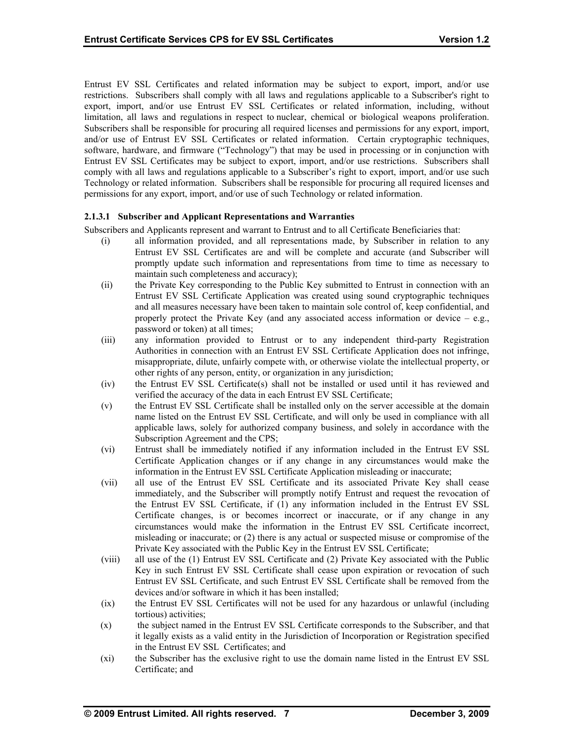Entrust EV SSL Certificates and related information may be subject to export, import, and/or use restrictions. Subscribers shall comply with all laws and regulations applicable to a Subscriber's right to export, import, and/or use Entrust EV SSL Certificates or related information, including, without limitation, all laws and regulations in respect to nuclear, chemical or biological weapons proliferation. Subscribers shall be responsible for procuring all required licenses and permissions for any export, import, and/or use of Entrust EV SSL Certificates or related information. Certain cryptographic techniques, software, hardware, and firmware ("Technology") that may be used in processing or in conjunction with Entrust EV SSL Certificates may be subject to export, import, and/or use restrictions. Subscribers shall comply with all laws and regulations applicable to a Subscriber's right to export, import, and/or use such Technology or related information. Subscribers shall be responsible for procuring all required licenses and permissions for any export, import, and/or use of such Technology or related information.

## **2.1.3.1 Subscriber and Applicant Representations and Warranties**

Subscribers and Applicants represent and warrant to Entrust and to all Certificate Beneficiaries that:

- (i) all information provided, and all representations made, by Subscriber in relation to any Entrust EV SSL Certificates are and will be complete and accurate (and Subscriber will promptly update such information and representations from time to time as necessary to maintain such completeness and accuracy);
- (ii) the Private Key corresponding to the Public Key submitted to Entrust in connection with an Entrust EV SSL Certificate Application was created using sound cryptographic techniques and all measures necessary have been taken to maintain sole control of, keep confidential, and properly protect the Private Key (and any associated access information or device  $-$  e.g., password or token) at all times;
- (iii) any information provided to Entrust or to any independent third-party Registration Authorities in connection with an Entrust EV SSL Certificate Application does not infringe, misappropriate, dilute, unfairly compete with, or otherwise violate the intellectual property, or other rights of any person, entity, or organization in any jurisdiction;
- (iv) the Entrust EV SSL Certificate(s) shall not be installed or used until it has reviewed and verified the accuracy of the data in each Entrust EV SSL Certificate;
- (v) the Entrust EV SSL Certificate shall be installed only on the server accessible at the domain name listed on the Entrust EV SSL Certificate, and will only be used in compliance with all applicable laws, solely for authorized company business, and solely in accordance with the Subscription Agreement and the CPS;
- (vi) Entrust shall be immediately notified if any information included in the Entrust EV SSL Certificate Application changes or if any change in any circumstances would make the information in the Entrust EV SSL Certificate Application misleading or inaccurate;
- (vii) all use of the Entrust EV SSL Certificate and its associated Private Key shall cease immediately, and the Subscriber will promptly notify Entrust and request the revocation of the Entrust EV SSL Certificate, if (1) any information included in the Entrust EV SSL Certificate changes, is or becomes incorrect or inaccurate, or if any change in any circumstances would make the information in the Entrust EV SSL Certificate incorrect, misleading or inaccurate; or (2) there is any actual or suspected misuse or compromise of the Private Key associated with the Public Key in the Entrust EV SSL Certificate;
- (viii) all use of the (1) Entrust EV SSL Certificate and (2) Private Key associated with the Public Key in such Entrust EV SSL Certificate shall cease upon expiration or revocation of such Entrust EV SSL Certificate, and such Entrust EV SSL Certificate shall be removed from the devices and/or software in which it has been installed;
- (ix) the Entrust EV SSL Certificates will not be used for any hazardous or unlawful (including tortious) activities;
- (x) the subject named in the Entrust EV SSL Certificate corresponds to the Subscriber, and that it legally exists as a valid entity in the Jurisdiction of Incorporation or Registration specified in the Entrust EV SSL Certificates; and
- (xi) the Subscriber has the exclusive right to use the domain name listed in the Entrust EV SSL Certificate; and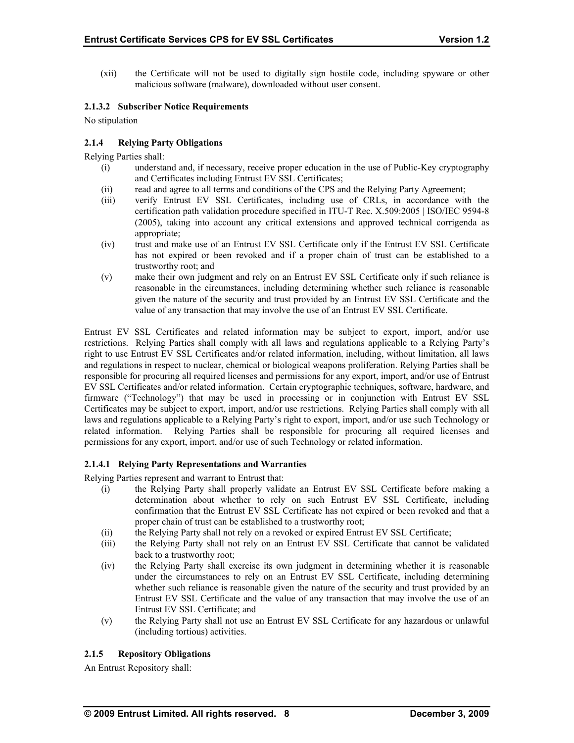(xii) the Certificate will not be used to digitally sign hostile code, including spyware or other malicious software (malware), downloaded without user consent.

## **2.1.3.2 Subscriber Notice Requirements**

No stipulation

## **2.1.4 Relying Party Obligations**

Relying Parties shall:

- (i) understand and, if necessary, receive proper education in the use of Public-Key cryptography and Certificates including Entrust EV SSL Certificates;
- (ii) read and agree to all terms and conditions of the CPS and the Relying Party Agreement;
- (iii) verify Entrust EV SSL Certificates, including use of CRLs, in accordance with the certification path validation procedure specified in ITU-T Rec. X.509:2005 | ISO/IEC 9594-8 (2005), taking into account any critical extensions and approved technical corrigenda as appropriate;
- (iv) trust and make use of an Entrust EV SSL Certificate only if the Entrust EV SSL Certificate has not expired or been revoked and if a proper chain of trust can be established to a trustworthy root; and
- (v) make their own judgment and rely on an Entrust EV SSL Certificate only if such reliance is reasonable in the circumstances, including determining whether such reliance is reasonable given the nature of the security and trust provided by an Entrust EV SSL Certificate and the value of any transaction that may involve the use of an Entrust EV SSL Certificate.

Entrust EV SSL Certificates and related information may be subject to export, import, and/or use restrictions. Relying Parties shall comply with all laws and regulations applicable to a Relying Party's right to use Entrust EV SSL Certificates and/or related information, including, without limitation, all laws and regulations in respect to nuclear, chemical or biological weapons proliferation. Relying Parties shall be responsible for procuring all required licenses and permissions for any export, import, and/or use of Entrust EV SSL Certificates and/or related information. Certain cryptographic techniques, software, hardware, and firmware ("Technology") that may be used in processing or in conjunction with Entrust EV SSL Certificates may be subject to export, import, and/or use restrictions. Relying Parties shall comply with all laws and regulations applicable to a Relying Party's right to export, import, and/or use such Technology or related information. Relying Parties shall be responsible for procuring all required licenses and permissions for any export, import, and/or use of such Technology or related information.

#### **2.1.4.1 Relying Party Representations and Warranties**

Relying Parties represent and warrant to Entrust that:

- (i) the Relying Party shall properly validate an Entrust EV SSL Certificate before making a determination about whether to rely on such Entrust EV SSL Certificate, including confirmation that the Entrust EV SSL Certificate has not expired or been revoked and that a proper chain of trust can be established to a trustworthy root;
- (ii) the Relying Party shall not rely on a revoked or expired Entrust EV SSL Certificate;
- (iii) the Relying Party shall not rely on an Entrust EV SSL Certificate that cannot be validated back to a trustworthy root;
- (iv) the Relying Party shall exercise its own judgment in determining whether it is reasonable under the circumstances to rely on an Entrust EV SSL Certificate, including determining whether such reliance is reasonable given the nature of the security and trust provided by an Entrust EV SSL Certificate and the value of any transaction that may involve the use of an Entrust EV SSL Certificate; and
- (v) the Relying Party shall not use an Entrust EV SSL Certificate for any hazardous or unlawful (including tortious) activities.

## **2.1.5 Repository Obligations**

An Entrust Repository shall: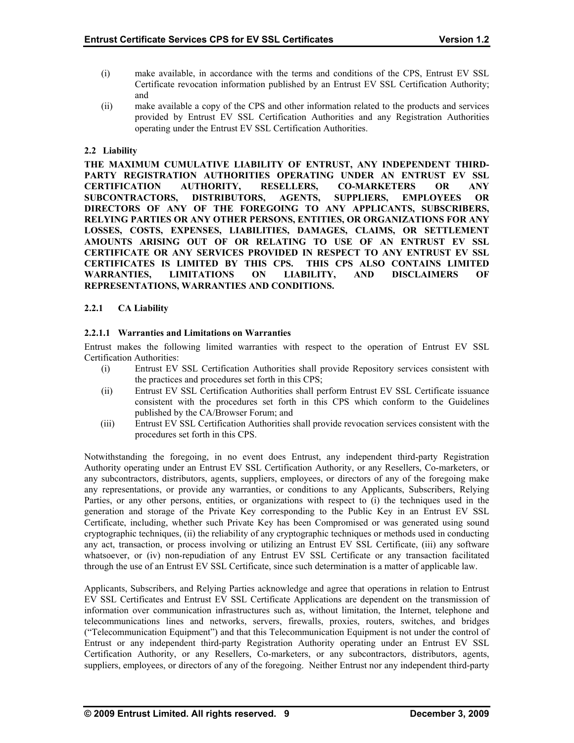- (i) make available, in accordance with the terms and conditions of the CPS, Entrust EV SSL Certificate revocation information published by an Entrust EV SSL Certification Authority; and
- (ii) make available a copy of the CPS and other information related to the products and services provided by Entrust EV SSL Certification Authorities and any Registration Authorities operating under the Entrust EV SSL Certification Authorities.

## **2.2 Liability**

**THE MAXIMUM CUMULATIVE LIABILITY OF ENTRUST, ANY INDEPENDENT THIRD-PARTY REGISTRATION AUTHORITIES OPERATING UNDER AN ENTRUST EV SSL CERTIFICATION AUTHORITY, RESELLERS, CO-MARKETERS OR ANY SUBCONTRACTORS, DISTRIBUTORS, AGENTS, SUPPLIERS, EMPLOYEES OR DIRECTORS OF ANY OF THE FOREGOING TO ANY APPLICANTS, SUBSCRIBERS, RELYING PARTIES OR ANY OTHER PERSONS, ENTITIES, OR ORGANIZATIONS FOR ANY LOSSES, COSTS, EXPENSES, LIABILITIES, DAMAGES, CLAIMS, OR SETTLEMENT AMOUNTS ARISING OUT OF OR RELATING TO USE OF AN ENTRUST EV SSL CERTIFICATE OR ANY SERVICES PROVIDED IN RESPECT TO ANY ENTRUST EV SSL CERTIFICATES IS LIMITED BY THIS CPS. THIS CPS ALSO CONTAINS LIMITED WARRANTIES, LIMITATIONS ON LIABILITY, AND DISCLAIMERS OF REPRESENTATIONS, WARRANTIES AND CONDITIONS.** 

## **2.2.1 CA Liability**

## **2.2.1.1 Warranties and Limitations on Warranties**

Entrust makes the following limited warranties with respect to the operation of Entrust EV SSL Certification Authorities:

- (i) Entrust EV SSL Certification Authorities shall provide Repository services consistent with the practices and procedures set forth in this CPS;
- (ii) Entrust EV SSL Certification Authorities shall perform Entrust EV SSL Certificate issuance consistent with the procedures set forth in this CPS which conform to the Guidelines published by the CA/Browser Forum; and
- (iii) Entrust EV SSL Certification Authorities shall provide revocation services consistent with the procedures set forth in this CPS.

Notwithstanding the foregoing, in no event does Entrust, any independent third-party Registration Authority operating under an Entrust EV SSL Certification Authority, or any Resellers, Co-marketers, or any subcontractors, distributors, agents, suppliers, employees, or directors of any of the foregoing make any representations, or provide any warranties, or conditions to any Applicants, Subscribers, Relying Parties, or any other persons, entities, or organizations with respect to (i) the techniques used in the generation and storage of the Private Key corresponding to the Public Key in an Entrust EV SSL Certificate, including, whether such Private Key has been Compromised or was generated using sound cryptographic techniques, (ii) the reliability of any cryptographic techniques or methods used in conducting any act, transaction, or process involving or utilizing an Entrust EV SSL Certificate, (iii) any software whatsoever, or (iv) non-repudiation of any Entrust EV SSL Certificate or any transaction facilitated through the use of an Entrust EV SSL Certificate, since such determination is a matter of applicable law.

Applicants, Subscribers, and Relying Parties acknowledge and agree that operations in relation to Entrust EV SSL Certificates and Entrust EV SSL Certificate Applications are dependent on the transmission of information over communication infrastructures such as, without limitation, the Internet, telephone and telecommunications lines and networks, servers, firewalls, proxies, routers, switches, and bridges ("Telecommunication Equipment") and that this Telecommunication Equipment is not under the control of Entrust or any independent third-party Registration Authority operating under an Entrust EV SSL Certification Authority, or any Resellers, Co-marketers, or any subcontractors, distributors, agents, suppliers, employees, or directors of any of the foregoing. Neither Entrust nor any independent third-party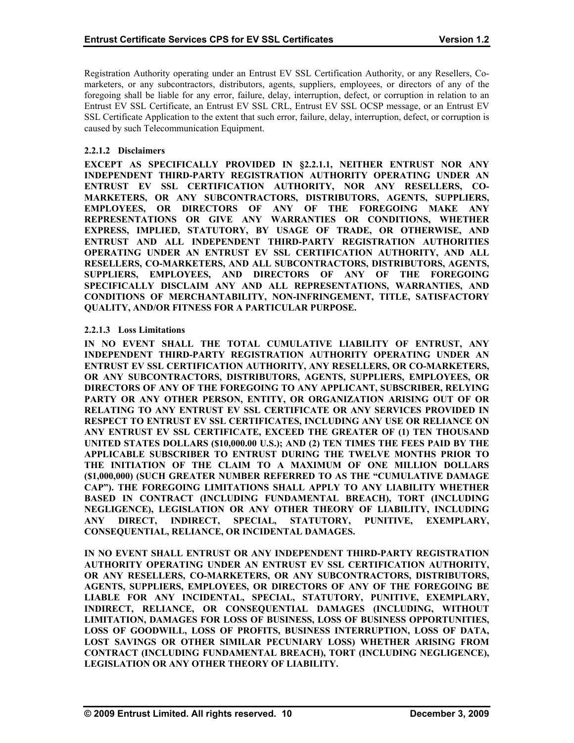Registration Authority operating under an Entrust EV SSL Certification Authority, or any Resellers, Comarketers, or any subcontractors, distributors, agents, suppliers, employees, or directors of any of the foregoing shall be liable for any error, failure, delay, interruption, defect, or corruption in relation to an Entrust EV SSL Certificate, an Entrust EV SSL CRL, Entrust EV SSL OCSP message, or an Entrust EV SSL Certificate Application to the extent that such error, failure, delay, interruption, defect, or corruption is caused by such Telecommunication Equipment.

## **2.2.1.2 Disclaimers**

**EXCEPT AS SPECIFICALLY PROVIDED IN §2.2.1.1, NEITHER ENTRUST NOR ANY INDEPENDENT THIRD-PARTY REGISTRATION AUTHORITY OPERATING UNDER AN ENTRUST EV SSL CERTIFICATION AUTHORITY, NOR ANY RESELLERS, CO-MARKETERS, OR ANY SUBCONTRACTORS, DISTRIBUTORS, AGENTS, SUPPLIERS, EMPLOYEES, OR DIRECTORS OF ANY OF THE FOREGOING MAKE ANY REPRESENTATIONS OR GIVE ANY WARRANTIES OR CONDITIONS, WHETHER EXPRESS, IMPLIED, STATUTORY, BY USAGE OF TRADE, OR OTHERWISE, AND ENTRUST AND ALL INDEPENDENT THIRD-PARTY REGISTRATION AUTHORITIES OPERATING UNDER AN ENTRUST EV SSL CERTIFICATION AUTHORITY, AND ALL RESELLERS, CO-MARKETERS, AND ALL SUBCONTRACTORS, DISTRIBUTORS, AGENTS, SUPPLIERS, EMPLOYEES, AND DIRECTORS OF ANY OF THE FOREGOING SPECIFICALLY DISCLAIM ANY AND ALL REPRESENTATIONS, WARRANTIES, AND CONDITIONS OF MERCHANTABILITY, NON-INFRINGEMENT, TITLE, SATISFACTORY QUALITY, AND/OR FITNESS FOR A PARTICULAR PURPOSE.** 

## **2.2.1.3 Loss Limitations**

**IN NO EVENT SHALL THE TOTAL CUMULATIVE LIABILITY OF ENTRUST, ANY INDEPENDENT THIRD-PARTY REGISTRATION AUTHORITY OPERATING UNDER AN ENTRUST EV SSL CERTIFICATION AUTHORITY, ANY RESELLERS, OR CO-MARKETERS, OR ANY SUBCONTRACTORS, DISTRIBUTORS, AGENTS, SUPPLIERS, EMPLOYEES, OR DIRECTORS OF ANY OF THE FOREGOING TO ANY APPLICANT, SUBSCRIBER, RELYING PARTY OR ANY OTHER PERSON, ENTITY, OR ORGANIZATION ARISING OUT OF OR RELATING TO ANY ENTRUST EV SSL CERTIFICATE OR ANY SERVICES PROVIDED IN RESPECT TO ENTRUST EV SSL CERTIFICATES, INCLUDING ANY USE OR RELIANCE ON ANY ENTRUST EV SSL CERTIFICATE, EXCEED THE GREATER OF (1) TEN THOUSAND UNITED STATES DOLLARS (\$10,000.00 U.S.); AND (2) TEN TIMES THE FEES PAID BY THE APPLICABLE SUBSCRIBER TO ENTRUST DURING THE TWELVE MONTHS PRIOR TO THE INITIATION OF THE CLAIM TO A MAXIMUM OF ONE MILLION DOLLARS (\$1,000,000) (SUCH GREATER NUMBER REFERRED TO AS THE "CUMULATIVE DAMAGE CAP"). THE FOREGOING LIMITATIONS SHALL APPLY TO ANY LIABILITY WHETHER BASED IN CONTRACT (INCLUDING FUNDAMENTAL BREACH), TORT (INCLUDING NEGLIGENCE), LEGISLATION OR ANY OTHER THEORY OF LIABILITY, INCLUDING ANY DIRECT, INDIRECT, SPECIAL, STATUTORY, PUNITIVE, EXEMPLARY, CONSEQUENTIAL, RELIANCE, OR INCIDENTAL DAMAGES.** 

**IN NO EVENT SHALL ENTRUST OR ANY INDEPENDENT THIRD-PARTY REGISTRATION AUTHORITY OPERATING UNDER AN ENTRUST EV SSL CERTIFICATION AUTHORITY, OR ANY RESELLERS, CO-MARKETERS, OR ANY SUBCONTRACTORS, DISTRIBUTORS, AGENTS, SUPPLIERS, EMPLOYEES, OR DIRECTORS OF ANY OF THE FOREGOING BE LIABLE FOR ANY INCIDENTAL, SPECIAL, STATUTORY, PUNITIVE, EXEMPLARY, INDIRECT, RELIANCE, OR CONSEQUENTIAL DAMAGES (INCLUDING, WITHOUT LIMITATION, DAMAGES FOR LOSS OF BUSINESS, LOSS OF BUSINESS OPPORTUNITIES, LOSS OF GOODWILL, LOSS OF PROFITS, BUSINESS INTERRUPTION, LOSS OF DATA, LOST SAVINGS OR OTHER SIMILAR PECUNIARY LOSS) WHETHER ARISING FROM CONTRACT (INCLUDING FUNDAMENTAL BREACH), TORT (INCLUDING NEGLIGENCE), LEGISLATION OR ANY OTHER THEORY OF LIABILITY.**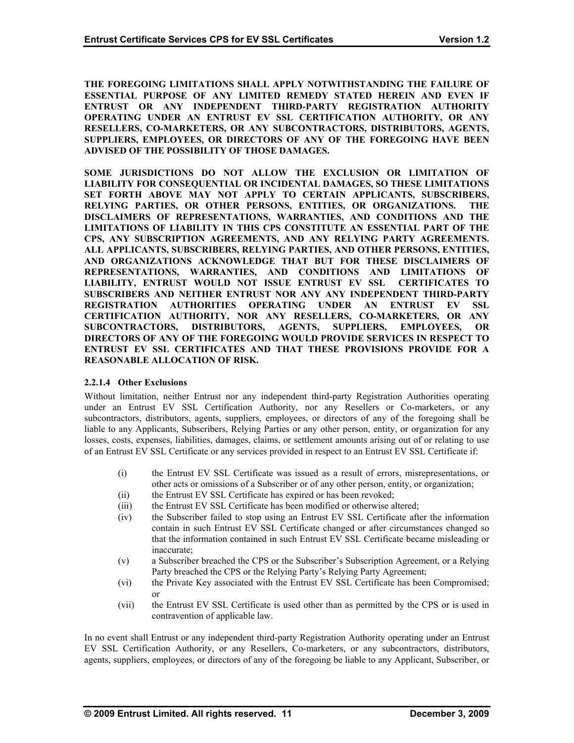**THE FOREGOING LIMITATIONS SHALL APPLY NOTWITHSTANDING THE FAILURE OF ESSENTIAL PURPOSE OF ANY LIMITED REMEDY STATED HEREIN AND EVEN IF ENTRUST OR ANY INDEPENDENT THIRD-PARTY REGISTRATION AUTHORITY OPERATING UNDER AN ENTRUST EV SSL CERTIFICATION AUTHORITY, OR ANY RESELLERS, CO-MARKETERS, OR ANY SUBCONTRACTORS, DISTRIBUTORS, AGENTS, SUPPLIERS, EMPLOYEES, OR DIRECTORS OF ANY OF THE FOREGOING HAVE BEEN ADVISED OF THE POSSIBILITY OF THOSE DAMAGES.** 

**SOME JURISDICTIONS DO NOT ALLOW THE EXCLUSION OR LIMITATION OF LIABILITY FOR CONSEQUENTIAL OR INCIDENTAL DAMAGES, SO THESE LIMITATIONS SET FORTH ABOVE MAY NOT APPLY TO CERTAIN APPLICANTS, SUBSCRIBERS,**  RELYING PARTIES, OR OTHER PERSONS, ENTITIES, OR ORGANIZATIONS. **DISCLAIMERS OF REPRESENTATIONS, WARRANTIES, AND CONDITIONS AND THE LIMITATIONS OF LIABILITY IN THIS CPS CONSTITUTE AN ESSENTIAL PART OF THE CPS, ANY SUBSCRIPTION AGREEMENTS, AND ANY RELYING PARTY AGREEMENTS. ALL APPLICANTS, SUBSCRIBERS, RELYING PARTIES, AND OTHER PERSONS, ENTITIES, AND ORGANIZATIONS ACKNOWLEDGE THAT BUT FOR THESE DISCLAIMERS OF REPRESENTATIONS, WARRANTIES, AND CONDITIONS AND LIMITATIONS OF LIABILITY, ENTRUST WOULD NOT ISSUE ENTRUST EV SSL CERTIFICATES TO SUBSCRIBERS AND NEITHER ENTRUST NOR ANY ANY INDEPENDENT THIRD-PARTY REGISTRATION AUTHORITIES OPERATING UNDER AN ENTRUST EV SSL CERTIFICATION AUTHORITY, NOR ANY RESELLERS, CO-MARKETERS, OR ANY SUBCONTRACTORS, DISTRIBUTORS, AGENTS, SUPPLIERS, EMPLOYEES, OR DIRECTORS OF ANY OF THE FOREGOING WOULD PROVIDE SERVICES IN RESPECT TO ENTRUST EV SSL CERTIFICATES AND THAT THESE PROVISIONS PROVIDE FOR A REASONABLE ALLOCATION OF RISK.** 

## **2.2.1.4 Other Exclusions**

Without limitation, neither Entrust nor any independent third-party Registration Authorities operating under an Entrust EV SSL Certification Authority, nor any Resellers or Co-marketers, or any subcontractors, distributors, agents, suppliers, employees, or directors of any of the foregoing shall be liable to any Applicants, Subscribers, Relying Parties or any other person, entity, or organization for any losses, costs, expenses, liabilities, damages, claims, or settlement amounts arising out of or relating to use of an Entrust EV SSL Certificate or any services provided in respect to an Entrust EV SSL Certificate if:

- (i) the Entrust EV SSL Certificate was issued as a result of errors, misrepresentations, or other acts or omissions of a Subscriber or of any other person, entity, or organization;
- (ii) the Entrust EV SSL Certificate has expired or has been revoked;
- (iii) the Entrust EV SSL Certificate has been modified or otherwise altered;
- (iv) the Subscriber failed to stop using an Entrust EV SSL Certificate after the information contain in such Entrust EV SSL Certificate changed or after circumstances changed so that the information contained in such Entrust EV SSL Certificate became misleading or inaccurate;
- (v) a Subscriber breached the CPS or the Subscriber's Subscription Agreement, or a Relying Party breached the CPS or the Relying Party's Relying Party Agreement;
- (vi) the Private Key associated with the Entrust EV SSL Certificate has been Compromised; or
- (vii) the Entrust EV SSL Certificate is used other than as permitted by the CPS or is used in contravention of applicable law.

In no event shall Entrust or any independent third-party Registration Authority operating under an Entrust EV SSL Certification Authority, or any Resellers, Co-marketers, or any subcontractors, distributors, agents, suppliers, employees, or directors of any of the foregoing be liable to any Applicant, Subscriber, or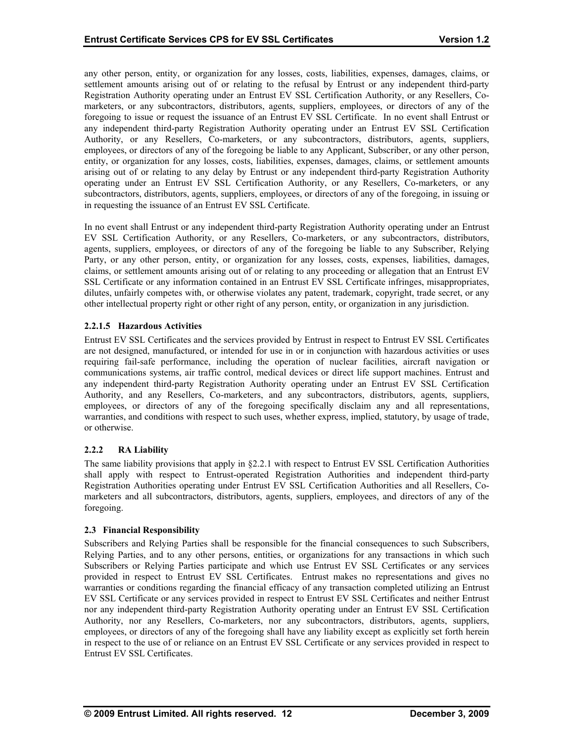any other person, entity, or organization for any losses, costs, liabilities, expenses, damages, claims, or settlement amounts arising out of or relating to the refusal by Entrust or any independent third-party Registration Authority operating under an Entrust EV SSL Certification Authority, or any Resellers, Comarketers, or any subcontractors, distributors, agents, suppliers, employees, or directors of any of the foregoing to issue or request the issuance of an Entrust EV SSL Certificate. In no event shall Entrust or any independent third-party Registration Authority operating under an Entrust EV SSL Certification Authority, or any Resellers, Co-marketers, or any subcontractors, distributors, agents, suppliers, employees, or directors of any of the foregoing be liable to any Applicant, Subscriber, or any other person, entity, or organization for any losses, costs, liabilities, expenses, damages, claims, or settlement amounts arising out of or relating to any delay by Entrust or any independent third-party Registration Authority operating under an Entrust EV SSL Certification Authority, or any Resellers, Co-marketers, or any subcontractors, distributors, agents, suppliers, employees, or directors of any of the foregoing, in issuing or in requesting the issuance of an Entrust EV SSL Certificate.

In no event shall Entrust or any independent third-party Registration Authority operating under an Entrust EV SSL Certification Authority, or any Resellers, Co-marketers, or any subcontractors, distributors, agents, suppliers, employees, or directors of any of the foregoing be liable to any Subscriber, Relying Party, or any other person, entity, or organization for any losses, costs, expenses, liabilities, damages, claims, or settlement amounts arising out of or relating to any proceeding or allegation that an Entrust EV SSL Certificate or any information contained in an Entrust EV SSL Certificate infringes, misappropriates, dilutes, unfairly competes with, or otherwise violates any patent, trademark, copyright, trade secret, or any other intellectual property right or other right of any person, entity, or organization in any jurisdiction.

## **2.2.1.5 Hazardous Activities**

Entrust EV SSL Certificates and the services provided by Entrust in respect to Entrust EV SSL Certificates are not designed, manufactured, or intended for use in or in conjunction with hazardous activities or uses requiring fail-safe performance, including the operation of nuclear facilities, aircraft navigation or communications systems, air traffic control, medical devices or direct life support machines. Entrust and any independent third-party Registration Authority operating under an Entrust EV SSL Certification Authority, and any Resellers, Co-marketers, and any subcontractors, distributors, agents, suppliers, employees, or directors of any of the foregoing specifically disclaim any and all representations, warranties, and conditions with respect to such uses, whether express, implied, statutory, by usage of trade, or otherwise.

## **2.2.2 RA Liability**

The same liability provisions that apply in §2.2.1 with respect to Entrust EV SSL Certification Authorities shall apply with respect to Entrust-operated Registration Authorities and independent third-party Registration Authorities operating under Entrust EV SSL Certification Authorities and all Resellers, Comarketers and all subcontractors, distributors, agents, suppliers, employees, and directors of any of the foregoing.

#### **2.3 Financial Responsibility**

Subscribers and Relying Parties shall be responsible for the financial consequences to such Subscribers, Relying Parties, and to any other persons, entities, or organizations for any transactions in which such Subscribers or Relying Parties participate and which use Entrust EV SSL Certificates or any services provided in respect to Entrust EV SSL Certificates. Entrust makes no representations and gives no warranties or conditions regarding the financial efficacy of any transaction completed utilizing an Entrust EV SSL Certificate or any services provided in respect to Entrust EV SSL Certificates and neither Entrust nor any independent third-party Registration Authority operating under an Entrust EV SSL Certification Authority, nor any Resellers, Co-marketers, nor any subcontractors, distributors, agents, suppliers, employees, or directors of any of the foregoing shall have any liability except as explicitly set forth herein in respect to the use of or reliance on an Entrust EV SSL Certificate or any services provided in respect to Entrust EV SSL Certificates.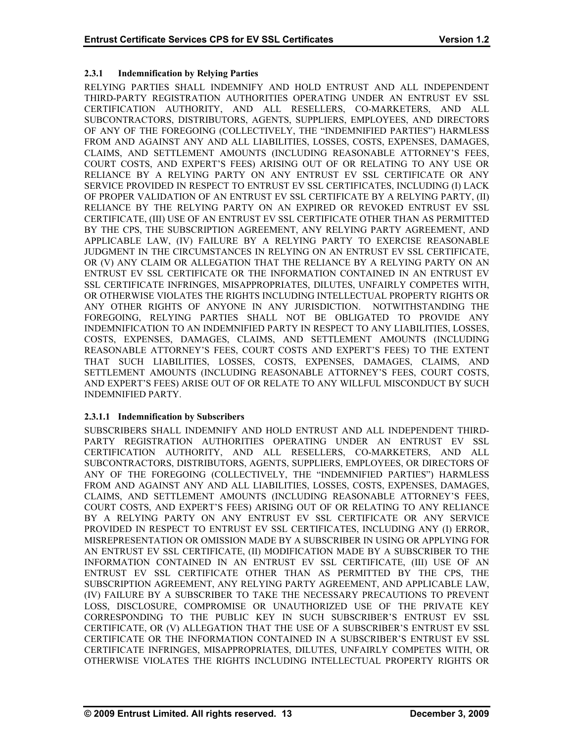## **2.3.1 Indemnification by Relying Parties**

RELYING PARTIES SHALL INDEMNIFY AND HOLD ENTRUST AND ALL INDEPENDENT THIRD-PARTY REGISTRATION AUTHORITIES OPERATING UNDER AN ENTRUST EV SSL CERTIFICATION AUTHORITY, AND ALL RESELLERS, CO-MARKETERS, AND ALL SUBCONTRACTORS, DISTRIBUTORS, AGENTS, SUPPLIERS, EMPLOYEES, AND DIRECTORS OF ANY OF THE FOREGOING (COLLECTIVELY, THE "INDEMNIFIED PARTIES") HARMLESS FROM AND AGAINST ANY AND ALL LIABILITIES, LOSSES, COSTS, EXPENSES, DAMAGES, CLAIMS, AND SETTLEMENT AMOUNTS (INCLUDING REASONABLE ATTORNEY'S FEES, COURT COSTS, AND EXPERT'S FEES) ARISING OUT OF OR RELATING TO ANY USE OR RELIANCE BY A RELYING PARTY ON ANY ENTRUST EV SSL CERTIFICATE OR ANY SERVICE PROVIDED IN RESPECT TO ENTRUST EV SSL CERTIFICATES, INCLUDING (I) LACK OF PROPER VALIDATION OF AN ENTRUST EV SSL CERTIFICATE BY A RELYING PARTY, (II) RELIANCE BY THE RELYING PARTY ON AN EXPIRED OR REVOKED ENTRUST EV SSL CERTIFICATE, (III) USE OF AN ENTRUST EV SSL CERTIFICATE OTHER THAN AS PERMITTED BY THE CPS, THE SUBSCRIPTION AGREEMENT, ANY RELYING PARTY AGREEMENT, AND APPLICABLE LAW, (IV) FAILURE BY A RELYING PARTY TO EXERCISE REASONABLE JUDGMENT IN THE CIRCUMSTANCES IN RELYING ON AN ENTRUST EV SSL CERTIFICATE, OR (V) ANY CLAIM OR ALLEGATION THAT THE RELIANCE BY A RELYING PARTY ON AN ENTRUST EV SSL CERTIFICATE OR THE INFORMATION CONTAINED IN AN ENTRUST EV SSL CERTIFICATE INFRINGES, MISAPPROPRIATES, DILUTES, UNFAIRLY COMPETES WITH, OR OTHERWISE VIOLATES THE RIGHTS INCLUDING INTELLECTUAL PROPERTY RIGHTS OR ANY OTHER RIGHTS OF ANYONE IN ANY JURISDICTION. NOTWITHSTANDING THE FOREGOING, RELYING PARTIES SHALL NOT BE OBLIGATED TO PROVIDE ANY INDEMNIFICATION TO AN INDEMNIFIED PARTY IN RESPECT TO ANY LIABILITIES, LOSSES, COSTS, EXPENSES, DAMAGES, CLAIMS, AND SETTLEMENT AMOUNTS (INCLUDING REASONABLE ATTORNEY'S FEES, COURT COSTS AND EXPERT'S FEES) TO THE EXTENT THAT SUCH LIABILITIES, LOSSES, COSTS, EXPENSES, DAMAGES, CLAIMS, AND SETTLEMENT AMOUNTS (INCLUDING REASONABLE ATTORNEY'S FEES, COURT COSTS, AND EXPERT'S FEES) ARISE OUT OF OR RELATE TO ANY WILLFUL MISCONDUCT BY SUCH INDEMNIFIED PARTY.

## **2.3.1.1 Indemnification by Subscribers**

SUBSCRIBERS SHALL INDEMNIFY AND HOLD ENTRUST AND ALL INDEPENDENT THIRD-PARTY REGISTRATION AUTHORITIES OPERATING UNDER AN ENTRUST EV SSL CERTIFICATION AUTHORITY, AND ALL RESELLERS, CO-MARKETERS, AND ALL SUBCONTRACTORS, DISTRIBUTORS, AGENTS, SUPPLIERS, EMPLOYEES, OR DIRECTORS OF ANY OF THE FOREGOING (COLLECTIVELY, THE "INDEMNIFIED PARTIES") HARMLESS FROM AND AGAINST ANY AND ALL LIABILITIES, LOSSES, COSTS, EXPENSES, DAMAGES, CLAIMS, AND SETTLEMENT AMOUNTS (INCLUDING REASONABLE ATTORNEY'S FEES, COURT COSTS, AND EXPERT'S FEES) ARISING OUT OF OR RELATING TO ANY RELIANCE BY A RELYING PARTY ON ANY ENTRUST EV SSL CERTIFICATE OR ANY SERVICE PROVIDED IN RESPECT TO ENTRUST EV SSL CERTIFICATES, INCLUDING ANY (I) ERROR, MISREPRESENTATION OR OMISSION MADE BY A SUBSCRIBER IN USING OR APPLYING FOR AN ENTRUST EV SSL CERTIFICATE, (II) MODIFICATION MADE BY A SUBSCRIBER TO THE INFORMATION CONTAINED IN AN ENTRUST EV SSL CERTIFICATE, (III) USE OF AN ENTRUST EV SSL CERTIFICATE OTHER THAN AS PERMITTED BY THE CPS, THE SUBSCRIPTION AGREEMENT, ANY RELYING PARTY AGREEMENT, AND APPLICABLE LAW, (IV) FAILURE BY A SUBSCRIBER TO TAKE THE NECESSARY PRECAUTIONS TO PREVENT LOSS, DISCLOSURE, COMPROMISE OR UNAUTHORIZED USE OF THE PRIVATE KEY CORRESPONDING TO THE PUBLIC KEY IN SUCH SUBSCRIBER'S ENTRUST EV SSL CERTIFICATE, OR (V) ALLEGATION THAT THE USE OF A SUBSCRIBER'S ENTRUST EV SSL CERTIFICATE OR THE INFORMATION CONTAINED IN A SUBSCRIBER'S ENTRUST EV SSL CERTIFICATE INFRINGES, MISAPPROPRIATES, DILUTES, UNFAIRLY COMPETES WITH, OR OTHERWISE VIOLATES THE RIGHTS INCLUDING INTELLECTUAL PROPERTY RIGHTS OR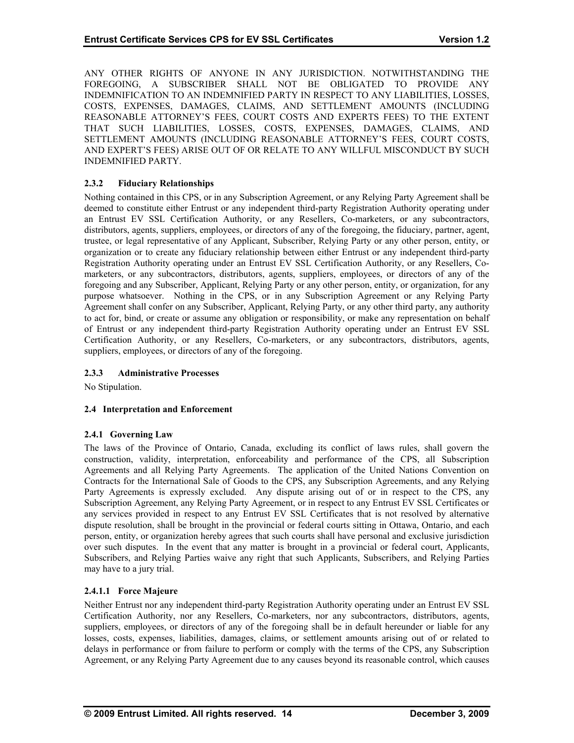ANY OTHER RIGHTS OF ANYONE IN ANY JURISDICTION. NOTWITHSTANDING THE FOREGOING, A SUBSCRIBER SHALL NOT BE OBLIGATED TO PROVIDE ANY INDEMNIFICATION TO AN INDEMNIFIED PARTY IN RESPECT TO ANY LIABILITIES, LOSSES, COSTS, EXPENSES, DAMAGES, CLAIMS, AND SETTLEMENT AMOUNTS (INCLUDING REASONABLE ATTORNEY'S FEES, COURT COSTS AND EXPERTS FEES) TO THE EXTENT THAT SUCH LIABILITIES, LOSSES, COSTS, EXPENSES, DAMAGES, CLAIMS, AND SETTLEMENT AMOUNTS (INCLUDING REASONABLE ATTORNEY'S FEES, COURT COSTS, AND EXPERT'S FEES) ARISE OUT OF OR RELATE TO ANY WILLFUL MISCONDUCT BY SUCH INDEMNIFIED PARTY.

## **2.3.2 Fiduciary Relationships**

Nothing contained in this CPS, or in any Subscription Agreement, or any Relying Party Agreement shall be deemed to constitute either Entrust or any independent third-party Registration Authority operating under an Entrust EV SSL Certification Authority, or any Resellers, Co-marketers, or any subcontractors, distributors, agents, suppliers, employees, or directors of any of the foregoing, the fiduciary, partner, agent, trustee, or legal representative of any Applicant, Subscriber, Relying Party or any other person, entity, or organization or to create any fiduciary relationship between either Entrust or any independent third-party Registration Authority operating under an Entrust EV SSL Certification Authority, or any Resellers, Comarketers, or any subcontractors, distributors, agents, suppliers, employees, or directors of any of the foregoing and any Subscriber, Applicant, Relying Party or any other person, entity, or organization, for any purpose whatsoever. Nothing in the CPS, or in any Subscription Agreement or any Relying Party Agreement shall confer on any Subscriber, Applicant, Relying Party, or any other third party, any authority to act for, bind, or create or assume any obligation or responsibility, or make any representation on behalf of Entrust or any independent third-party Registration Authority operating under an Entrust EV SSL Certification Authority, or any Resellers, Co-marketers, or any subcontractors, distributors, agents, suppliers, employees, or directors of any of the foregoing.

## **2.3.3 Administrative Processes**

No Stipulation.

#### **2.4 Interpretation and Enforcement**

#### **2.4.1 Governing Law**

The laws of the Province of Ontario, Canada, excluding its conflict of laws rules, shall govern the construction, validity, interpretation, enforceability and performance of the CPS, all Subscription Agreements and all Relying Party Agreements. The application of the United Nations Convention on Contracts for the International Sale of Goods to the CPS, any Subscription Agreements, and any Relying Party Agreements is expressly excluded. Any dispute arising out of or in respect to the CPS, any Subscription Agreement, any Relying Party Agreement, or in respect to any Entrust EV SSL Certificates or any services provided in respect to any Entrust EV SSL Certificates that is not resolved by alternative dispute resolution, shall be brought in the provincial or federal courts sitting in Ottawa, Ontario, and each person, entity, or organization hereby agrees that such courts shall have personal and exclusive jurisdiction over such disputes. In the event that any matter is brought in a provincial or federal court, Applicants, Subscribers, and Relying Parties waive any right that such Applicants, Subscribers, and Relying Parties may have to a jury trial.

## **2.4.1.1 Force Majeure**

Neither Entrust nor any independent third-party Registration Authority operating under an Entrust EV SSL Certification Authority, nor any Resellers, Co-marketers, nor any subcontractors, distributors, agents, suppliers, employees, or directors of any of the foregoing shall be in default hereunder or liable for any losses, costs, expenses, liabilities, damages, claims, or settlement amounts arising out of or related to delays in performance or from failure to perform or comply with the terms of the CPS, any Subscription Agreement, or any Relying Party Agreement due to any causes beyond its reasonable control, which causes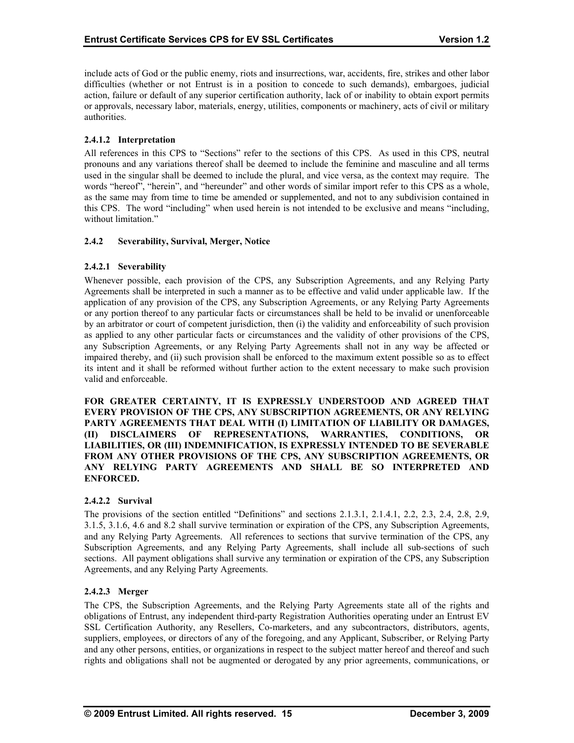include acts of God or the public enemy, riots and insurrections, war, accidents, fire, strikes and other labor difficulties (whether or not Entrust is in a position to concede to such demands), embargoes, judicial action, failure or default of any superior certification authority, lack of or inability to obtain export permits or approvals, necessary labor, materials, energy, utilities, components or machinery, acts of civil or military authorities.

## **2.4.1.2 Interpretation**

All references in this CPS to "Sections" refer to the sections of this CPS. As used in this CPS, neutral pronouns and any variations thereof shall be deemed to include the feminine and masculine and all terms used in the singular shall be deemed to include the plural, and vice versa, as the context may require. The words "hereof", "herein", and "hereunder" and other words of similar import refer to this CPS as a whole, as the same may from time to time be amended or supplemented, and not to any subdivision contained in this CPS. The word "including" when used herein is not intended to be exclusive and means "including, without limitation."

## **2.4.2 Severability, Survival, Merger, Notice**

## **2.4.2.1 Severability**

Whenever possible, each provision of the CPS, any Subscription Agreements, and any Relying Party Agreements shall be interpreted in such a manner as to be effective and valid under applicable law. If the application of any provision of the CPS, any Subscription Agreements, or any Relying Party Agreements or any portion thereof to any particular facts or circumstances shall be held to be invalid or unenforceable by an arbitrator or court of competent jurisdiction, then (i) the validity and enforceability of such provision as applied to any other particular facts or circumstances and the validity of other provisions of the CPS, any Subscription Agreements, or any Relying Party Agreements shall not in any way be affected or impaired thereby, and (ii) such provision shall be enforced to the maximum extent possible so as to effect its intent and it shall be reformed without further action to the extent necessary to make such provision valid and enforceable.

**FOR GREATER CERTAINTY, IT IS EXPRESSLY UNDERSTOOD AND AGREED THAT EVERY PROVISION OF THE CPS, ANY SUBSCRIPTION AGREEMENTS, OR ANY RELYING PARTY AGREEMENTS THAT DEAL WITH (I) LIMITATION OF LIABILITY OR DAMAGES, (II) DISCLAIMERS OF REPRESENTATIONS, WARRANTIES, CONDITIONS, OR LIABILITIES, OR (III) INDEMNIFICATION, IS EXPRESSLY INTENDED TO BE SEVERABLE FROM ANY OTHER PROVISIONS OF THE CPS, ANY SUBSCRIPTION AGREEMENTS, OR ANY RELYING PARTY AGREEMENTS AND SHALL BE SO INTERPRETED AND ENFORCED.** 

## **2.4.2.2 Survival**

The provisions of the section entitled "Definitions" and sections 2.1.3.1, 2.1.4.1, 2.2, 2.3, 2.4, 2.8, 2.9, 3.1.5, 3.1.6, 4.6 and 8.2 shall survive termination or expiration of the CPS, any Subscription Agreements, and any Relying Party Agreements. All references to sections that survive termination of the CPS, any Subscription Agreements, and any Relying Party Agreements, shall include all sub-sections of such sections. All payment obligations shall survive any termination or expiration of the CPS, any Subscription Agreements, and any Relying Party Agreements.

## **2.4.2.3 Merger**

The CPS, the Subscription Agreements, and the Relying Party Agreements state all of the rights and obligations of Entrust, any independent third-party Registration Authorities operating under an Entrust EV SSL Certification Authority, any Resellers, Co-marketers, and any subcontractors, distributors, agents, suppliers, employees, or directors of any of the foregoing, and any Applicant, Subscriber, or Relying Party and any other persons, entities, or organizations in respect to the subject matter hereof and thereof and such rights and obligations shall not be augmented or derogated by any prior agreements, communications, or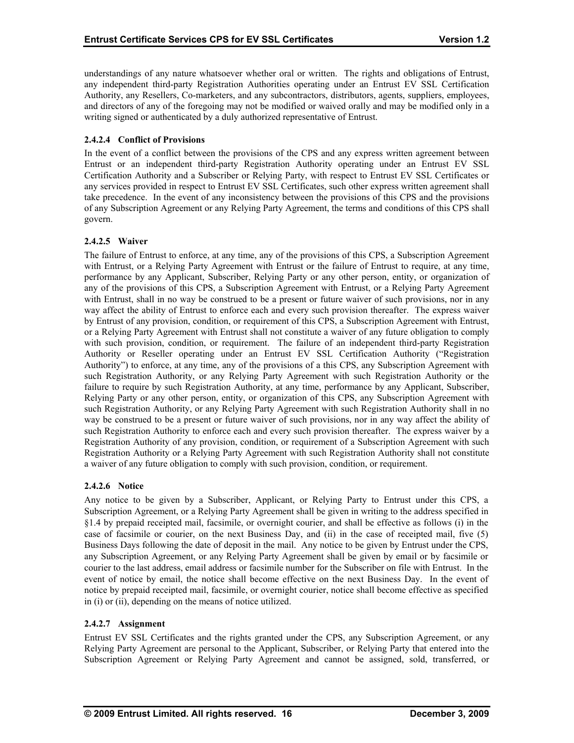understandings of any nature whatsoever whether oral or written. The rights and obligations of Entrust, any independent third-party Registration Authorities operating under an Entrust EV SSL Certification Authority, any Resellers, Co-marketers, and any subcontractors, distributors, agents, suppliers, employees, and directors of any of the foregoing may not be modified or waived orally and may be modified only in a writing signed or authenticated by a duly authorized representative of Entrust.

## **2.4.2.4 Conflict of Provisions**

In the event of a conflict between the provisions of the CPS and any express written agreement between Entrust or an independent third-party Registration Authority operating under an Entrust EV SSL Certification Authority and a Subscriber or Relying Party, with respect to Entrust EV SSL Certificates or any services provided in respect to Entrust EV SSL Certificates, such other express written agreement shall take precedence. In the event of any inconsistency between the provisions of this CPS and the provisions of any Subscription Agreement or any Relying Party Agreement, the terms and conditions of this CPS shall govern.

## **2.4.2.5 Waiver**

The failure of Entrust to enforce, at any time, any of the provisions of this CPS, a Subscription Agreement with Entrust, or a Relying Party Agreement with Entrust or the failure of Entrust to require, at any time, performance by any Applicant, Subscriber, Relying Party or any other person, entity, or organization of any of the provisions of this CPS, a Subscription Agreement with Entrust, or a Relying Party Agreement with Entrust, shall in no way be construed to be a present or future waiver of such provisions, nor in any way affect the ability of Entrust to enforce each and every such provision thereafter. The express waiver by Entrust of any provision, condition, or requirement of this CPS, a Subscription Agreement with Entrust, or a Relying Party Agreement with Entrust shall not constitute a waiver of any future obligation to comply with such provision, condition, or requirement. The failure of an independent third-party Registration Authority or Reseller operating under an Entrust EV SSL Certification Authority ("Registration Authority") to enforce, at any time, any of the provisions of a this CPS, any Subscription Agreement with such Registration Authority, or any Relying Party Agreement with such Registration Authority or the failure to require by such Registration Authority, at any time, performance by any Applicant, Subscriber, Relying Party or any other person, entity, or organization of this CPS, any Subscription Agreement with such Registration Authority, or any Relying Party Agreement with such Registration Authority shall in no way be construed to be a present or future waiver of such provisions, nor in any way affect the ability of such Registration Authority to enforce each and every such provision thereafter. The express waiver by a Registration Authority of any provision, condition, or requirement of a Subscription Agreement with such Registration Authority or a Relying Party Agreement with such Registration Authority shall not constitute a waiver of any future obligation to comply with such provision, condition, or requirement.

#### **2.4.2.6 Notice**

Any notice to be given by a Subscriber, Applicant, or Relying Party to Entrust under this CPS, a Subscription Agreement, or a Relying Party Agreement shall be given in writing to the address specified in §1.4 by prepaid receipted mail, facsimile, or overnight courier, and shall be effective as follows (i) in the case of facsimile or courier, on the next Business Day, and (ii) in the case of receipted mail, five (5) Business Days following the date of deposit in the mail. Any notice to be given by Entrust under the CPS, any Subscription Agreement, or any Relying Party Agreement shall be given by email or by facsimile or courier to the last address, email address or facsimile number for the Subscriber on file with Entrust. In the event of notice by email, the notice shall become effective on the next Business Day. In the event of notice by prepaid receipted mail, facsimile, or overnight courier, notice shall become effective as specified in (i) or (ii), depending on the means of notice utilized.

## **2.4.2.7 Assignment**

Entrust EV SSL Certificates and the rights granted under the CPS, any Subscription Agreement, or any Relying Party Agreement are personal to the Applicant, Subscriber, or Relying Party that entered into the Subscription Agreement or Relying Party Agreement and cannot be assigned, sold, transferred, or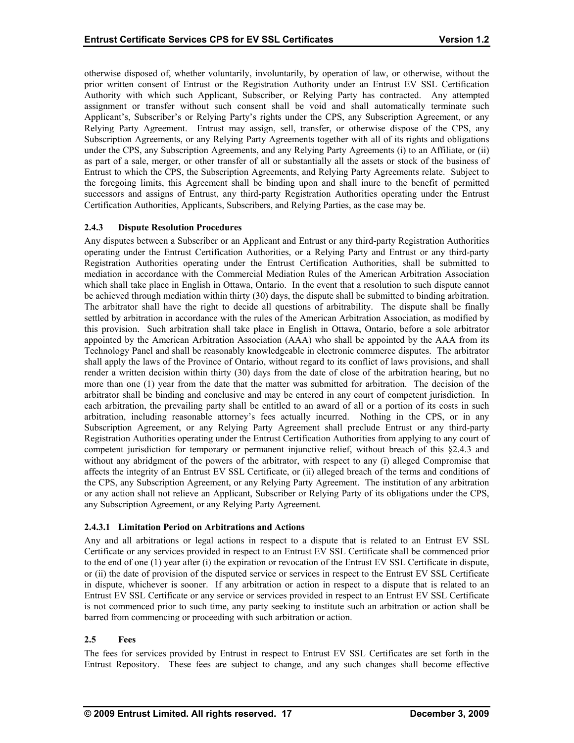otherwise disposed of, whether voluntarily, involuntarily, by operation of law, or otherwise, without the prior written consent of Entrust or the Registration Authority under an Entrust EV SSL Certification Authority with which such Applicant, Subscriber, or Relying Party has contracted. Any attempted assignment or transfer without such consent shall be void and shall automatically terminate such Applicant's, Subscriber's or Relying Party's rights under the CPS, any Subscription Agreement, or any Relying Party Agreement. Entrust may assign, sell, transfer, or otherwise dispose of the CPS, any Subscription Agreements, or any Relying Party Agreements together with all of its rights and obligations under the CPS, any Subscription Agreements, and any Relying Party Agreements (i) to an Affiliate, or (ii) as part of a sale, merger, or other transfer of all or substantially all the assets or stock of the business of Entrust to which the CPS, the Subscription Agreements, and Relying Party Agreements relate. Subject to the foregoing limits, this Agreement shall be binding upon and shall inure to the benefit of permitted successors and assigns of Entrust, any third-party Registration Authorities operating under the Entrust Certification Authorities, Applicants, Subscribers, and Relying Parties, as the case may be.

## **2.4.3 Dispute Resolution Procedures**

Any disputes between a Subscriber or an Applicant and Entrust or any third-party Registration Authorities operating under the Entrust Certification Authorities, or a Relying Party and Entrust or any third-party Registration Authorities operating under the Entrust Certification Authorities, shall be submitted to mediation in accordance with the Commercial Mediation Rules of the American Arbitration Association which shall take place in English in Ottawa, Ontario. In the event that a resolution to such dispute cannot be achieved through mediation within thirty (30) days, the dispute shall be submitted to binding arbitration. The arbitrator shall have the right to decide all questions of arbitrability. The dispute shall be finally settled by arbitration in accordance with the rules of the American Arbitration Association, as modified by this provision. Such arbitration shall take place in English in Ottawa, Ontario, before a sole arbitrator appointed by the American Arbitration Association (AAA) who shall be appointed by the AAA from its Technology Panel and shall be reasonably knowledgeable in electronic commerce disputes. The arbitrator shall apply the laws of the Province of Ontario, without regard to its conflict of laws provisions, and shall render a written decision within thirty (30) days from the date of close of the arbitration hearing, but no more than one (1) year from the date that the matter was submitted for arbitration. The decision of the arbitrator shall be binding and conclusive and may be entered in any court of competent jurisdiction. In each arbitration, the prevailing party shall be entitled to an award of all or a portion of its costs in such arbitration, including reasonable attorney's fees actually incurred. Nothing in the CPS, or in any Subscription Agreement, or any Relying Party Agreement shall preclude Entrust or any third-party Registration Authorities operating under the Entrust Certification Authorities from applying to any court of competent jurisdiction for temporary or permanent injunctive relief, without breach of this §2.4.3 and without any abridgment of the powers of the arbitrator, with respect to any (i) alleged Compromise that affects the integrity of an Entrust EV SSL Certificate, or (ii) alleged breach of the terms and conditions of the CPS, any Subscription Agreement, or any Relying Party Agreement. The institution of any arbitration or any action shall not relieve an Applicant, Subscriber or Relying Party of its obligations under the CPS, any Subscription Agreement, or any Relying Party Agreement.

## **2.4.3.1 Limitation Period on Arbitrations and Actions**

Any and all arbitrations or legal actions in respect to a dispute that is related to an Entrust EV SSL Certificate or any services provided in respect to an Entrust EV SSL Certificate shall be commenced prior to the end of one (1) year after (i) the expiration or revocation of the Entrust EV SSL Certificate in dispute, or (ii) the date of provision of the disputed service or services in respect to the Entrust EV SSL Certificate in dispute, whichever is sooner. If any arbitration or action in respect to a dispute that is related to an Entrust EV SSL Certificate or any service or services provided in respect to an Entrust EV SSL Certificate is not commenced prior to such time, any party seeking to institute such an arbitration or action shall be barred from commencing or proceeding with such arbitration or action.

## **2.5 Fees**

The fees for services provided by Entrust in respect to Entrust EV SSL Certificates are set forth in the Entrust Repository. These fees are subject to change, and any such changes shall become effective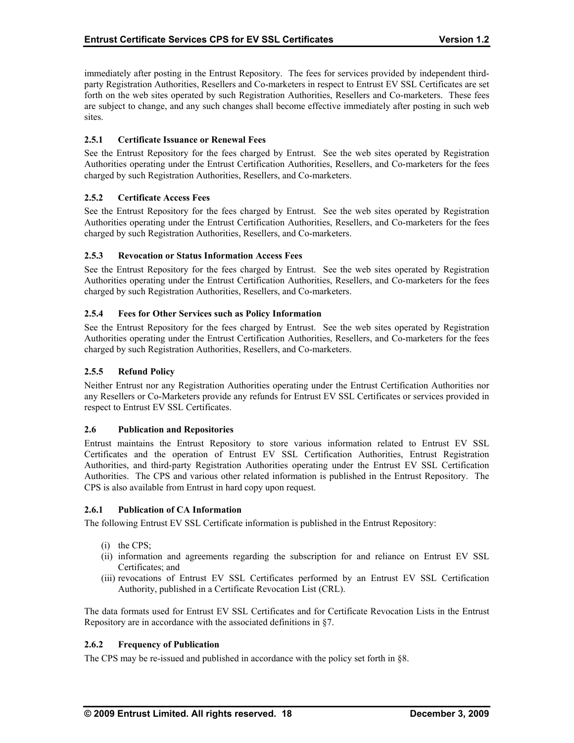immediately after posting in the Entrust Repository. The fees for services provided by independent thirdparty Registration Authorities, Resellers and Co-marketers in respect to Entrust EV SSL Certificates are set forth on the web sites operated by such Registration Authorities, Resellers and Co-marketers. These fees are subject to change, and any such changes shall become effective immediately after posting in such web sites.

## **2.5.1 Certificate Issuance or Renewal Fees**

See the Entrust Repository for the fees charged by Entrust. See the web sites operated by Registration Authorities operating under the Entrust Certification Authorities, Resellers, and Co-marketers for the fees charged by such Registration Authorities, Resellers, and Co-marketers.

## **2.5.2 Certificate Access Fees**

See the Entrust Repository for the fees charged by Entrust. See the web sites operated by Registration Authorities operating under the Entrust Certification Authorities, Resellers, and Co-marketers for the fees charged by such Registration Authorities, Resellers, and Co-marketers.

## **2.5.3 Revocation or Status Information Access Fees**

See the Entrust Repository for the fees charged by Entrust. See the web sites operated by Registration Authorities operating under the Entrust Certification Authorities, Resellers, and Co-marketers for the fees charged by such Registration Authorities, Resellers, and Co-marketers.

#### **2.5.4 Fees for Other Services such as Policy Information**

See the Entrust Repository for the fees charged by Entrust. See the web sites operated by Registration Authorities operating under the Entrust Certification Authorities, Resellers, and Co-marketers for the fees charged by such Registration Authorities, Resellers, and Co-marketers.

#### **2.5.5 Refund Policy**

Neither Entrust nor any Registration Authorities operating under the Entrust Certification Authorities nor any Resellers or Co-Marketers provide any refunds for Entrust EV SSL Certificates or services provided in respect to Entrust EV SSL Certificates.

#### **2.6 Publication and Repositories**

Entrust maintains the Entrust Repository to store various information related to Entrust EV SSL Certificates and the operation of Entrust EV SSL Certification Authorities, Entrust Registration Authorities, and third-party Registration Authorities operating under the Entrust EV SSL Certification Authorities. The CPS and various other related information is published in the Entrust Repository. The CPS is also available from Entrust in hard copy upon request.

#### **2.6.1 Publication of CA Information**

The following Entrust EV SSL Certificate information is published in the Entrust Repository:

- (i) the CPS;
- (ii) information and agreements regarding the subscription for and reliance on Entrust EV SSL Certificates; and
- (iii) revocations of Entrust EV SSL Certificates performed by an Entrust EV SSL Certification Authority, published in a Certificate Revocation List (CRL).

The data formats used for Entrust EV SSL Certificates and for Certificate Revocation Lists in the Entrust Repository are in accordance with the associated definitions in §7.

## **2.6.2 Frequency of Publication**

The CPS may be re-issued and published in accordance with the policy set forth in §8.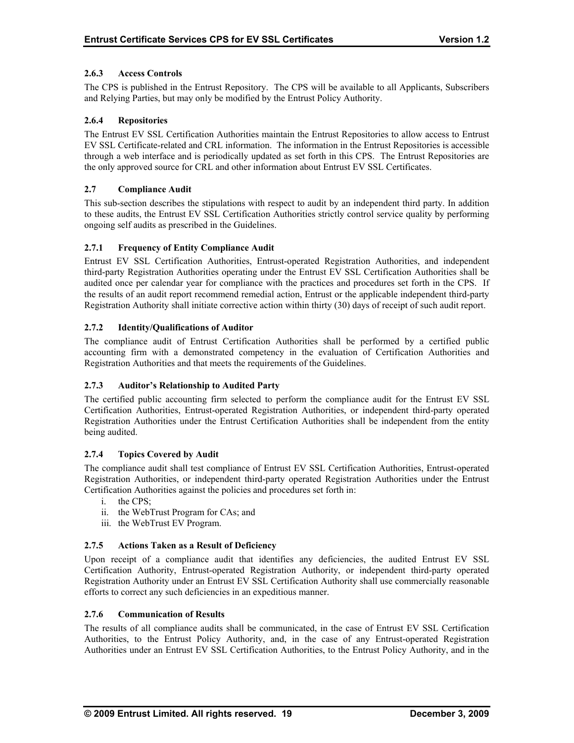## **2.6.3 Access Controls**

The CPS is published in the Entrust Repository. The CPS will be available to all Applicants, Subscribers and Relying Parties, but may only be modified by the Entrust Policy Authority.

## **2.6.4 Repositories**

The Entrust EV SSL Certification Authorities maintain the Entrust Repositories to allow access to Entrust EV SSL Certificate-related and CRL information. The information in the Entrust Repositories is accessible through a web interface and is periodically updated as set forth in this CPS. The Entrust Repositories are the only approved source for CRL and other information about Entrust EV SSL Certificates.

## **2.7 Compliance Audit**

This sub-section describes the stipulations with respect to audit by an independent third party. In addition to these audits, the Entrust EV SSL Certification Authorities strictly control service quality by performing ongoing self audits as prescribed in the Guidelines.

## **2.7.1 Frequency of Entity Compliance Audit**

Entrust EV SSL Certification Authorities, Entrust-operated Registration Authorities, and independent third-party Registration Authorities operating under the Entrust EV SSL Certification Authorities shall be audited once per calendar year for compliance with the practices and procedures set forth in the CPS. If the results of an audit report recommend remedial action, Entrust or the applicable independent third-party Registration Authority shall initiate corrective action within thirty (30) days of receipt of such audit report.

## **2.7.2 Identity/Qualifications of Auditor**

The compliance audit of Entrust Certification Authorities shall be performed by a certified public accounting firm with a demonstrated competency in the evaluation of Certification Authorities and Registration Authorities and that meets the requirements of the Guidelines.

#### **2.7.3 Auditor's Relationship to Audited Party**

The certified public accounting firm selected to perform the compliance audit for the Entrust EV SSL Certification Authorities, Entrust-operated Registration Authorities, or independent third-party operated Registration Authorities under the Entrust Certification Authorities shall be independent from the entity being audited.

#### **2.7.4 Topics Covered by Audit**

The compliance audit shall test compliance of Entrust EV SSL Certification Authorities, Entrust-operated Registration Authorities, or independent third-party operated Registration Authorities under the Entrust Certification Authorities against the policies and procedures set forth in:

- i. the CPS;
- ii. the WebTrust Program for CAs; and
- iii. the WebTrust EV Program.

#### **2.7.5 Actions Taken as a Result of Deficiency**

Upon receipt of a compliance audit that identifies any deficiencies, the audited Entrust EV SSL Certification Authority, Entrust-operated Registration Authority, or independent third-party operated Registration Authority under an Entrust EV SSL Certification Authority shall use commercially reasonable efforts to correct any such deficiencies in an expeditious manner.

#### **2.7.6 Communication of Results**

The results of all compliance audits shall be communicated, in the case of Entrust EV SSL Certification Authorities, to the Entrust Policy Authority, and, in the case of any Entrust-operated Registration Authorities under an Entrust EV SSL Certification Authorities, to the Entrust Policy Authority, and in the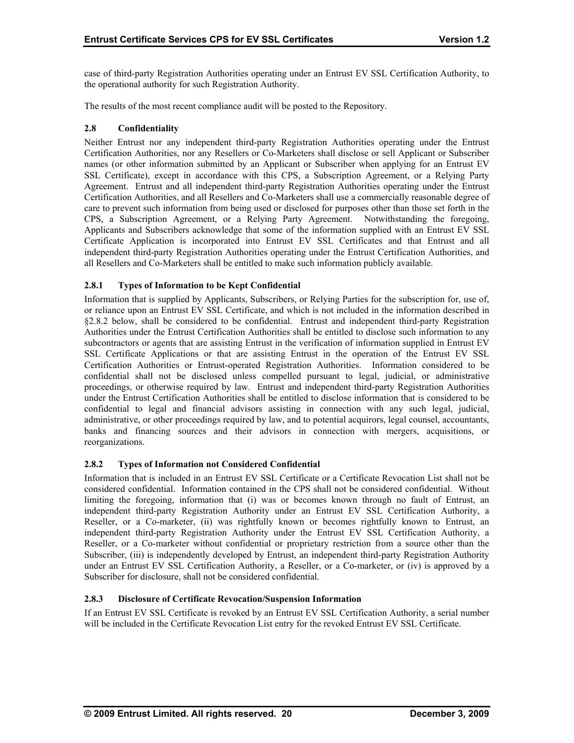case of third-party Registration Authorities operating under an Entrust EV SSL Certification Authority, to the operational authority for such Registration Authority.

The results of the most recent compliance audit will be posted to the Repository.

## **2.8 Confidentiality**

Neither Entrust nor any independent third-party Registration Authorities operating under the Entrust Certification Authorities, nor any Resellers or Co-Marketers shall disclose or sell Applicant or Subscriber names (or other information submitted by an Applicant or Subscriber when applying for an Entrust EV SSL Certificate), except in accordance with this CPS, a Subscription Agreement, or a Relying Party Agreement. Entrust and all independent third-party Registration Authorities operating under the Entrust Certification Authorities, and all Resellers and Co-Marketers shall use a commercially reasonable degree of care to prevent such information from being used or disclosed for purposes other than those set forth in the CPS, a Subscription Agreement, or a Relying Party Agreement. Notwithstanding the foregoing, Applicants and Subscribers acknowledge that some of the information supplied with an Entrust EV SSL Certificate Application is incorporated into Entrust EV SSL Certificates and that Entrust and all independent third-party Registration Authorities operating under the Entrust Certification Authorities, and all Resellers and Co-Marketers shall be entitled to make such information publicly available.

## **2.8.1 Types of Information to be Kept Confidential**

Information that is supplied by Applicants, Subscribers, or Relying Parties for the subscription for, use of, or reliance upon an Entrust EV SSL Certificate, and which is not included in the information described in §2.8.2 below, shall be considered to be confidential. Entrust and independent third-party Registration Authorities under the Entrust Certification Authorities shall be entitled to disclose such information to any subcontractors or agents that are assisting Entrust in the verification of information supplied in Entrust EV SSL Certificate Applications or that are assisting Entrust in the operation of the Entrust EV SSL Certification Authorities or Entrust-operated Registration Authorities. Information considered to be confidential shall not be disclosed unless compelled pursuant to legal, judicial, or administrative proceedings, or otherwise required by law. Entrust and independent third-party Registration Authorities under the Entrust Certification Authorities shall be entitled to disclose information that is considered to be confidential to legal and financial advisors assisting in connection with any such legal, judicial, administrative, or other proceedings required by law, and to potential acquirors, legal counsel, accountants, banks and financing sources and their advisors in connection with mergers, acquisitions, or reorganizations.

## **2.8.2 Types of Information not Considered Confidential**

Information that is included in an Entrust EV SSL Certificate or a Certificate Revocation List shall not be considered confidential. Information contained in the CPS shall not be considered confidential. Without limiting the foregoing, information that (i) was or becomes known through no fault of Entrust, an independent third-party Registration Authority under an Entrust EV SSL Certification Authority, a Reseller, or a Co-marketer, (ii) was rightfully known or becomes rightfully known to Entrust, an independent third-party Registration Authority under the Entrust EV SSL Certification Authority, a Reseller, or a Co-marketer without confidential or proprietary restriction from a source other than the Subscriber, (iii) is independently developed by Entrust, an independent third-party Registration Authority under an Entrust EV SSL Certification Authority, a Reseller, or a Co-marketer, or (iv) is approved by a Subscriber for disclosure, shall not be considered confidential.

## **2.8.3 Disclosure of Certificate Revocation/Suspension Information**

If an Entrust EV SSL Certificate is revoked by an Entrust EV SSL Certification Authority, a serial number will be included in the Certificate Revocation List entry for the revoked Entrust EV SSL Certificate.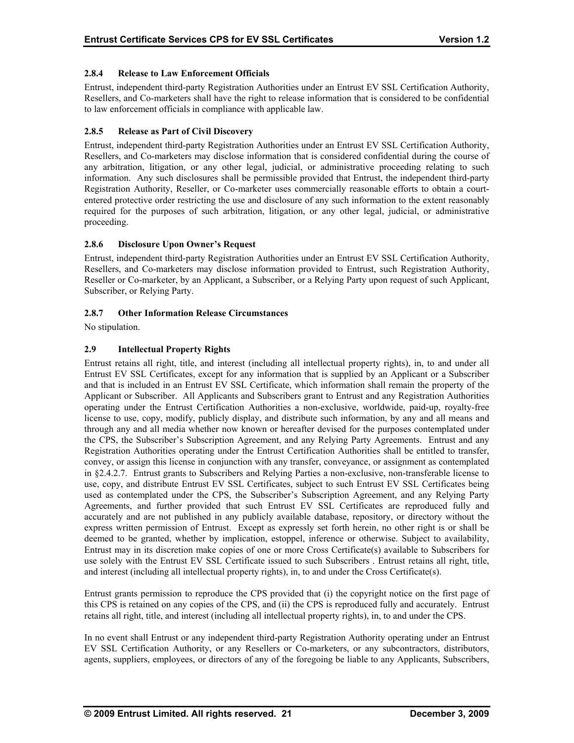## **2.8.4 Release to Law Enforcement Officials**

Entrust, independent third-party Registration Authorities under an Entrust EV SSL Certification Authority, Resellers, and Co-marketers shall have the right to release information that is considered to be confidential to law enforcement officials in compliance with applicable law.

## **2.8.5 Release as Part of Civil Discovery**

Entrust, independent third-party Registration Authorities under an Entrust EV SSL Certification Authority, Resellers, and Co-marketers may disclose information that is considered confidential during the course of any arbitration, litigation, or any other legal, judicial, or administrative proceeding relating to such information. Any such disclosures shall be permissible provided that Entrust, the independent third-party Registration Authority, Reseller, or Co-marketer uses commercially reasonable efforts to obtain a courtentered protective order restricting the use and disclosure of any such information to the extent reasonably required for the purposes of such arbitration, litigation, or any other legal, judicial, or administrative proceeding.

## **2.8.6 Disclosure Upon Owner's Request**

Entrust, independent third-party Registration Authorities under an Entrust EV SSL Certification Authority, Resellers, and Co-marketers may disclose information provided to Entrust, such Registration Authority, Reseller or Co-marketer, by an Applicant, a Subscriber, or a Relying Party upon request of such Applicant, Subscriber, or Relying Party.

## **2.8.7 Other Information Release Circumstances**

No stipulation.

## **2.9 Intellectual Property Rights**

Entrust retains all right, title, and interest (including all intellectual property rights), in, to and under all Entrust EV SSL Certificates, except for any information that is supplied by an Applicant or a Subscriber and that is included in an Entrust EV SSL Certificate, which information shall remain the property of the Applicant or Subscriber. All Applicants and Subscribers grant to Entrust and any Registration Authorities operating under the Entrust Certification Authorities a non-exclusive, worldwide, paid-up, royalty-free license to use, copy, modify, publicly display, and distribute such information, by any and all means and through any and all media whether now known or hereafter devised for the purposes contemplated under the CPS, the Subscriber's Subscription Agreement, and any Relying Party Agreements. Entrust and any Registration Authorities operating under the Entrust Certification Authorities shall be entitled to transfer, convey, or assign this license in conjunction with any transfer, conveyance, or assignment as contemplated in §2.4.2.7. Entrust grants to Subscribers and Relying Parties a non-exclusive, non-transferable license to use, copy, and distribute Entrust EV SSL Certificates, subject to such Entrust EV SSL Certificates being used as contemplated under the CPS, the Subscriber's Subscription Agreement, and any Relying Party Agreements, and further provided that such Entrust EV SSL Certificates are reproduced fully and accurately and are not published in any publicly available database, repository, or directory without the express written permission of Entrust. Except as expressly set forth herein, no other right is or shall be deemed to be granted, whether by implication, estoppel, inference or otherwise. Subject to availability, Entrust may in its discretion make copies of one or more Cross Certificate(s) available to Subscribers for use solely with the Entrust EV SSL Certificate issued to such Subscribers . Entrust retains all right, title, and interest (including all intellectual property rights), in, to and under the Cross Certificate(s).

Entrust grants permission to reproduce the CPS provided that (i) the copyright notice on the first page of this CPS is retained on any copies of the CPS, and (ii) the CPS is reproduced fully and accurately. Entrust retains all right, title, and interest (including all intellectual property rights), in, to and under the CPS.

In no event shall Entrust or any independent third-party Registration Authority operating under an Entrust EV SSL Certification Authority, or any Resellers or Co-marketers, or any subcontractors, distributors, agents, suppliers, employees, or directors of any of the foregoing be liable to any Applicants, Subscribers,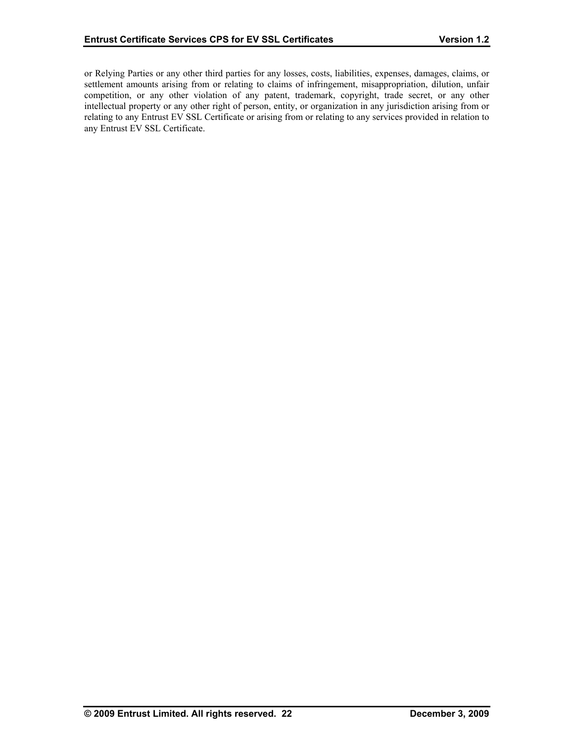or Relying Parties or any other third parties for any losses, costs, liabilities, expenses, damages, claims, or settlement amounts arising from or relating to claims of infringement, misappropriation, dilution, unfair competition, or any other violation of any patent, trademark, copyright, trade secret, or any other intellectual property or any other right of person, entity, or organization in any jurisdiction arising from or relating to any Entrust EV SSL Certificate or arising from or relating to any services provided in relation to any Entrust EV SSL Certificate.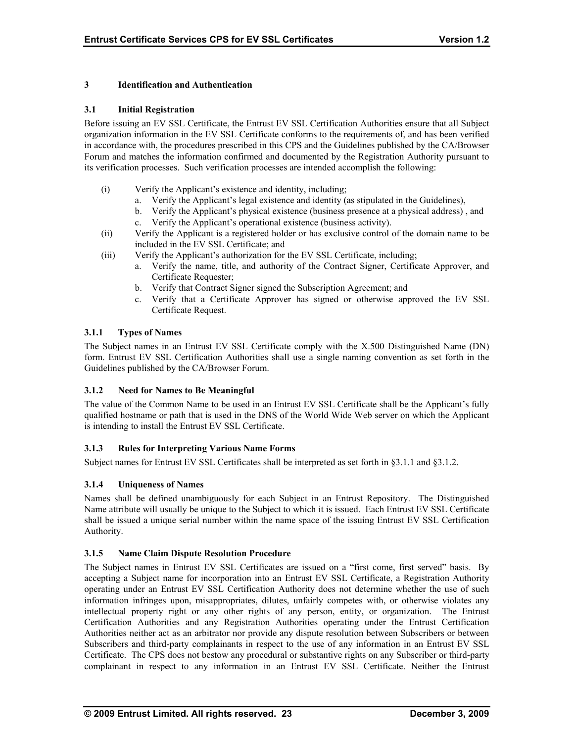## **3 Identification and Authentication**

#### **3.1 Initial Registration**

Before issuing an EV SSL Certificate, the Entrust EV SSL Certification Authorities ensure that all Subject organization information in the EV SSL Certificate conforms to the requirements of, and has been verified in accordance with, the procedures prescribed in this CPS and the Guidelines published by the CA/Browser Forum and matches the information confirmed and documented by the Registration Authority pursuant to its verification processes. Such verification processes are intended accomplish the following:

- (i) Verify the Applicant's existence and identity, including;
	- a. Verify the Applicant's legal existence and identity (as stipulated in the Guidelines),
	- b. Verify the Applicant's physical existence (business presence at a physical address) , and
	- c. Verify the Applicant's operational existence (business activity).
- (ii) Verify the Applicant is a registered holder or has exclusive control of the domain name to be included in the EV SSL Certificate; and
- (iii) Verify the Applicant's authorization for the EV SSL Certificate, including;
	- a. Verify the name, title, and authority of the Contract Signer, Certificate Approver, and Certificate Requester;
	- b. Verify that Contract Signer signed the Subscription Agreement; and
	- c. Verify that a Certificate Approver has signed or otherwise approved the EV SSL Certificate Request.

## **3.1.1 Types of Names**

The Subject names in an Entrust EV SSL Certificate comply with the X.500 Distinguished Name (DN) form. Entrust EV SSL Certification Authorities shall use a single naming convention as set forth in the Guidelines published by the CA/Browser Forum.

#### **3.1.2 Need for Names to Be Meaningful**

The value of the Common Name to be used in an Entrust EV SSL Certificate shall be the Applicant's fully qualified hostname or path that is used in the DNS of the World Wide Web server on which the Applicant is intending to install the Entrust EV SSL Certificate.

## **3.1.3 Rules for Interpreting Various Name Forms**

Subject names for Entrust EV SSL Certificates shall be interpreted as set forth in §3.1.1 and §3.1.2.

## **3.1.4 Uniqueness of Names**

Names shall be defined unambiguously for each Subject in an Entrust Repository. The Distinguished Name attribute will usually be unique to the Subject to which it is issued. Each Entrust EV SSL Certificate shall be issued a unique serial number within the name space of the issuing Entrust EV SSL Certification Authority.

#### **3.1.5 Name Claim Dispute Resolution Procedure**

The Subject names in Entrust EV SSL Certificates are issued on a "first come, first served" basis. By accepting a Subject name for incorporation into an Entrust EV SSL Certificate, a Registration Authority operating under an Entrust EV SSL Certification Authority does not determine whether the use of such information infringes upon, misappropriates, dilutes, unfairly competes with, or otherwise violates any intellectual property right or any other rights of any person, entity, or organization. The Entrust Certification Authorities and any Registration Authorities operating under the Entrust Certification Authorities neither act as an arbitrator nor provide any dispute resolution between Subscribers or between Subscribers and third-party complainants in respect to the use of any information in an Entrust EV SSL Certificate. The CPS does not bestow any procedural or substantive rights on any Subscriber or third-party complainant in respect to any information in an Entrust EV SSL Certificate. Neither the Entrust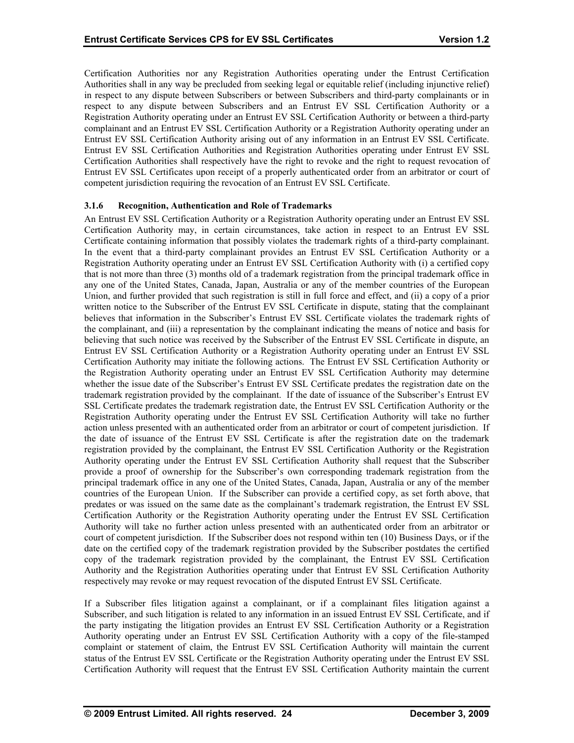Certification Authorities nor any Registration Authorities operating under the Entrust Certification Authorities shall in any way be precluded from seeking legal or equitable relief (including injunctive relief) in respect to any dispute between Subscribers or between Subscribers and third-party complainants or in respect to any dispute between Subscribers and an Entrust EV SSL Certification Authority or a Registration Authority operating under an Entrust EV SSL Certification Authority or between a third-party complainant and an Entrust EV SSL Certification Authority or a Registration Authority operating under an Entrust EV SSL Certification Authority arising out of any information in an Entrust EV SSL Certificate. Entrust EV SSL Certification Authorities and Registration Authorities operating under Entrust EV SSL Certification Authorities shall respectively have the right to revoke and the right to request revocation of Entrust EV SSL Certificates upon receipt of a properly authenticated order from an arbitrator or court of competent jurisdiction requiring the revocation of an Entrust EV SSL Certificate.

#### **3.1.6 Recognition, Authentication and Role of Trademarks**

An Entrust EV SSL Certification Authority or a Registration Authority operating under an Entrust EV SSL Certification Authority may, in certain circumstances, take action in respect to an Entrust EV SSL Certificate containing information that possibly violates the trademark rights of a third-party complainant. In the event that a third-party complainant provides an Entrust EV SSL Certification Authority or a Registration Authority operating under an Entrust EV SSL Certification Authority with (i) a certified copy that is not more than three (3) months old of a trademark registration from the principal trademark office in any one of the United States, Canada, Japan, Australia or any of the member countries of the European Union, and further provided that such registration is still in full force and effect, and (ii) a copy of a prior written notice to the Subscriber of the Entrust EV SSL Certificate in dispute, stating that the complainant believes that information in the Subscriber's Entrust EV SSL Certificate violates the trademark rights of the complainant, and (iii) a representation by the complainant indicating the means of notice and basis for believing that such notice was received by the Subscriber of the Entrust EV SSL Certificate in dispute, an Entrust EV SSL Certification Authority or a Registration Authority operating under an Entrust EV SSL Certification Authority may initiate the following actions. The Entrust EV SSL Certification Authority or the Registration Authority operating under an Entrust EV SSL Certification Authority may determine whether the issue date of the Subscriber's Entrust EV SSL Certificate predates the registration date on the trademark registration provided by the complainant. If the date of issuance of the Subscriber's Entrust EV SSL Certificate predates the trademark registration date, the Entrust EV SSL Certification Authority or the Registration Authority operating under the Entrust EV SSL Certification Authority will take no further action unless presented with an authenticated order from an arbitrator or court of competent jurisdiction. If the date of issuance of the Entrust EV SSL Certificate is after the registration date on the trademark registration provided by the complainant, the Entrust EV SSL Certification Authority or the Registration Authority operating under the Entrust EV SSL Certification Authority shall request that the Subscriber provide a proof of ownership for the Subscriber's own corresponding trademark registration from the principal trademark office in any one of the United States, Canada, Japan, Australia or any of the member countries of the European Union. If the Subscriber can provide a certified copy, as set forth above, that predates or was issued on the same date as the complainant's trademark registration, the Entrust EV SSL Certification Authority or the Registration Authority operating under the Entrust EV SSL Certification Authority will take no further action unless presented with an authenticated order from an arbitrator or court of competent jurisdiction. If the Subscriber does not respond within ten (10) Business Days, or if the date on the certified copy of the trademark registration provided by the Subscriber postdates the certified copy of the trademark registration provided by the complainant, the Entrust EV SSL Certification Authority and the Registration Authorities operating under that Entrust EV SSL Certification Authority respectively may revoke or may request revocation of the disputed Entrust EV SSL Certificate.

If a Subscriber files litigation against a complainant, or if a complainant files litigation against a Subscriber, and such litigation is related to any information in an issued Entrust EV SSL Certificate, and if the party instigating the litigation provides an Entrust EV SSL Certification Authority or a Registration Authority operating under an Entrust EV SSL Certification Authority with a copy of the file-stamped complaint or statement of claim, the Entrust EV SSL Certification Authority will maintain the current status of the Entrust EV SSL Certificate or the Registration Authority operating under the Entrust EV SSL Certification Authority will request that the Entrust EV SSL Certification Authority maintain the current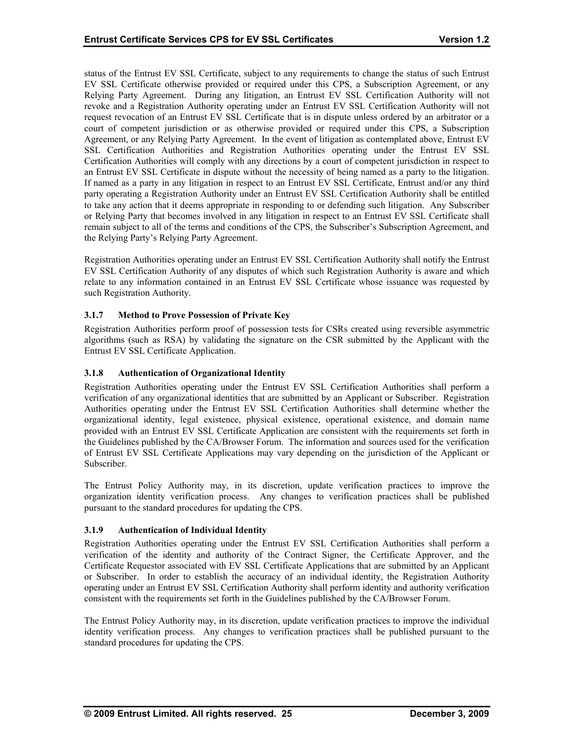status of the Entrust EV SSL Certificate, subject to any requirements to change the status of such Entrust EV SSL Certificate otherwise provided or required under this CPS, a Subscription Agreement, or any Relying Party Agreement. During any litigation, an Entrust EV SSL Certification Authority will not revoke and a Registration Authority operating under an Entrust EV SSL Certification Authority will not request revocation of an Entrust EV SSL Certificate that is in dispute unless ordered by an arbitrator or a court of competent jurisdiction or as otherwise provided or required under this CPS, a Subscription Agreement, or any Relying Party Agreement. In the event of litigation as contemplated above, Entrust EV SSL Certification Authorities and Registration Authorities operating under the Entrust EV SSL Certification Authorities will comply with any directions by a court of competent jurisdiction in respect to an Entrust EV SSL Certificate in dispute without the necessity of being named as a party to the litigation. If named as a party in any litigation in respect to an Entrust EV SSL Certificate, Entrust and/or any third party operating a Registration Authority under an Entrust EV SSL Certification Authority shall be entitled to take any action that it deems appropriate in responding to or defending such litigation. Any Subscriber or Relying Party that becomes involved in any litigation in respect to an Entrust EV SSL Certificate shall remain subject to all of the terms and conditions of the CPS, the Subscriber's Subscription Agreement, and the Relying Party's Relying Party Agreement.

Registration Authorities operating under an Entrust EV SSL Certification Authority shall notify the Entrust EV SSL Certification Authority of any disputes of which such Registration Authority is aware and which relate to any information contained in an Entrust EV SSL Certificate whose issuance was requested by such Registration Authority.

## **3.1.7 Method to Prove Possession of Private Key**

Registration Authorities perform proof of possession tests for CSRs created using reversible asymmetric algorithms (such as RSA) by validating the signature on the CSR submitted by the Applicant with the Entrust EV SSL Certificate Application.

#### **3.1.8 Authentication of Organizational Identity**

Registration Authorities operating under the Entrust EV SSL Certification Authorities shall perform a verification of any organizational identities that are submitted by an Applicant or Subscriber. Registration Authorities operating under the Entrust EV SSL Certification Authorities shall determine whether the organizational identity, legal existence, physical existence, operational existence, and domain name provided with an Entrust EV SSL Certificate Application are consistent with the requirements set forth in the Guidelines published by the CA/Browser Forum. The information and sources used for the verification of Entrust EV SSL Certificate Applications may vary depending on the jurisdiction of the Applicant or Subscriber.

The Entrust Policy Authority may, in its discretion, update verification practices to improve the organization identity verification process. Any changes to verification practices shall be published pursuant to the standard procedures for updating the CPS.

#### **3.1.9 Authentication of Individual Identity**

Registration Authorities operating under the Entrust EV SSL Certification Authorities shall perform a verification of the identity and authority of the Contract Signer, the Certificate Approver, and the Certificate Requestor associated with EV SSL Certificate Applications that are submitted by an Applicant or Subscriber. In order to establish the accuracy of an individual identity, the Registration Authority operating under an Entrust EV SSL Certification Authority shall perform identity and authority verification consistent with the requirements set forth in the Guidelines published by the CA/Browser Forum.

The Entrust Policy Authority may, in its discretion, update verification practices to improve the individual identity verification process. Any changes to verification practices shall be published pursuant to the standard procedures for updating the CPS.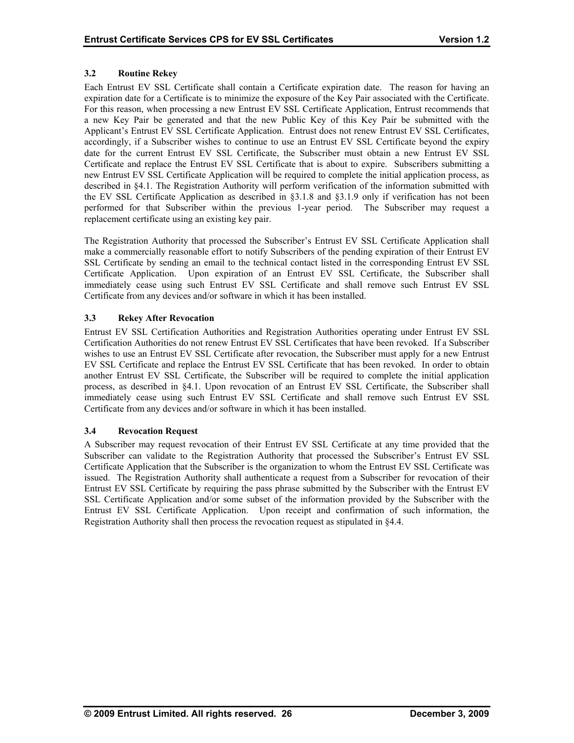## **3.2 Routine Rekey**

Each Entrust EV SSL Certificate shall contain a Certificate expiration date. The reason for having an expiration date for a Certificate is to minimize the exposure of the Key Pair associated with the Certificate. For this reason, when processing a new Entrust EV SSL Certificate Application, Entrust recommends that a new Key Pair be generated and that the new Public Key of this Key Pair be submitted with the Applicant's Entrust EV SSL Certificate Application. Entrust does not renew Entrust EV SSL Certificates, accordingly, if a Subscriber wishes to continue to use an Entrust EV SSL Certificate beyond the expiry date for the current Entrust EV SSL Certificate, the Subscriber must obtain a new Entrust EV SSL Certificate and replace the Entrust EV SSL Certificate that is about to expire. Subscribers submitting a new Entrust EV SSL Certificate Application will be required to complete the initial application process, as described in §4.1. The Registration Authority will perform verification of the information submitted with the EV SSL Certificate Application as described in §3.1.8 and §3.1.9 only if verification has not been performed for that Subscriber within the previous 1-year period. The Subscriber may request a replacement certificate using an existing key pair.

The Registration Authority that processed the Subscriber's Entrust EV SSL Certificate Application shall make a commercially reasonable effort to notify Subscribers of the pending expiration of their Entrust EV SSL Certificate by sending an email to the technical contact listed in the corresponding Entrust EV SSL Certificate Application. Upon expiration of an Entrust EV SSL Certificate, the Subscriber shall immediately cease using such Entrust EV SSL Certificate and shall remove such Entrust EV SSL Certificate from any devices and/or software in which it has been installed.

## **3.3 Rekey After Revocation**

Entrust EV SSL Certification Authorities and Registration Authorities operating under Entrust EV SSL Certification Authorities do not renew Entrust EV SSL Certificates that have been revoked. If a Subscriber wishes to use an Entrust EV SSL Certificate after revocation, the Subscriber must apply for a new Entrust EV SSL Certificate and replace the Entrust EV SSL Certificate that has been revoked. In order to obtain another Entrust EV SSL Certificate, the Subscriber will be required to complete the initial application process, as described in §4.1. Upon revocation of an Entrust EV SSL Certificate, the Subscriber shall immediately cease using such Entrust EV SSL Certificate and shall remove such Entrust EV SSL Certificate from any devices and/or software in which it has been installed.

## **3.4 Revocation Request**

A Subscriber may request revocation of their Entrust EV SSL Certificate at any time provided that the Subscriber can validate to the Registration Authority that processed the Subscriber's Entrust EV SSL Certificate Application that the Subscriber is the organization to whom the Entrust EV SSL Certificate was issued. The Registration Authority shall authenticate a request from a Subscriber for revocation of their Entrust EV SSL Certificate by requiring the pass phrase submitted by the Subscriber with the Entrust EV SSL Certificate Application and/or some subset of the information provided by the Subscriber with the Entrust EV SSL Certificate Application. Upon receipt and confirmation of such information, the Registration Authority shall then process the revocation request as stipulated in §4.4.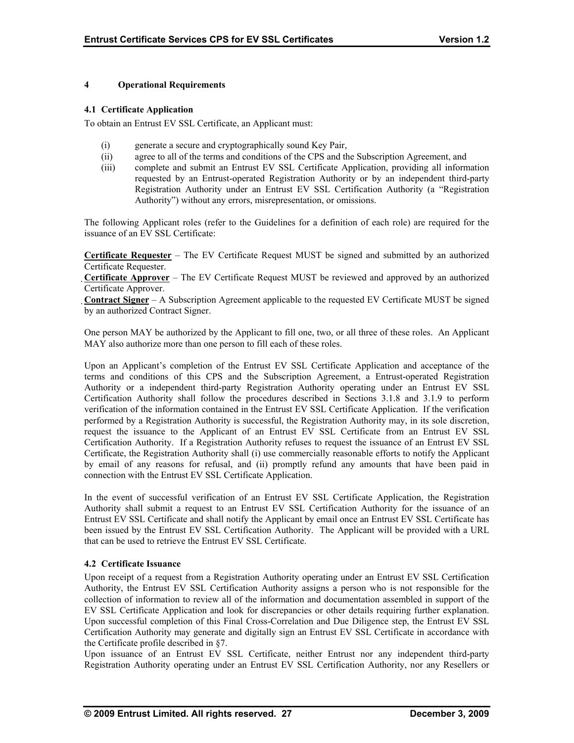## **4 Operational Requirements**

#### **4.1 Certificate Application**

To obtain an Entrust EV SSL Certificate, an Applicant must:

- (i) generate a secure and cryptographically sound Key Pair,
- (ii) agree to all of the terms and conditions of the CPS and the Subscription Agreement, and
- (iii) complete and submit an Entrust EV SSL Certificate Application, providing all information requested by an Entrust-operated Registration Authority or by an independent third-party Registration Authority under an Entrust EV SSL Certification Authority (a "Registration Authority") without any errors, misrepresentation, or omissions.

The following Applicant roles (refer to the Guidelines for a definition of each role) are required for the issuance of an EV SSL Certificate:

**Certificate Requester** – The EV Certificate Request MUST be signed and submitted by an authorized Certificate Requester.

**Certificate Approver** – The EV Certificate Request MUST be reviewed and approved by an authorized Certificate Approver.

**Contract Signer** – A Subscription Agreement applicable to the requested EV Certificate MUST be signed by an authorized Contract Signer.

One person MAY be authorized by the Applicant to fill one, two, or all three of these roles. An Applicant MAY also authorize more than one person to fill each of these roles.

Upon an Applicant's completion of the Entrust EV SSL Certificate Application and acceptance of the terms and conditions of this CPS and the Subscription Agreement, a Entrust-operated Registration Authority or a independent third-party Registration Authority operating under an Entrust EV SSL Certification Authority shall follow the procedures described in Sections 3.1.8 and 3.1.9 to perform verification of the information contained in the Entrust EV SSL Certificate Application. If the verification performed by a Registration Authority is successful, the Registration Authority may, in its sole discretion, request the issuance to the Applicant of an Entrust EV SSL Certificate from an Entrust EV SSL Certification Authority. If a Registration Authority refuses to request the issuance of an Entrust EV SSL Certificate, the Registration Authority shall (i) use commercially reasonable efforts to notify the Applicant by email of any reasons for refusal, and (ii) promptly refund any amounts that have been paid in connection with the Entrust EV SSL Certificate Application.

In the event of successful verification of an Entrust EV SSL Certificate Application, the Registration Authority shall submit a request to an Entrust EV SSL Certification Authority for the issuance of an Entrust EV SSL Certificate and shall notify the Applicant by email once an Entrust EV SSL Certificate has been issued by the Entrust EV SSL Certification Authority. The Applicant will be provided with a URL that can be used to retrieve the Entrust EV SSL Certificate.

## **4.2 Certificate Issuance**

Upon receipt of a request from a Registration Authority operating under an Entrust EV SSL Certification Authority, the Entrust EV SSL Certification Authority assigns a person who is not responsible for the collection of information to review all of the information and documentation assembled in support of the EV SSL Certificate Application and look for discrepancies or other details requiring further explanation. Upon successful completion of this Final Cross-Correlation and Due Diligence step, the Entrust EV SSL Certification Authority may generate and digitally sign an Entrust EV SSL Certificate in accordance with the Certificate profile described in §7.

Upon issuance of an Entrust EV SSL Certificate, neither Entrust nor any independent third-party Registration Authority operating under an Entrust EV SSL Certification Authority, nor any Resellers or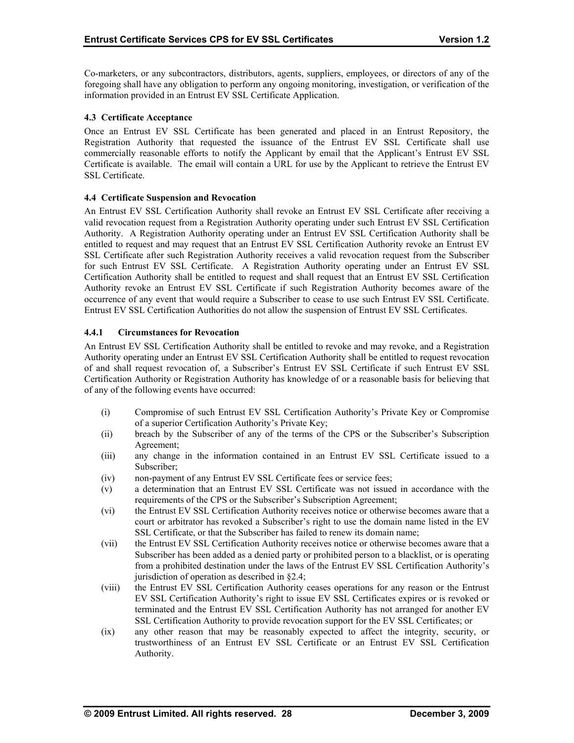Co-marketers, or any subcontractors, distributors, agents, suppliers, employees, or directors of any of the foregoing shall have any obligation to perform any ongoing monitoring, investigation, or verification of the information provided in an Entrust EV SSL Certificate Application.

## **4.3 Certificate Acceptance**

Once an Entrust EV SSL Certificate has been generated and placed in an Entrust Repository, the Registration Authority that requested the issuance of the Entrust EV SSL Certificate shall use commercially reasonable efforts to notify the Applicant by email that the Applicant's Entrust EV SSL Certificate is available. The email will contain a URL for use by the Applicant to retrieve the Entrust EV SSL Certificate.

## **4.4 Certificate Suspension and Revocation**

An Entrust EV SSL Certification Authority shall revoke an Entrust EV SSL Certificate after receiving a valid revocation request from a Registration Authority operating under such Entrust EV SSL Certification Authority. A Registration Authority operating under an Entrust EV SSL Certification Authority shall be entitled to request and may request that an Entrust EV SSL Certification Authority revoke an Entrust EV SSL Certificate after such Registration Authority receives a valid revocation request from the Subscriber for such Entrust EV SSL Certificate. A Registration Authority operating under an Entrust EV SSL Certification Authority shall be entitled to request and shall request that an Entrust EV SSL Certification Authority revoke an Entrust EV SSL Certificate if such Registration Authority becomes aware of the occurrence of any event that would require a Subscriber to cease to use such Entrust EV SSL Certificate. Entrust EV SSL Certification Authorities do not allow the suspension of Entrust EV SSL Certificates.

## **4.4.1 Circumstances for Revocation**

An Entrust EV SSL Certification Authority shall be entitled to revoke and may revoke, and a Registration Authority operating under an Entrust EV SSL Certification Authority shall be entitled to request revocation of and shall request revocation of, a Subscriber's Entrust EV SSL Certificate if such Entrust EV SSL Certification Authority or Registration Authority has knowledge of or a reasonable basis for believing that of any of the following events have occurred:

- (i) Compromise of such Entrust EV SSL Certification Authority's Private Key or Compromise of a superior Certification Authority's Private Key;
- (ii) breach by the Subscriber of any of the terms of the CPS or the Subscriber's Subscription Agreement;
- (iii) any change in the information contained in an Entrust EV SSL Certificate issued to a Subscriber;
- (iv) non-payment of any Entrust EV SSL Certificate fees or service fees;
- (v) a determination that an Entrust EV SSL Certificate was not issued in accordance with the requirements of the CPS or the Subscriber's Subscription Agreement;
- (vi) the Entrust EV SSL Certification Authority receives notice or otherwise becomes aware that a court or arbitrator has revoked a Subscriber's right to use the domain name listed in the EV SSL Certificate, or that the Subscriber has failed to renew its domain name;
- (vii) the Entrust EV SSL Certification Authority receives notice or otherwise becomes aware that a Subscriber has been added as a denied party or prohibited person to a blacklist, or is operating from a prohibited destination under the laws of the Entrust EV SSL Certification Authority's jurisdiction of operation as described in §2.4;
- (viii) the Entrust EV SSL Certification Authority ceases operations for any reason or the Entrust EV SSL Certification Authority's right to issue EV SSL Certificates expires or is revoked or terminated and the Entrust EV SSL Certification Authority has not arranged for another EV SSL Certification Authority to provide revocation support for the EV SSL Certificates; or
- (ix) any other reason that may be reasonably expected to affect the integrity, security, or trustworthiness of an Entrust EV SSL Certificate or an Entrust EV SSL Certification Authority.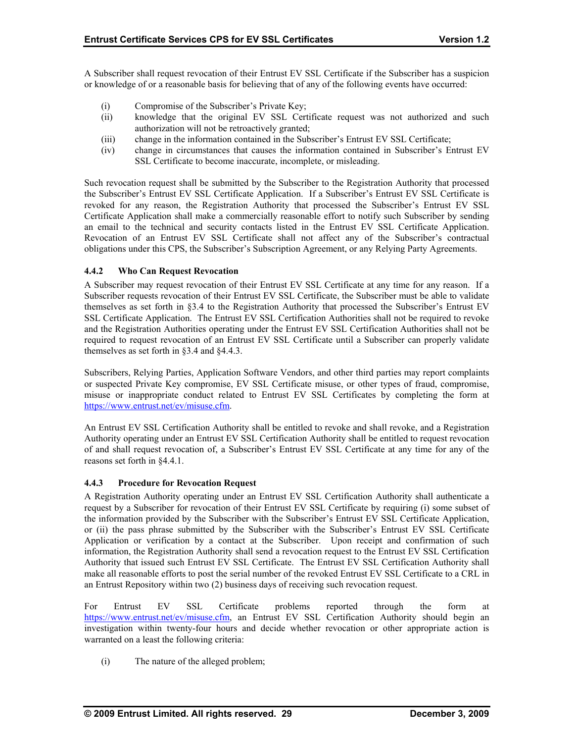A Subscriber shall request revocation of their Entrust EV SSL Certificate if the Subscriber has a suspicion or knowledge of or a reasonable basis for believing that of any of the following events have occurred:

- (i) Compromise of the Subscriber's Private Key;
- (ii) knowledge that the original EV SSL Certificate request was not authorized and such authorization will not be retroactively granted;
- (iii) change in the information contained in the Subscriber's Entrust EV SSL Certificate;
- (iv) change in circumstances that causes the information contained in Subscriber's Entrust EV SSL Certificate to become inaccurate, incomplete, or misleading.

Such revocation request shall be submitted by the Subscriber to the Registration Authority that processed the Subscriber's Entrust EV SSL Certificate Application. If a Subscriber's Entrust EV SSL Certificate is revoked for any reason, the Registration Authority that processed the Subscriber's Entrust EV SSL Certificate Application shall make a commercially reasonable effort to notify such Subscriber by sending an email to the technical and security contacts listed in the Entrust EV SSL Certificate Application. Revocation of an Entrust EV SSL Certificate shall not affect any of the Subscriber's contractual obligations under this CPS, the Subscriber's Subscription Agreement, or any Relying Party Agreements.

## **4.4.2 Who Can Request Revocation**

A Subscriber may request revocation of their Entrust EV SSL Certificate at any time for any reason. If a Subscriber requests revocation of their Entrust EV SSL Certificate, the Subscriber must be able to validate themselves as set forth in §3.4 to the Registration Authority that processed the Subscriber's Entrust EV SSL Certificate Application. The Entrust EV SSL Certification Authorities shall not be required to revoke and the Registration Authorities operating under the Entrust EV SSL Certification Authorities shall not be required to request revocation of an Entrust EV SSL Certificate until a Subscriber can properly validate themselves as set forth in §3.4 and §4.4.3.

Subscribers, Relying Parties, Application Software Vendors, and other third parties may report complaints or suspected Private Key compromise, EV SSL Certificate misuse, or other types of fraud, compromise, misuse or inappropriate conduct related to Entrust EV SSL Certificates by completing the form at https://www.entrust.net/ev/misuse.cfm.

An Entrust EV SSL Certification Authority shall be entitled to revoke and shall revoke, and a Registration Authority operating under an Entrust EV SSL Certification Authority shall be entitled to request revocation of and shall request revocation of, a Subscriber's Entrust EV SSL Certificate at any time for any of the reasons set forth in §4.4.1.

#### **4.4.3 Procedure for Revocation Request**

A Registration Authority operating under an Entrust EV SSL Certification Authority shall authenticate a request by a Subscriber for revocation of their Entrust EV SSL Certificate by requiring (i) some subset of the information provided by the Subscriber with the Subscriber's Entrust EV SSL Certificate Application, or (ii) the pass phrase submitted by the Subscriber with the Subscriber's Entrust EV SSL Certificate Application or verification by a contact at the Subscriber. Upon receipt and confirmation of such information, the Registration Authority shall send a revocation request to the Entrust EV SSL Certification Authority that issued such Entrust EV SSL Certificate. The Entrust EV SSL Certification Authority shall make all reasonable efforts to post the serial number of the revoked Entrust EV SSL Certificate to a CRL in an Entrust Repository within two (2) business days of receiving such revocation request.

For Entrust EV SSL Certificate problems reported through the form at https://www.entrust.net/ev/misuse.cfm, an Entrust EV SSL Certification Authority should begin an investigation within twenty-four hours and decide whether revocation or other appropriate action is warranted on a least the following criteria:

(i) The nature of the alleged problem;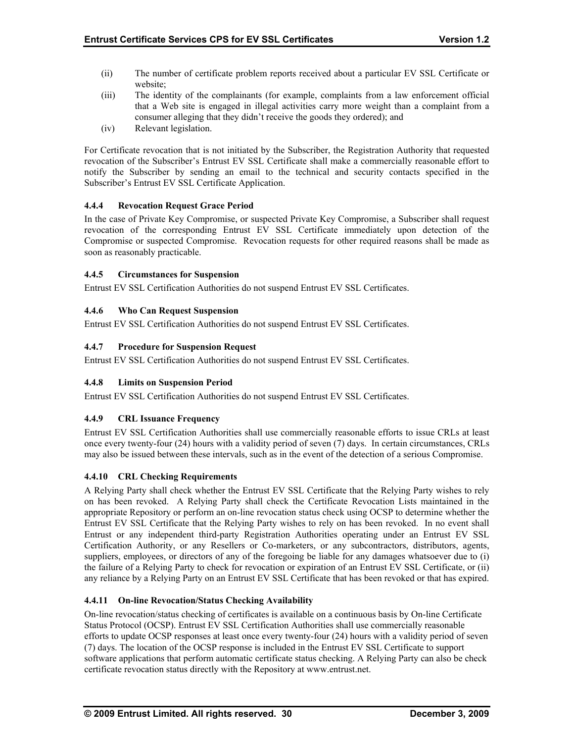- (ii) The number of certificate problem reports received about a particular EV SSL Certificate or website;
- (iii) The identity of the complainants (for example, complaints from a law enforcement official that a Web site is engaged in illegal activities carry more weight than a complaint from a consumer alleging that they didn't receive the goods they ordered); and
- (iv) Relevant legislation.

For Certificate revocation that is not initiated by the Subscriber, the Registration Authority that requested revocation of the Subscriber's Entrust EV SSL Certificate shall make a commercially reasonable effort to notify the Subscriber by sending an email to the technical and security contacts specified in the Subscriber's Entrust EV SSL Certificate Application.

## **4.4.4 Revocation Request Grace Period**

In the case of Private Key Compromise, or suspected Private Key Compromise, a Subscriber shall request revocation of the corresponding Entrust EV SSL Certificate immediately upon detection of the Compromise or suspected Compromise. Revocation requests for other required reasons shall be made as soon as reasonably practicable.

## **4.4.5 Circumstances for Suspension**

Entrust EV SSL Certification Authorities do not suspend Entrust EV SSL Certificates.

## **4.4.6 Who Can Request Suspension**

Entrust EV SSL Certification Authorities do not suspend Entrust EV SSL Certificates.

## **4.4.7 Procedure for Suspension Request**

Entrust EV SSL Certification Authorities do not suspend Entrust EV SSL Certificates.

#### **4.4.8 Limits on Suspension Period**

Entrust EV SSL Certification Authorities do not suspend Entrust EV SSL Certificates.

#### **4.4.9 CRL Issuance Frequency**

Entrust EV SSL Certification Authorities shall use commercially reasonable efforts to issue CRLs at least once every twenty-four (24) hours with a validity period of seven (7) days. In certain circumstances, CRLs may also be issued between these intervals, such as in the event of the detection of a serious Compromise.

#### **4.4.10 CRL Checking Requirements**

A Relying Party shall check whether the Entrust EV SSL Certificate that the Relying Party wishes to rely on has been revoked. A Relying Party shall check the Certificate Revocation Lists maintained in the appropriate Repository or perform an on-line revocation status check using OCSP to determine whether the Entrust EV SSL Certificate that the Relying Party wishes to rely on has been revoked. In no event shall Entrust or any independent third-party Registration Authorities operating under an Entrust EV SSL Certification Authority, or any Resellers or Co-marketers, or any subcontractors, distributors, agents, suppliers, employees, or directors of any of the foregoing be liable for any damages whatsoever due to (i) the failure of a Relying Party to check for revocation or expiration of an Entrust EV SSL Certificate, or (ii) any reliance by a Relying Party on an Entrust EV SSL Certificate that has been revoked or that has expired.

## **4.4.11 On-line Revocation/Status Checking Availability**

On-line revocation/status checking of certificates is available on a continuous basis by On-line Certificate Status Protocol (OCSP). Entrust EV SSL Certification Authorities shall use commercially reasonable efforts to update OCSP responses at least once every twenty-four (24) hours with a validity period of seven (7) days. The location of the OCSP response is included in the Entrust EV SSL Certificate to support software applications that perform automatic certificate status checking. A Relying Party can also be check certificate revocation status directly with the Repository at www.entrust.net.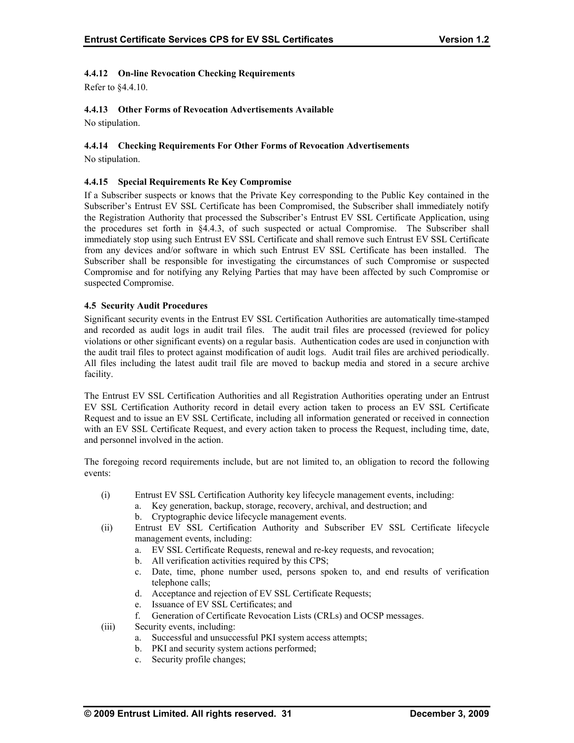## **4.4.12 On-line Revocation Checking Requirements**

Refer to §4.4.10.

## **4.4.13 Other Forms of Revocation Advertisements Available**

No stipulation.

## **4.4.14 Checking Requirements For Other Forms of Revocation Advertisements**

No stipulation.

## **4.4.15 Special Requirements Re Key Compromise**

If a Subscriber suspects or knows that the Private Key corresponding to the Public Key contained in the Subscriber's Entrust EV SSL Certificate has been Compromised, the Subscriber shall immediately notify the Registration Authority that processed the Subscriber's Entrust EV SSL Certificate Application, using the procedures set forth in §4.4.3, of such suspected or actual Compromise. The Subscriber shall immediately stop using such Entrust EV SSL Certificate and shall remove such Entrust EV SSL Certificate from any devices and/or software in which such Entrust EV SSL Certificate has been installed. The Subscriber shall be responsible for investigating the circumstances of such Compromise or suspected Compromise and for notifying any Relying Parties that may have been affected by such Compromise or suspected Compromise.

## **4.5 Security Audit Procedures**

Significant security events in the Entrust EV SSL Certification Authorities are automatically time-stamped and recorded as audit logs in audit trail files. The audit trail files are processed (reviewed for policy violations or other significant events) on a regular basis. Authentication codes are used in conjunction with the audit trail files to protect against modification of audit logs. Audit trail files are archived periodically. All files including the latest audit trail file are moved to backup media and stored in a secure archive facility.

The Entrust EV SSL Certification Authorities and all Registration Authorities operating under an Entrust EV SSL Certification Authority record in detail every action taken to process an EV SSL Certificate Request and to issue an EV SSL Certificate, including all information generated or received in connection with an EV SSL Certificate Request, and every action taken to process the Request, including time, date, and personnel involved in the action.

The foregoing record requirements include, but are not limited to, an obligation to record the following events:

- (i) Entrust EV SSL Certification Authority key lifecycle management events, including: a. Key generation, backup, storage, recovery, archival, and destruction; and
	- b. Cryptographic device lifecycle management events.
- (ii) Entrust EV SSL Certification Authority and Subscriber EV SSL Certificate lifecycle management events, including:
	- a. EV SSL Certificate Requests, renewal and re-key requests, and revocation;
	- b. All verification activities required by this CPS;
	- c. Date, time, phone number used, persons spoken to, and end results of verification telephone calls;
	- d. Acceptance and rejection of EV SSL Certificate Requests;
	- e. Issuance of EV SSL Certificates; and
	- f. Generation of Certificate Revocation Lists (CRLs) and OCSP messages.
- (iii) Security events, including:
	- a. Successful and unsuccessful PKI system access attempts;
	- b. PKI and security system actions performed;
	- c. Security profile changes;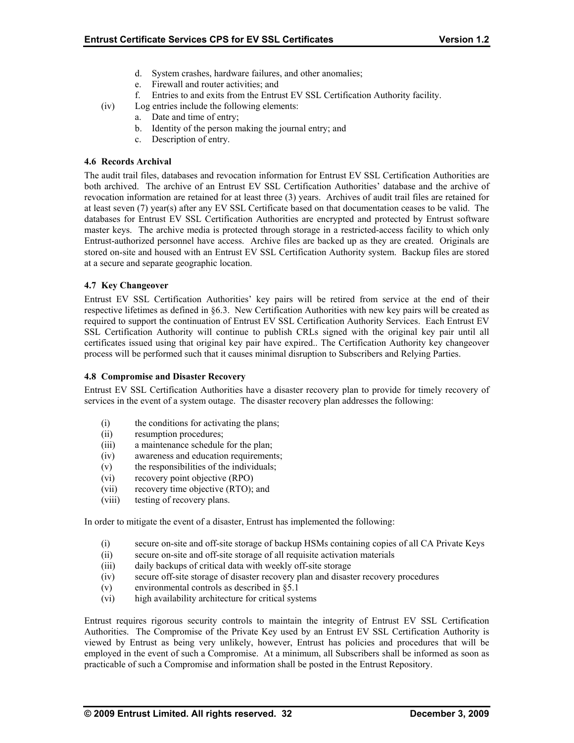- d. System crashes, hardware failures, and other anomalies;
- e. Firewall and router activities; and
- f. Entries to and exits from the Entrust EV SSL Certification Authority facility.
- (iv) Log entries include the following elements:
	- a. Date and time of entry;
		- b. Identity of the person making the journal entry; and
		- c. Description of entry.

#### **4.6 Records Archival**

The audit trail files, databases and revocation information for Entrust EV SSL Certification Authorities are both archived. The archive of an Entrust EV SSL Certification Authorities' database and the archive of revocation information are retained for at least three (3) years. Archives of audit trail files are retained for at least seven (7) year(s) after any EV SSL Certificate based on that documentation ceases to be valid. The databases for Entrust EV SSL Certification Authorities are encrypted and protected by Entrust software master keys. The archive media is protected through storage in a restricted-access facility to which only Entrust-authorized personnel have access. Archive files are backed up as they are created. Originals are stored on-site and housed with an Entrust EV SSL Certification Authority system. Backup files are stored at a secure and separate geographic location.

## **4.7 Key Changeover**

Entrust EV SSL Certification Authorities' key pairs will be retired from service at the end of their respective lifetimes as defined in §6.3. New Certification Authorities with new key pairs will be created as required to support the continuation of Entrust EV SSL Certification Authority Services. Each Entrust EV SSL Certification Authority will continue to publish CRLs signed with the original key pair until all certificates issued using that original key pair have expired.. The Certification Authority key changeover process will be performed such that it causes minimal disruption to Subscribers and Relying Parties.

#### **4.8 Compromise and Disaster Recovery**

Entrust EV SSL Certification Authorities have a disaster recovery plan to provide for timely recovery of services in the event of a system outage. The disaster recovery plan addresses the following:

- (i) the conditions for activating the plans;
- (ii) resumption procedures;
- (iii) a maintenance schedule for the plan;
- (iv) awareness and education requirements;
- (v) the responsibilities of the individuals;
- (vi) recovery point objective (RPO)
- (vii) recovery time objective (RTO); and
- (viii) testing of recovery plans.

In order to mitigate the event of a disaster, Entrust has implemented the following:

- (i) secure on-site and off-site storage of backup HSMs containing copies of all CA Private Keys
- (ii) secure on-site and off-site storage of all requisite activation materials
- (iii) daily backups of critical data with weekly off-site storage
- (iv) secure off-site storage of disaster recovery plan and disaster recovery procedures
- (v) environmental controls as described in §5.1
- (vi) high availability architecture for critical systems

Entrust requires rigorous security controls to maintain the integrity of Entrust EV SSL Certification Authorities. The Compromise of the Private Key used by an Entrust EV SSL Certification Authority is viewed by Entrust as being very unlikely, however, Entrust has policies and procedures that will be employed in the event of such a Compromise. At a minimum, all Subscribers shall be informed as soon as practicable of such a Compromise and information shall be posted in the Entrust Repository.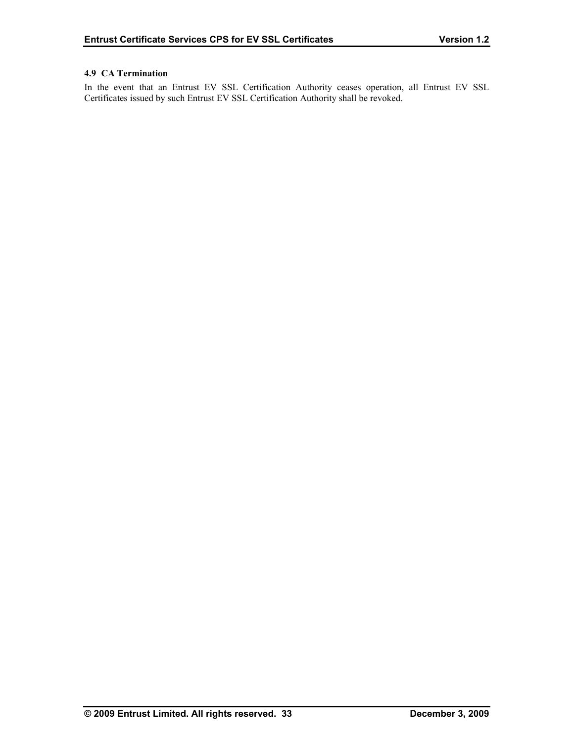## **4.9 CA Termination**

In the event that an Entrust EV SSL Certification Authority ceases operation, all Entrust EV SSL Certificates issued by such Entrust EV SSL Certification Authority shall be revoked.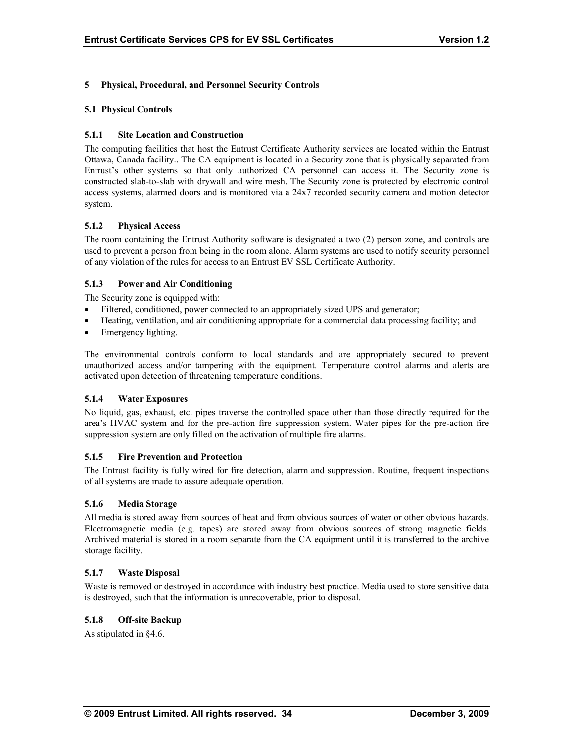## **5 Physical, Procedural, and Personnel Security Controls**

#### **5.1 Physical Controls**

## **5.1.1 Site Location and Construction**

The computing facilities that host the Entrust Certificate Authority services are located within the Entrust Ottawa, Canada facility.. The CA equipment is located in a Security zone that is physically separated from Entrust's other systems so that only authorized CA personnel can access it. The Security zone is constructed slab-to-slab with drywall and wire mesh. The Security zone is protected by electronic control access systems, alarmed doors and is monitored via a 24x7 recorded security camera and motion detector system.

## **5.1.2 Physical Access**

The room containing the Entrust Authority software is designated a two (2) person zone, and controls are used to prevent a person from being in the room alone. Alarm systems are used to notify security personnel of any violation of the rules for access to an Entrust EV SSL Certificate Authority.

## **5.1.3 Power and Air Conditioning**

The Security zone is equipped with:

- Filtered, conditioned, power connected to an appropriately sized UPS and generator;
- Heating, ventilation, and air conditioning appropriate for a commercial data processing facility; and
- Emergency lighting.

The environmental controls conform to local standards and are appropriately secured to prevent unauthorized access and/or tampering with the equipment. Temperature control alarms and alerts are activated upon detection of threatening temperature conditions.

#### **5.1.4 Water Exposures**

No liquid, gas, exhaust, etc. pipes traverse the controlled space other than those directly required for the area's HVAC system and for the pre-action fire suppression system. Water pipes for the pre-action fire suppression system are only filled on the activation of multiple fire alarms.

#### **5.1.5 Fire Prevention and Protection**

The Entrust facility is fully wired for fire detection, alarm and suppression. Routine, frequent inspections of all systems are made to assure adequate operation.

#### **5.1.6 Media Storage**

All media is stored away from sources of heat and from obvious sources of water or other obvious hazards. Electromagnetic media (e.g. tapes) are stored away from obvious sources of strong magnetic fields. Archived material is stored in a room separate from the CA equipment until it is transferred to the archive storage facility.

#### **5.1.7 Waste Disposal**

Waste is removed or destroyed in accordance with industry best practice. Media used to store sensitive data is destroyed, such that the information is unrecoverable, prior to disposal.

## **5.1.8 Off-site Backup**

As stipulated in §4.6.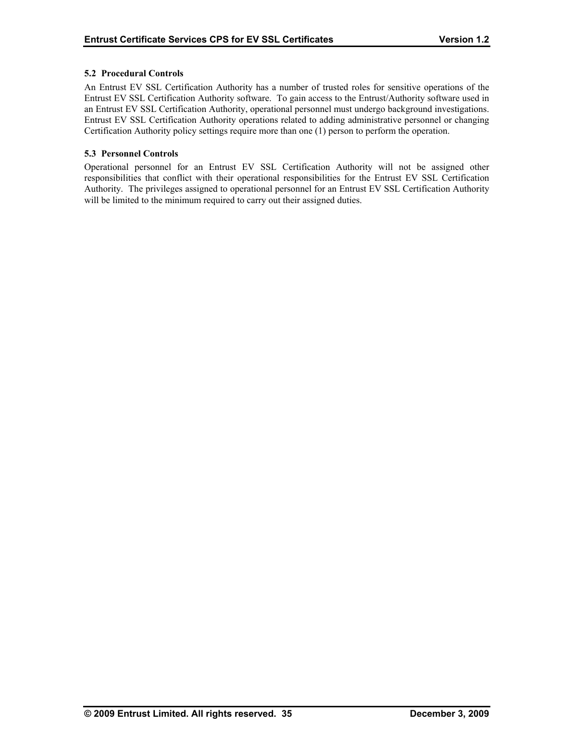## **5.2 Procedural Controls**

An Entrust EV SSL Certification Authority has a number of trusted roles for sensitive operations of the Entrust EV SSL Certification Authority software. To gain access to the Entrust/Authority software used in an Entrust EV SSL Certification Authority, operational personnel must undergo background investigations. Entrust EV SSL Certification Authority operations related to adding administrative personnel or changing Certification Authority policy settings require more than one (1) person to perform the operation.

## **5.3 Personnel Controls**

Operational personnel for an Entrust EV SSL Certification Authority will not be assigned other responsibilities that conflict with their operational responsibilities for the Entrust EV SSL Certification Authority. The privileges assigned to operational personnel for an Entrust EV SSL Certification Authority will be limited to the minimum required to carry out their assigned duties.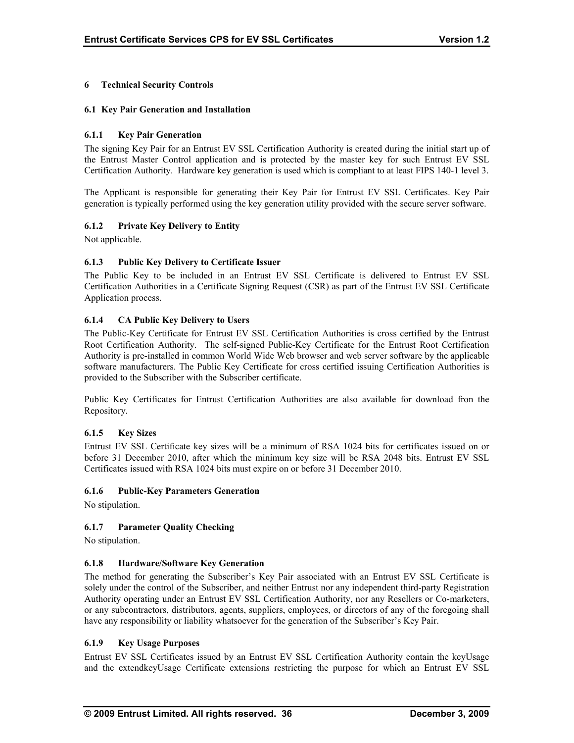## **6 Technical Security Controls**

#### **6.1 Key Pair Generation and Installation**

## **6.1.1 Key Pair Generation**

The signing Key Pair for an Entrust EV SSL Certification Authority is created during the initial start up of the Entrust Master Control application and is protected by the master key for such Entrust EV SSL Certification Authority. Hardware key generation is used which is compliant to at least FIPS 140-1 level 3.

The Applicant is responsible for generating their Key Pair for Entrust EV SSL Certificates. Key Pair generation is typically performed using the key generation utility provided with the secure server software.

## **6.1.2 Private Key Delivery to Entity**

Not applicable.

## **6.1.3 Public Key Delivery to Certificate Issuer**

The Public Key to be included in an Entrust EV SSL Certificate is delivered to Entrust EV SSL Certification Authorities in a Certificate Signing Request (CSR) as part of the Entrust EV SSL Certificate Application process.

## **6.1.4 CA Public Key Delivery to Users**

The Public-Key Certificate for Entrust EV SSL Certification Authorities is cross certified by the Entrust Root Certification Authority. The self-signed Public-Key Certificate for the Entrust Root Certification Authority is pre-installed in common World Wide Web browser and web server software by the applicable software manufacturers. The Public Key Certificate for cross certified issuing Certification Authorities is provided to the Subscriber with the Subscriber certificate.

Public Key Certificates for Entrust Certification Authorities are also available for download fron the Repository.

## **6.1.5 Key Sizes**

Entrust EV SSL Certificate key sizes will be a minimum of RSA 1024 bits for certificates issued on or before 31 December 2010, after which the minimum key size will be RSA 2048 bits. Entrust EV SSL Certificates issued with RSA 1024 bits must expire on or before 31 December 2010.

#### **6.1.6 Public-Key Parameters Generation**

No stipulation.

## **6.1.7 Parameter Quality Checking**

No stipulation.

#### **6.1.8 Hardware/Software Key Generation**

The method for generating the Subscriber's Key Pair associated with an Entrust EV SSL Certificate is solely under the control of the Subscriber, and neither Entrust nor any independent third-party Registration Authority operating under an Entrust EV SSL Certification Authority, nor any Resellers or Co-marketers, or any subcontractors, distributors, agents, suppliers, employees, or directors of any of the foregoing shall have any responsibility or liability whatsoever for the generation of the Subscriber's Key Pair.

#### **6.1.9 Key Usage Purposes**

Entrust EV SSL Certificates issued by an Entrust EV SSL Certification Authority contain the keyUsage and the extendkeyUsage Certificate extensions restricting the purpose for which an Entrust EV SSL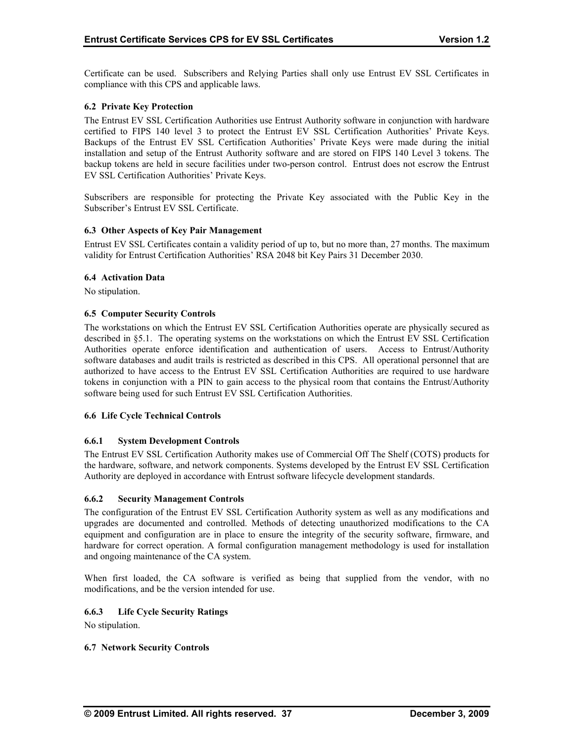Certificate can be used. Subscribers and Relying Parties shall only use Entrust EV SSL Certificates in compliance with this CPS and applicable laws.

## **6.2 Private Key Protection**

The Entrust EV SSL Certification Authorities use Entrust Authority software in conjunction with hardware certified to FIPS 140 level 3 to protect the Entrust EV SSL Certification Authorities' Private Keys. Backups of the Entrust EV SSL Certification Authorities' Private Keys were made during the initial installation and setup of the Entrust Authority software and are stored on FIPS 140 Level 3 tokens. The backup tokens are held in secure facilities under two-person control. Entrust does not escrow the Entrust EV SSL Certification Authorities' Private Keys.

Subscribers are responsible for protecting the Private Key associated with the Public Key in the Subscriber's Entrust EV SSL Certificate.

#### **6.3 Other Aspects of Key Pair Management**

Entrust EV SSL Certificates contain a validity period of up to, but no more than, 27 months. The maximum validity for Entrust Certification Authorities' RSA 2048 bit Key Pairs 31 December 2030.

#### **6.4 Activation Data**

No stipulation.

#### **6.5 Computer Security Controls**

The workstations on which the Entrust EV SSL Certification Authorities operate are physically secured as described in §5.1. The operating systems on the workstations on which the Entrust EV SSL Certification Authorities operate enforce identification and authentication of users. Access to Entrust/Authority software databases and audit trails is restricted as described in this CPS. All operational personnel that are authorized to have access to the Entrust EV SSL Certification Authorities are required to use hardware tokens in conjunction with a PIN to gain access to the physical room that contains the Entrust/Authority software being used for such Entrust EV SSL Certification Authorities.

#### **6.6 Life Cycle Technical Controls**

#### **6.6.1 System Development Controls**

The Entrust EV SSL Certification Authority makes use of Commercial Off The Shelf (COTS) products for the hardware, software, and network components. Systems developed by the Entrust EV SSL Certification Authority are deployed in accordance with Entrust software lifecycle development standards.

#### **6.6.2 Security Management Controls**

The configuration of the Entrust EV SSL Certification Authority system as well as any modifications and upgrades are documented and controlled. Methods of detecting unauthorized modifications to the CA equipment and configuration are in place to ensure the integrity of the security software, firmware, and hardware for correct operation. A formal configuration management methodology is used for installation and ongoing maintenance of the CA system.

When first loaded, the CA software is verified as being that supplied from the vendor, with no modifications, and be the version intended for use.

## **6.6.3 Life Cycle Security Ratings**

No stipulation.

#### **6.7 Network Security Controls**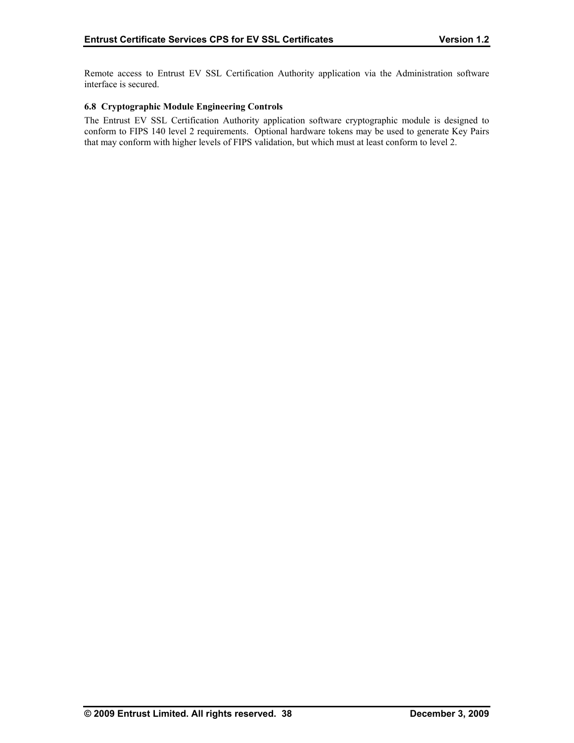Remote access to Entrust EV SSL Certification Authority application via the Administration software interface is secured.

#### **6.8 Cryptographic Module Engineering Controls**

The Entrust EV SSL Certification Authority application software cryptographic module is designed to conform to FIPS 140 level 2 requirements. Optional hardware tokens may be used to generate Key Pairs that may conform with higher levels of FIPS validation, but which must at least conform to level 2.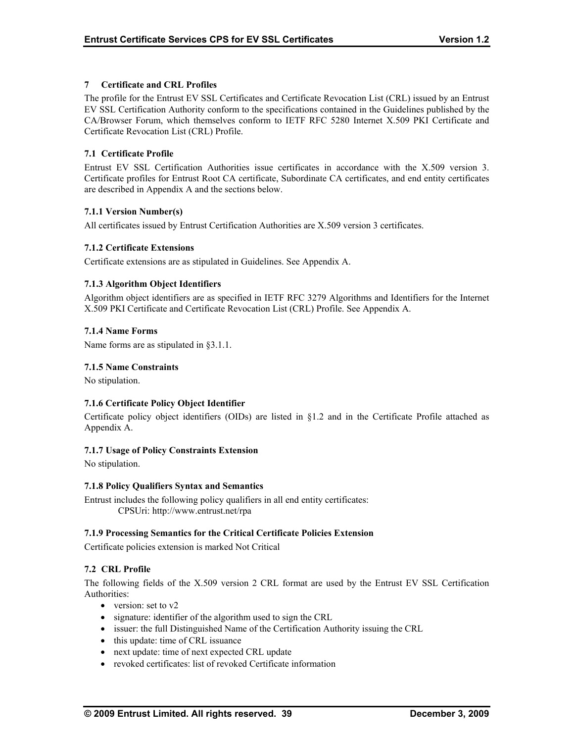## **7 Certificate and CRL Profiles**

The profile for the Entrust EV SSL Certificates and Certificate Revocation List (CRL) issued by an Entrust EV SSL Certification Authority conform to the specifications contained in the Guidelines published by the CA/Browser Forum, which themselves conform to IETF RFC 5280 Internet X.509 PKI Certificate and Certificate Revocation List (CRL) Profile.

## **7.1 Certificate Profile**

Entrust EV SSL Certification Authorities issue certificates in accordance with the X.509 version 3. Certificate profiles for Entrust Root CA certificate, Subordinate CA certificates, and end entity certificates are described in Appendix A and the sections below.

## **7.1.1 Version Number(s)**

All certificates issued by Entrust Certification Authorities are X.509 version 3 certificates.

## **7.1.2 Certificate Extensions**

Certificate extensions are as stipulated in Guidelines. See Appendix A.

## **7.1.3 Algorithm Object Identifiers**

Algorithm object identifiers are as specified in IETF RFC 3279 Algorithms and Identifiers for the Internet X.509 PKI Certificate and Certificate Revocation List (CRL) Profile. See Appendix A.

#### **7.1.4 Name Forms**

Name forms are as stipulated in §3.1.1.

#### **7.1.5 Name Constraints**

No stipulation.

## **7.1.6 Certificate Policy Object Identifier**

Certificate policy object identifiers (OIDs) are listed in §1.2 and in the Certificate Profile attached as Appendix A.

#### **7.1.7 Usage of Policy Constraints Extension**

No stipulation.

#### **7.1.8 Policy Qualifiers Syntax and Semantics**

Entrust includes the following policy qualifiers in all end entity certificates: CPSUri: http://www.entrust.net/rpa

#### **7.1.9 Processing Semantics for the Critical Certificate Policies Extension**

Certificate policies extension is marked Not Critical

## **7.2 CRL Profile**

The following fields of the X.509 version 2 CRL format are used by the Entrust EV SSL Certification Authorities:

- version: set to v2
- signature: identifier of the algorithm used to sign the CRL
- issuer: the full Distinguished Name of the Certification Authority issuing the CRL
- this update: time of CRL issuance
- next update: time of next expected CRL update
- revoked certificates: list of revoked Certificate information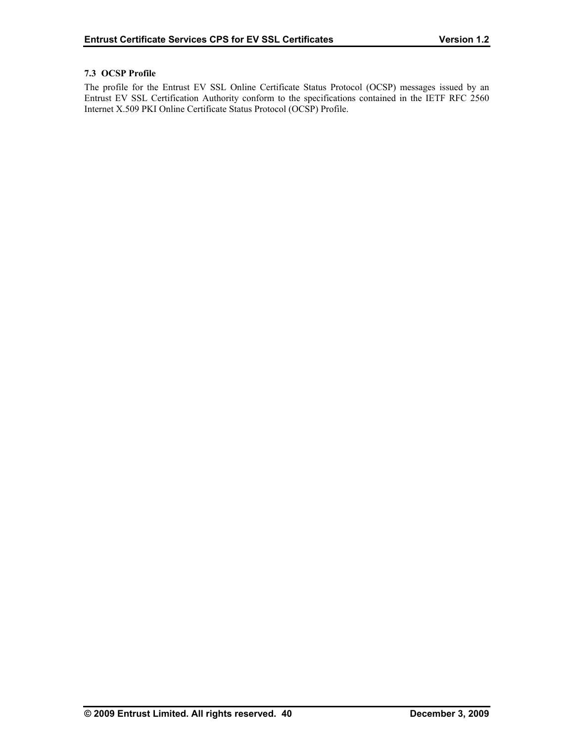## **7.3 OCSP Profile**

The profile for the Entrust EV SSL Online Certificate Status Protocol (OCSP) messages issued by an Entrust EV SSL Certification Authority conform to the specifications contained in the IETF RFC 2560 Internet X.509 PKI Online Certificate Status Protocol (OCSP) Profile.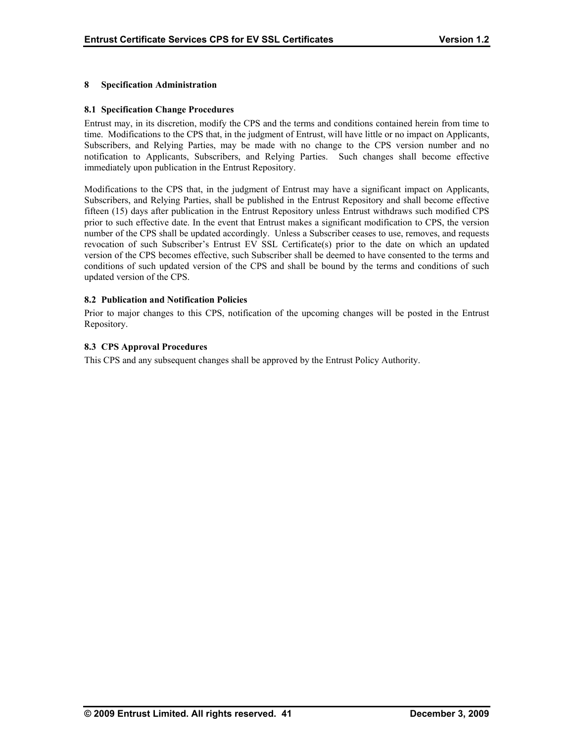## **8 Specification Administration**

#### **8.1 Specification Change Procedures**

Entrust may, in its discretion, modify the CPS and the terms and conditions contained herein from time to time. Modifications to the CPS that, in the judgment of Entrust, will have little or no impact on Applicants, Subscribers, and Relying Parties, may be made with no change to the CPS version number and no notification to Applicants, Subscribers, and Relying Parties. Such changes shall become effective immediately upon publication in the Entrust Repository.

Modifications to the CPS that, in the judgment of Entrust may have a significant impact on Applicants, Subscribers, and Relying Parties, shall be published in the Entrust Repository and shall become effective fifteen (15) days after publication in the Entrust Repository unless Entrust withdraws such modified CPS prior to such effective date. In the event that Entrust makes a significant modification to CPS, the version number of the CPS shall be updated accordingly. Unless a Subscriber ceases to use, removes, and requests revocation of such Subscriber's Entrust EV SSL Certificate(s) prior to the date on which an updated version of the CPS becomes effective, such Subscriber shall be deemed to have consented to the terms and conditions of such updated version of the CPS and shall be bound by the terms and conditions of such updated version of the CPS.

## **8.2 Publication and Notification Policies**

Prior to major changes to this CPS, notification of the upcoming changes will be posted in the Entrust Repository.

## **8.3 CPS Approval Procedures**

This CPS and any subsequent changes shall be approved by the Entrust Policy Authority.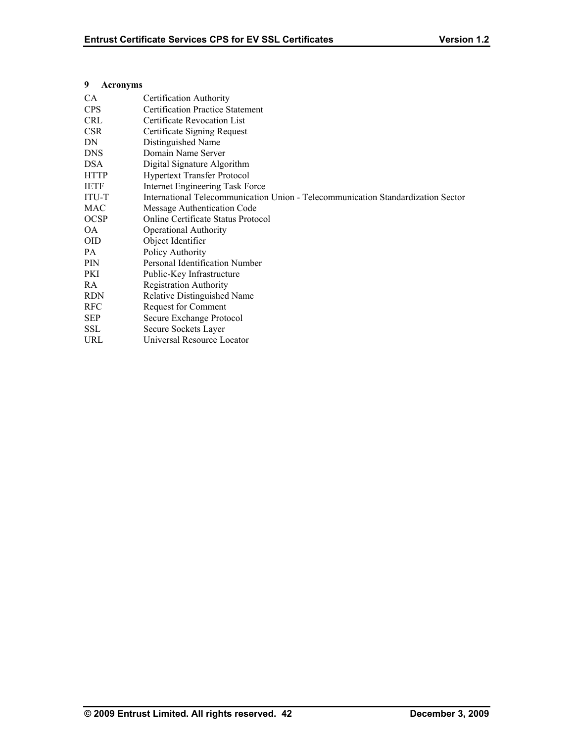## **9 Acronyms**

| <b>CA</b>    | Certification Authority                                                          |
|--------------|----------------------------------------------------------------------------------|
| <b>CPS</b>   | <b>Certification Practice Statement</b>                                          |
| <b>CRL</b>   | Certificate Revocation List                                                      |
| <b>CSR</b>   | Certificate Signing Request                                                      |
| DN           | Distinguished Name                                                               |
| <b>DNS</b>   | Domain Name Server                                                               |
| <b>DSA</b>   | Digital Signature Algorithm                                                      |
| <b>HTTP</b>  | <b>Hypertext Transfer Protocol</b>                                               |
| <b>IETF</b>  | Internet Engineering Task Force                                                  |
| <b>ITU-T</b> | International Telecommunication Union - Telecommunication Standardization Sector |
| MAC          | Message Authentication Code                                                      |
| <b>OCSP</b>  | Online Certificate Status Protocol                                               |
| OA.          | <b>Operational Authority</b>                                                     |
| <b>OID</b>   | Object Identifier                                                                |
| PA.          | Policy Authority                                                                 |
| <b>PIN</b>   | Personal Identification Number                                                   |
| PKI          | Public-Key Infrastructure                                                        |
| RA.          | <b>Registration Authority</b>                                                    |
| <b>RDN</b>   | Relative Distinguished Name                                                      |
| <b>RFC</b>   | <b>Request for Comment</b>                                                       |
| <b>SEP</b>   | Secure Exchange Protocol                                                         |
| <b>SSL</b>   | Secure Sockets Layer                                                             |
| URL          | Universal Resource Locator                                                       |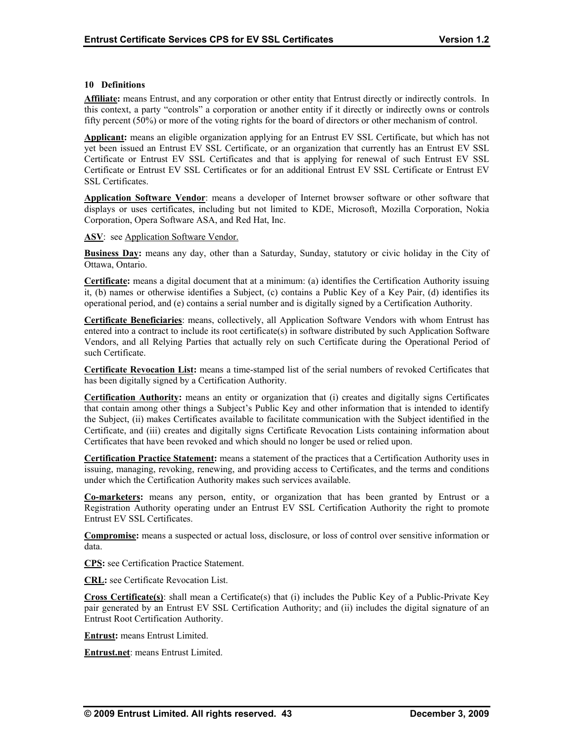#### **10 Definitions**

**Affiliate:** means Entrust, and any corporation or other entity that Entrust directly or indirectly controls. In this context, a party "controls" a corporation or another entity if it directly or indirectly owns or controls fifty percent (50%) or more of the voting rights for the board of directors or other mechanism of control.

**Applicant:** means an eligible organization applying for an Entrust EV SSL Certificate, but which has not yet been issued an Entrust EV SSL Certificate, or an organization that currently has an Entrust EV SSL Certificate or Entrust EV SSL Certificates and that is applying for renewal of such Entrust EV SSL Certificate or Entrust EV SSL Certificates or for an additional Entrust EV SSL Certificate or Entrust EV SSL Certificates.

**Application Software Vendor**: means a developer of Internet browser software or other software that displays or uses certificates, including but not limited to KDE, Microsoft, Mozilla Corporation, Nokia Corporation, Opera Software ASA, and Red Hat, Inc.

**ASV**: see Application Software Vendor.

**Business Day:** means any day, other than a Saturday, Sunday, statutory or civic holiday in the City of Ottawa, Ontario.

**Certificate:** means a digital document that at a minimum: (a) identifies the Certification Authority issuing it, (b) names or otherwise identifies a Subject, (c) contains a Public Key of a Key Pair, (d) identifies its operational period, and (e) contains a serial number and is digitally signed by a Certification Authority.

**Certificate Beneficiaries**: means, collectively, all Application Software Vendors with whom Entrust has entered into a contract to include its root certificate(s) in software distributed by such Application Software Vendors, and all Relying Parties that actually rely on such Certificate during the Operational Period of such Certificate.

**Certificate Revocation List:** means a time-stamped list of the serial numbers of revoked Certificates that has been digitally signed by a Certification Authority.

**Certification Authority:** means an entity or organization that (i) creates and digitally signs Certificates that contain among other things a Subject's Public Key and other information that is intended to identify the Subject, (ii) makes Certificates available to facilitate communication with the Subject identified in the Certificate, and (iii) creates and digitally signs Certificate Revocation Lists containing information about Certificates that have been revoked and which should no longer be used or relied upon.

**Certification Practice Statement:** means a statement of the practices that a Certification Authority uses in issuing, managing, revoking, renewing, and providing access to Certificates, and the terms and conditions under which the Certification Authority makes such services available.

**Co-marketers:** means any person, entity, or organization that has been granted by Entrust or a Registration Authority operating under an Entrust EV SSL Certification Authority the right to promote Entrust EV SSL Certificates.

**Compromise:** means a suspected or actual loss, disclosure, or loss of control over sensitive information or data.

**CPS:** see Certification Practice Statement.

**CRL:** see Certificate Revocation List.

**Cross Certificate(s)**: shall mean a Certificate(s) that (i) includes the Public Key of a Public-Private Key pair generated by an Entrust EV SSL Certification Authority; and (ii) includes the digital signature of an Entrust Root Certification Authority.

**Entrust:** means Entrust Limited.

**Entrust.net**: means Entrust Limited.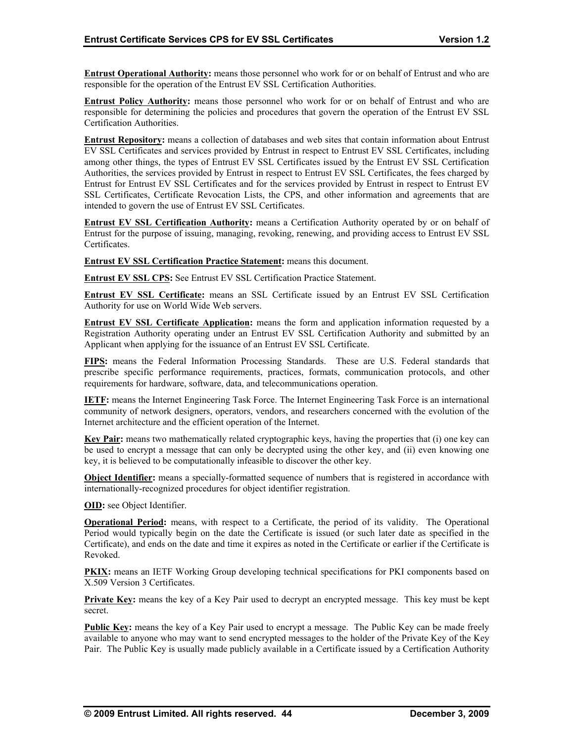**Entrust Operational Authority:** means those personnel who work for or on behalf of Entrust and who are responsible for the operation of the Entrust EV SSL Certification Authorities.

**Entrust Policy Authority:** means those personnel who work for or on behalf of Entrust and who are responsible for determining the policies and procedures that govern the operation of the Entrust EV SSL Certification Authorities.

**Entrust Repository:** means a collection of databases and web sites that contain information about Entrust EV SSL Certificates and services provided by Entrust in respect to Entrust EV SSL Certificates, including among other things, the types of Entrust EV SSL Certificates issued by the Entrust EV SSL Certification Authorities, the services provided by Entrust in respect to Entrust EV SSL Certificates, the fees charged by Entrust for Entrust EV SSL Certificates and for the services provided by Entrust in respect to Entrust EV SSL Certificates, Certificate Revocation Lists, the CPS, and other information and agreements that are intended to govern the use of Entrust EV SSL Certificates.

**Entrust EV SSL Certification Authority:** means a Certification Authority operated by or on behalf of Entrust for the purpose of issuing, managing, revoking, renewing, and providing access to Entrust EV SSL Certificates.

**Entrust EV SSL Certification Practice Statement:** means this document.

**Entrust EV SSL CPS:** See Entrust EV SSL Certification Practice Statement.

**Entrust EV SSL Certificate:** means an SSL Certificate issued by an Entrust EV SSL Certification Authority for use on World Wide Web servers.

**Entrust EV SSL Certificate Application:** means the form and application information requested by a Registration Authority operating under an Entrust EV SSL Certification Authority and submitted by an Applicant when applying for the issuance of an Entrust EV SSL Certificate.

**FIPS:** means the Federal Information Processing Standards. These are U.S. Federal standards that prescribe specific performance requirements, practices, formats, communication protocols, and other requirements for hardware, software, data, and telecommunications operation.

**IETF:** means the Internet Engineering Task Force. The Internet Engineering Task Force is an international community of network designers, operators, vendors, and researchers concerned with the evolution of the Internet architecture and the efficient operation of the Internet.

**Key Pair:** means two mathematically related cryptographic keys, having the properties that (i) one key can be used to encrypt a message that can only be decrypted using the other key, and (ii) even knowing one key, it is believed to be computationally infeasible to discover the other key.

**Object Identifier:** means a specially-formatted sequence of numbers that is registered in accordance with internationally-recognized procedures for object identifier registration.

**OID:** see Object Identifier.

**Operational Period:** means, with respect to a Certificate, the period of its validity. The Operational Period would typically begin on the date the Certificate is issued (or such later date as specified in the Certificate), and ends on the date and time it expires as noted in the Certificate or earlier if the Certificate is Revoked.

**PKIX:** means an IETF Working Group developing technical specifications for PKI components based on X.509 Version 3 Certificates.

**Private Key:** means the key of a Key Pair used to decrypt an encrypted message. This key must be kept secret.

**Public Key:** means the key of a Key Pair used to encrypt a message. The Public Key can be made freely available to anyone who may want to send encrypted messages to the holder of the Private Key of the Key Pair. The Public Key is usually made publicly available in a Certificate issued by a Certification Authority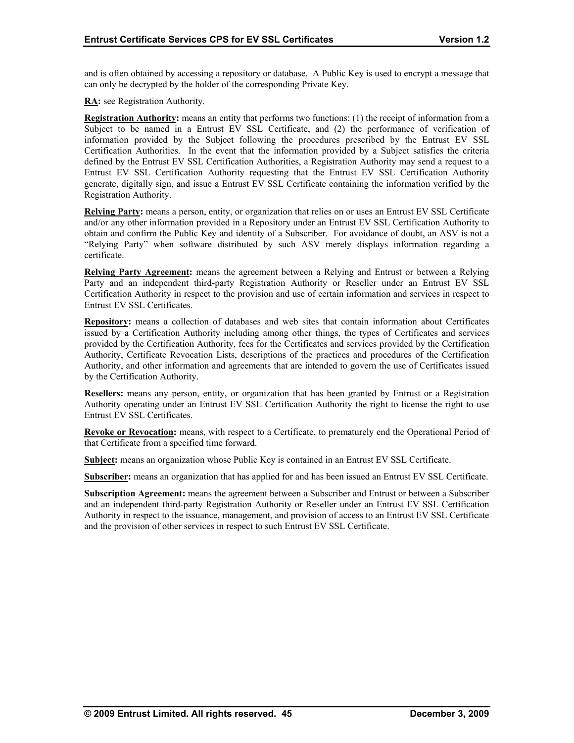and is often obtained by accessing a repository or database. A Public Key is used to encrypt a message that can only be decrypted by the holder of the corresponding Private Key.

**RA:** see Registration Authority.

**Registration Authority:** means an entity that performs two functions: (1) the receipt of information from a Subject to be named in a Entrust EV SSL Certificate, and (2) the performance of verification of information provided by the Subject following the procedures prescribed by the Entrust EV SSL Certification Authorities. In the event that the information provided by a Subject satisfies the criteria defined by the Entrust EV SSL Certification Authorities, a Registration Authority may send a request to a Entrust EV SSL Certification Authority requesting that the Entrust EV SSL Certification Authority generate, digitally sign, and issue a Entrust EV SSL Certificate containing the information verified by the Registration Authority.

**Relying Party:** means a person, entity, or organization that relies on or uses an Entrust EV SSL Certificate and/or any other information provided in a Repository under an Entrust EV SSL Certification Authority to obtain and confirm the Public Key and identity of a Subscriber. For avoidance of doubt, an ASV is not a "Relying Party" when software distributed by such ASV merely displays information regarding a certificate.

**Relying Party Agreement:** means the agreement between a Relying and Entrust or between a Relying Party and an independent third-party Registration Authority or Reseller under an Entrust EV SSL Certification Authority in respect to the provision and use of certain information and services in respect to Entrust EV SSL Certificates.

**Repository:** means a collection of databases and web sites that contain information about Certificates issued by a Certification Authority including among other things, the types of Certificates and services provided by the Certification Authority, fees for the Certificates and services provided by the Certification Authority, Certificate Revocation Lists, descriptions of the practices and procedures of the Certification Authority, and other information and agreements that are intended to govern the use of Certificates issued by the Certification Authority.

**Resellers:** means any person, entity, or organization that has been granted by Entrust or a Registration Authority operating under an Entrust EV SSL Certification Authority the right to license the right to use Entrust EV SSL Certificates.

**Revoke or Revocation:** means, with respect to a Certificate, to prematurely end the Operational Period of that Certificate from a specified time forward.

**Subject:** means an organization whose Public Key is contained in an Entrust EV SSL Certificate.

**Subscriber:** means an organization that has applied for and has been issued an Entrust EV SSL Certificate.

**Subscription Agreement:** means the agreement between a Subscriber and Entrust or between a Subscriber and an independent third-party Registration Authority or Reseller under an Entrust EV SSL Certification Authority in respect to the issuance, management, and provision of access to an Entrust EV SSL Certificate and the provision of other services in respect to such Entrust EV SSL Certificate.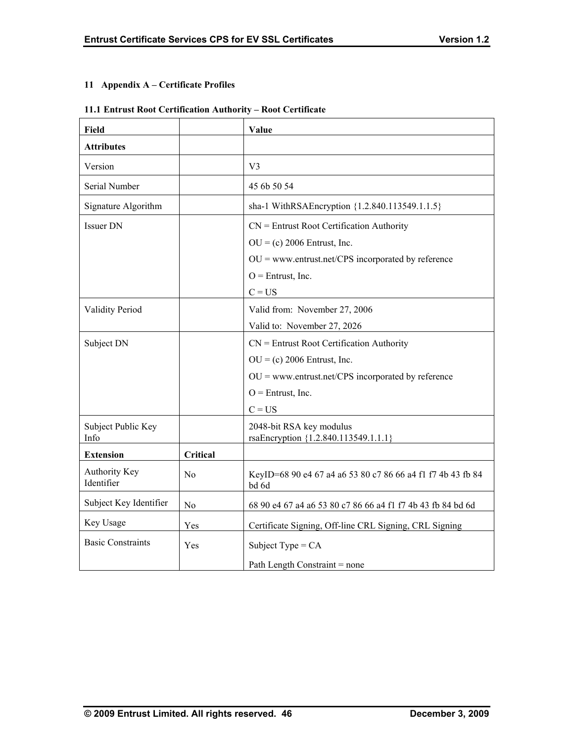## **11 Appendix A – Certificate Profiles**

## **11.1 Entrust Root Certification Authority – Root Certificate**

| <b>Field</b>                       |          | Value                                                                |
|------------------------------------|----------|----------------------------------------------------------------------|
| <b>Attributes</b>                  |          |                                                                      |
| Version                            |          | V <sub>3</sub>                                                       |
| Serial Number                      |          | 45 6b 50 54                                                          |
| Signature Algorithm                |          | sha-1 WithRSAEncryption {1.2.840.113549.1.1.5}                       |
| <b>Issuer DN</b>                   |          | $CN =$ Entrust Root Certification Authority                          |
|                                    |          | $OU = (c) 2006$ Entrust, Inc.                                        |
|                                    |          | $OU = www.entrust.net/CPS incorporated by reference$                 |
|                                    |          | $O =$ Entrust, Inc.                                                  |
|                                    |          | $C = US$                                                             |
| <b>Validity Period</b>             |          | Valid from: November 27, 2006                                        |
|                                    |          | Valid to: November 27, 2026                                          |
| Subject DN                         |          | $CN =$ Entrust Root Certification Authority                          |
|                                    |          | $OU = (c) 2006$ Entrust, Inc.                                        |
|                                    |          | $OU =$ www.entrust.net/CPS incorporated by reference                 |
|                                    |          | $O =$ Entrust, Inc.                                                  |
|                                    |          | $C = US$                                                             |
| Subject Public Key<br>Info         |          | 2048-bit RSA key modulus<br>rsaEncryption {1.2.840.113549.1.1.1}     |
| <b>Extension</b>                   | Critical |                                                                      |
| <b>Authority Key</b><br>Identifier | No       | KeyID=68 90 e4 67 a4 a6 53 80 c7 86 66 a4 f1 f7 4b 43 fb 84<br>bd 6d |
| Subject Key Identifier             | No       | 68 90 e4 67 a4 a6 53 80 c7 86 66 a4 f1 f7 4b 43 fb 84 bd 6d          |
| Key Usage                          | Yes      | Certificate Signing, Off-line CRL Signing, CRL Signing               |
| <b>Basic Constraints</b>           | Yes      | Subject Type = $CA$                                                  |
|                                    |          | Path Length Constraint = none                                        |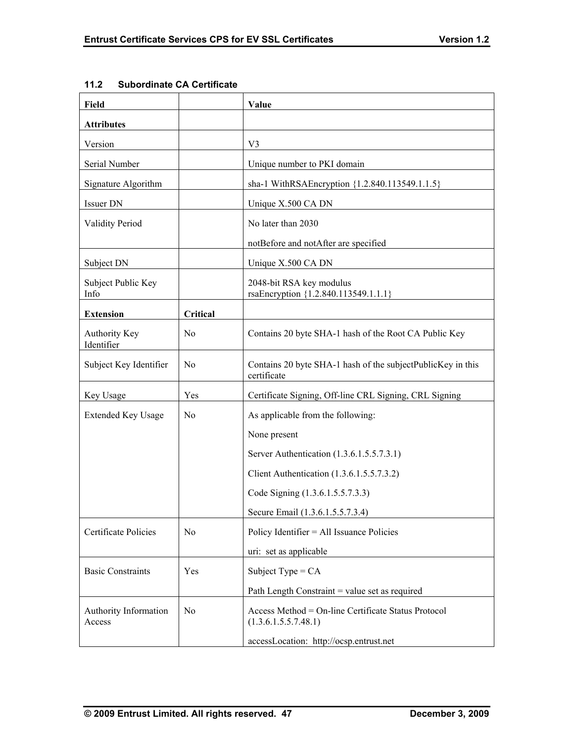| Field                           |                | Value                                                                       |
|---------------------------------|----------------|-----------------------------------------------------------------------------|
| <b>Attributes</b>               |                |                                                                             |
| Version                         |                | V3                                                                          |
| Serial Number                   |                | Unique number to PKI domain                                                 |
| Signature Algorithm             |                | sha-1 WithRSAEncryption {1.2.840.113549.1.1.5}                              |
| Issuer DN                       |                | Unique X.500 CA DN                                                          |
| <b>Validity Period</b>          |                | No later than 2030                                                          |
|                                 |                | notBefore and notAfter are specified                                        |
| Subject DN                      |                | Unique X.500 CA DN                                                          |
| Subject Public Key<br>Info      |                | 2048-bit RSA key modulus<br>rsaEncryption {1.2.840.113549.1.1.1}            |
| <b>Extension</b>                | Critical       |                                                                             |
| Authority Key<br>Identifier     | N <sub>0</sub> | Contains 20 byte SHA-1 hash of the Root CA Public Key                       |
| Subject Key Identifier          | N <sub>0</sub> | Contains 20 byte SHA-1 hash of the subjectPublicKey in this<br>certificate  |
| Key Usage                       | Yes            | Certificate Signing, Off-line CRL Signing, CRL Signing                      |
| <b>Extended Key Usage</b>       | N <sub>0</sub> | As applicable from the following:                                           |
|                                 |                | None present                                                                |
|                                 |                | Server Authentication (1.3.6.1.5.5.7.3.1)                                   |
|                                 |                | Client Authentication (1.3.6.1.5.5.7.3.2)                                   |
|                                 |                | Code Signing (1.3.6.1.5.5.7.3.3)                                            |
|                                 |                | Secure Email (1.3.6.1.5.5.7.3.4)                                            |
| Certificate Policies            | No             | Policy Identifier = All Issuance Policies                                   |
|                                 |                | uri: set as applicable                                                      |
| <b>Basic Constraints</b>        | Yes            | Subject Type = $CA$                                                         |
|                                 |                | Path Length Constraint = value set as required                              |
| Authority Information<br>Access | N <sub>0</sub> | Access Method = On-line Certificate Status Protocol<br>(1.3.6.1.5.5.7.48.1) |
|                                 |                | accessLocation: http://ocsp.entrust.net                                     |

## **11.2 Subordinate CA Certificate**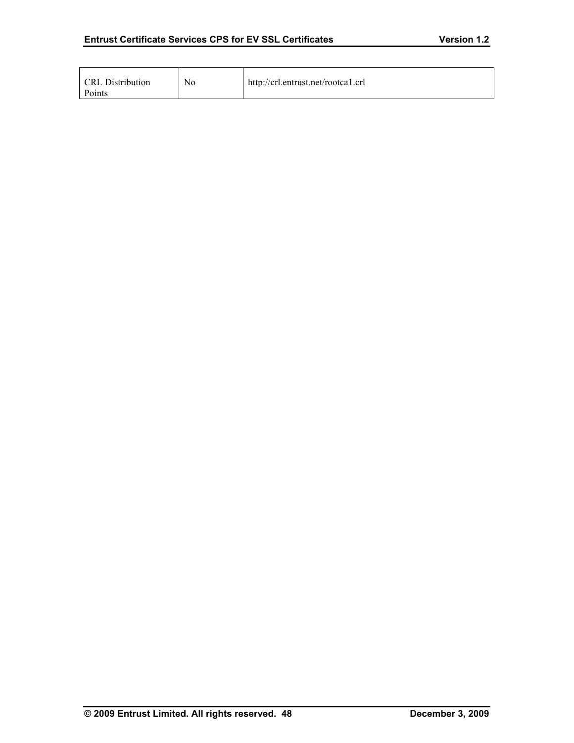| <b>CRL</b> Distribution<br>Points | No | http://crl.entrust.net/rootcal.crl |
|-----------------------------------|----|------------------------------------|
|-----------------------------------|----|------------------------------------|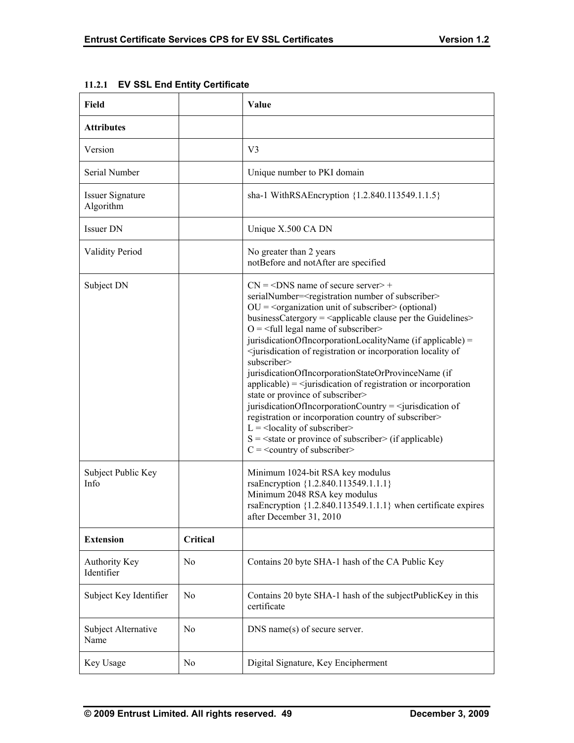| Field                                |                | Value                                                                                                                                                                                                                                                                                                                                                                                                                                                                                                                                                                                                                                                                                                                                                                                                                                                                                                                                                                                                                                                                   |
|--------------------------------------|----------------|-------------------------------------------------------------------------------------------------------------------------------------------------------------------------------------------------------------------------------------------------------------------------------------------------------------------------------------------------------------------------------------------------------------------------------------------------------------------------------------------------------------------------------------------------------------------------------------------------------------------------------------------------------------------------------------------------------------------------------------------------------------------------------------------------------------------------------------------------------------------------------------------------------------------------------------------------------------------------------------------------------------------------------------------------------------------------|
| <b>Attributes</b>                    |                |                                                                                                                                                                                                                                                                                                                                                                                                                                                                                                                                                                                                                                                                                                                                                                                                                                                                                                                                                                                                                                                                         |
| Version                              |                | V3                                                                                                                                                                                                                                                                                                                                                                                                                                                                                                                                                                                                                                                                                                                                                                                                                                                                                                                                                                                                                                                                      |
| Serial Number                        |                | Unique number to PKI domain                                                                                                                                                                                                                                                                                                                                                                                                                                                                                                                                                                                                                                                                                                                                                                                                                                                                                                                                                                                                                                             |
| <b>Issuer Signature</b><br>Algorithm |                | sha-1 WithRSAEncryption {1.2.840.113549.1.1.5}                                                                                                                                                                                                                                                                                                                                                                                                                                                                                                                                                                                                                                                                                                                                                                                                                                                                                                                                                                                                                          |
| Issuer DN                            |                | Unique X.500 CA DN                                                                                                                                                                                                                                                                                                                                                                                                                                                                                                                                                                                                                                                                                                                                                                                                                                                                                                                                                                                                                                                      |
| <b>Validity Period</b>               |                | No greater than 2 years<br>notBefore and notAfter are specified                                                                                                                                                                                                                                                                                                                                                                                                                                                                                                                                                                                                                                                                                                                                                                                                                                                                                                                                                                                                         |
| Subject DN                           |                | $CN = <$ DNS name of secure server > +<br>serialNumber= <registration number="" of="" subscriber=""><br/><math>OU = organization</math> unit of subscriber <math>&gt;</math> (optional)<br/>businessCatergory = <applicable clause="" guidelines="" per="" the=""><br/><math>O = \frac{1}{2}</math> legal name of subscriber<br/>jurisdicationOfIncorporationLocalityName (if applicable) =<br/><iurisdication incorporation="" locality="" of="" of<br="" or="" registration="">subscriber&gt;<br/>jurisdicationOfIncorporationStateOrProvinceName (if<br/><math>applicable) = \langle</math> jurisdication of registration or incorporation<br/>state or province of subscriber&gt;<br/>jurisdicationOfIncorporationCountry = <math>\le</math>jurisdication of<br/>registration or incorporation country of subscriber&gt;<br/><math>L =</math> <locality of="" subscriber=""><br/><math>S = \text{state}</math> or province of subscriber (if applicable)<br/><math>C =</math> &lt; country of subscriber&gt;</locality></iurisdication></applicable></registration> |
| Subject Public Key<br>Info           |                | Minimum 1024-bit RSA key modulus<br>rsaEncryption {1.2.840.113549.1.1.1}<br>Minimum 2048 RSA key modulus<br>rsaEncryption ${1.2.840.113549.1.1.1}$ when certificate expires<br>after December 31, 2010                                                                                                                                                                                                                                                                                                                                                                                                                                                                                                                                                                                                                                                                                                                                                                                                                                                                  |
| <b>Extension</b>                     | Critical       |                                                                                                                                                                                                                                                                                                                                                                                                                                                                                                                                                                                                                                                                                                                                                                                                                                                                                                                                                                                                                                                                         |
| Authority Key<br>Identifier          | N <sub>0</sub> | Contains 20 byte SHA-1 hash of the CA Public Key                                                                                                                                                                                                                                                                                                                                                                                                                                                                                                                                                                                                                                                                                                                                                                                                                                                                                                                                                                                                                        |
| Subject Key Identifier               | No             | Contains 20 byte SHA-1 hash of the subjectPublicKey in this<br>certificate                                                                                                                                                                                                                                                                                                                                                                                                                                                                                                                                                                                                                                                                                                                                                                                                                                                                                                                                                                                              |
| Subject Alternative<br>Name          | N <sub>0</sub> | DNS name(s) of secure server.                                                                                                                                                                                                                                                                                                                                                                                                                                                                                                                                                                                                                                                                                                                                                                                                                                                                                                                                                                                                                                           |
| Key Usage                            | No             | Digital Signature, Key Encipherment                                                                                                                                                                                                                                                                                                                                                                                                                                                                                                                                                                                                                                                                                                                                                                                                                                                                                                                                                                                                                                     |